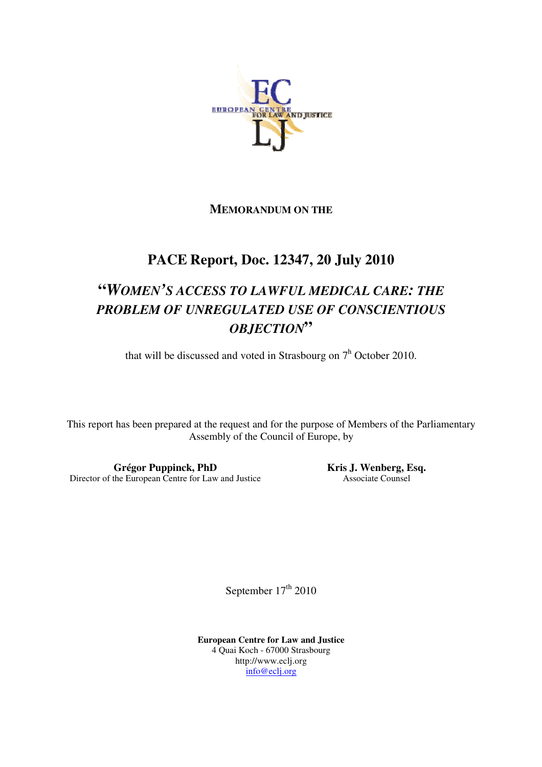

#### **MEMORANDUM ON THE**

# **PACE Report, Doc. 12347, 20 July 2010**

# **"***WOMEN'S ACCESS TO LAWFUL MEDICAL CARE: THE PROBLEM OF UNREGULATED USE OF CONSCIENTIOUS OBJECTION***"**

that will be discussed and voted in Strasbourg on  $7<sup>h</sup>$  October 2010.

This report has been prepared at the request and for the purpose of Members of the Parliamentary Assembly of the Council of Europe, by

**Grégor Puppinck, PhD** Director of the European Centre for Law and Justice **Kris J. Wenberg, Esq.** Associate Counsel

September  $17<sup>th</sup>$  2010

**European Centre for Law and Justice** 4 Quai Koch - 67000 Strasbourg http://www.eclj.org info@eclj.org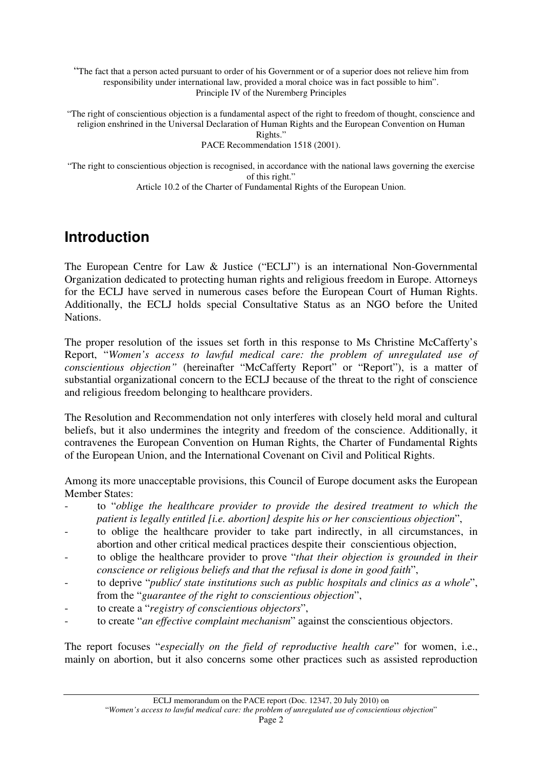"The fact that a person acted pursuant to order of his Government or of a superior does not relieve him from responsibility under international law, provided a moral choice was in fact possible to him". Principle IV of the Nuremberg Principles

"The right of conscientious objection is a fundamental aspect of the right to freedom of thought, conscience and religion enshrined in the Universal Declaration of Human Rights and the European Convention on Human Rights."

PACE Recommendation 1518 (2001).

"The right to conscientious objection is recognised, in accordance with the national laws governing the exercise of this right."

Article 10.2 of the Charter of Fundamental Rights of the European Union.

# **Introduction**

The European Centre for Law & Justice ("ECLJ") is an international Non-Governmental Organization dedicated to protecting human rights and religious freedom in Europe. Attorneys for the ECLJ have served in numerous cases before the European Court of Human Rights. Additionally, the ECLJ holds special Consultative Status as an NGO before the United Nations.

The proper resolution of the issues set forth in this response to Ms Christine McCafferty's Report, "*Women's access to lawful medical care: the problem of unregulated use of conscientious objection"* (hereinafter "McCafferty Report" or "Report"), is a matter of substantial organizational concern to the ECLJ because of the threat to the right of conscience and religious freedom belonging to healthcare providers.

The Resolution and Recommendation not only interferes with closely held moral and cultural beliefs, but it also undermines the integrity and freedom of the conscience. Additionally, it contravenes the European Convention on Human Rights, the Charter of Fundamental Rights of the European Union, and the International Covenant on Civil and Political Rights.

Among its more unacceptable provisions, this Council of Europe document asks the European Member States:

- to "*oblige the healthcare provider to provide the desired treatment to which the patient is legally entitled [i.e. abortion] despite his or her conscientious objection*",
- to oblige the healthcare provider to take part indirectly, in all circumstances, in abortion and other critical medical practices despite their conscientious objection,
- to oblige the healthcare provider to prove "*that their objection is grounded in their conscience or religious beliefs and that the refusal is done in good faith*",
- to deprive "*public*/ state institutions such as public hospitals and clinics as a whole", from the "*guarantee of the right to conscientious objection*",
- to create a "*registry of conscientious objectors*",
- to create "*an effective complaint mechanism*" against the conscientious objectors.

The report focuses "*especially on the field of reproductive health care*" for women, i.e., mainly on abortion, but it also concerns some other practices such as assisted reproduction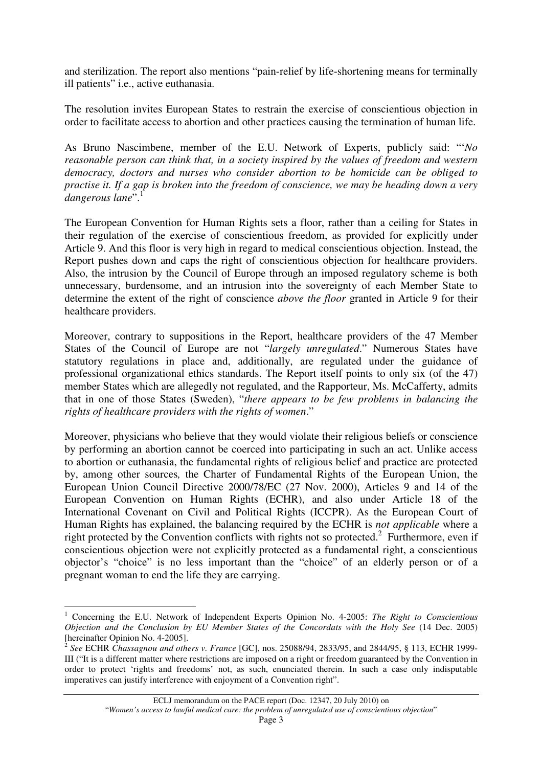and sterilization. The report also mentions "pain-relief by life-shortening means for terminally ill patients" i.e., active euthanasia.

The resolution invites European States to restrain the exercise of conscientious objection in order to facilitate access to abortion and other practices causing the termination of human life.

As Bruno Nascimbene, member of the E.U. Network of Experts, publicly said: "'*No reasonable person can think that, in a society inspired by the values of freedom and western democracy, doctors and nurses who consider abortion to be homicide can be obliged to practise it. If a gap is broken into the freedom of conscience, we may be heading down a very*  dangerous lane".<sup>1</sup>

The European Convention for Human Rights sets a floor, rather than a ceiling for States in their regulation of the exercise of conscientious freedom, as provided for explicitly under Article 9. And this floor is very high in regard to medical conscientious objection. Instead, the Report pushes down and caps the right of conscientious objection for healthcare providers. Also, the intrusion by the Council of Europe through an imposed regulatory scheme is both unnecessary, burdensome, and an intrusion into the sovereignty of each Member State to determine the extent of the right of conscience *above the floor* granted in Article 9 for their healthcare providers.

Moreover, contrary to suppositions in the Report, healthcare providers of the 47 Member States of the Council of Europe are not "*largely unregulated*." Numerous States have statutory regulations in place and, additionally, are regulated under the guidance of professional organizational ethics standards. The Report itself points to only six (of the 47) member States which are allegedly not regulated, and the Rapporteur, Ms. McCafferty, admits that in one of those States (Sweden), "*there appears to be few problems in balancing the rights of healthcare providers with the rights of women*."

Moreover, physicians who believe that they would violate their religious beliefs or conscience by performing an abortion cannot be coerced into participating in such an act. Unlike access to abortion or euthanasia, the fundamental rights of religious belief and practice are protected by, among other sources*,* the Charter of Fundamental Rights of the European Union, the European Union Council Directive 2000/78/EC (27 Nov. 2000), Articles 9 and 14 of the European Convention on Human Rights (ECHR), and also under Article 18 of the International Covenant on Civil and Political Rights (ICCPR). As the European Court of Human Rights has explained, the balancing required by the ECHR is *not applicable* where a right protected by the Convention conflicts with rights not so protected.<sup>2</sup> Furthermore, even if conscientious objection were not explicitly protected as a fundamental right, a conscientious objector's "choice" is no less important than the "choice" of an elderly person or of a pregnant woman to end the life they are carrying.

 $\overline{a}$ 

<sup>&</sup>lt;sup>1</sup> Concerning the E.U. Network of Independent Experts Opinion No. 4-2005: The Right to Conscientious *Objection and the Conclusion by EU Member States of the Concordats with the Holy See* (14 Dec. 2005) [hereinafter Opinion No. 4-2005].

<sup>2</sup> *See* ECHR *Chassagnou and others v. France* [GC], nos. 25088/94, 2833/95, and 2844/95, § 113, ECHR 1999- III ("It is a different matter where restrictions are imposed on a right or freedom guaranteed by the Convention in order to protect 'rights and freedoms' not, as such, enunciated therein. In such a case only indisputable imperatives can justify interference with enjoyment of a Convention right".

Page 3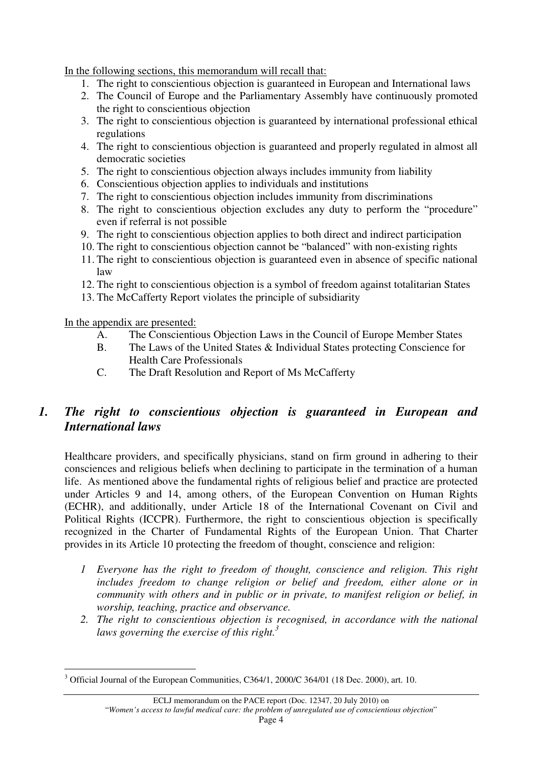In the following sections, this memorandum will recall that:

- 1. The right to conscientious objection is guaranteed in European and International laws
- 2. The Council of Europe and the Parliamentary Assembly have continuously promoted the right to conscientious objection
- 3. The right to conscientious objection is guaranteed by international professional ethical regulations
- 4. The right to conscientious objection is guaranteed and properly regulated in almost all democratic societies
- 5. The right to conscientious objection always includes immunity from liability
- 6. Conscientious objection applies to individuals and institutions
- 7. The right to conscientious objection includes immunity from discriminations
- 8. The right to conscientious objection excludes any duty to perform the "procedure" even if referral is not possible
- 9. The right to conscientious objection applies to both direct and indirect participation
- 10. The right to conscientious objection cannot be "balanced" with non-existing rights
- 11. The right to conscientious objection is guaranteed even in absence of specific national law
- 12. The right to conscientious objection is a symbol of freedom against totalitarian States
- 13. The McCafferty Report violates the principle of subsidiarity

In the appendix are presented:

- A. The Conscientious Objection Laws in the Council of Europe Member States
- B. The Laws of the United States & Individual States protecting Conscience for Health Care Professionals
- C. The Draft Resolution and Report of Ms McCafferty

# *1. The right to conscientious objection is guaranteed in European and International laws*

Healthcare providers, and specifically physicians, stand on firm ground in adhering to their consciences and religious beliefs when declining to participate in the termination of a human life. As mentioned above the fundamental rights of religious belief and practice are protected under Articles 9 and 14, among others, of the European Convention on Human Rights (ECHR), and additionally, under Article 18 of the International Covenant on Civil and Political Rights (ICCPR). Furthermore, the right to conscientious objection is specifically recognized in the Charter of Fundamental Rights of the European Union. That Charter provides in its Article 10 protecting the freedom of thought, conscience and religion:

- *1 Everyone has the right to freedom of thought, conscience and religion. This right includes freedom to change religion or belief and freedom, either alone or in community with others and in public or in private, to manifest religion or belief, in worship, teaching, practice and observance.*
- *2. The right to conscientious objection is recognised, in accordance with the national laws governing the exercise of this right.<sup>3</sup>*

 $\overline{a}$ <sup>3</sup> Official Journal of the European Communities, C364/1, 2000/C 364/01 (18 Dec. 2000), art. 10.

ECLJ memorandum on the PACE report (Doc. 12347, 20 July 2010) on "*Women's access to lawful medical care: the problem of unregulated use of conscientious objection*"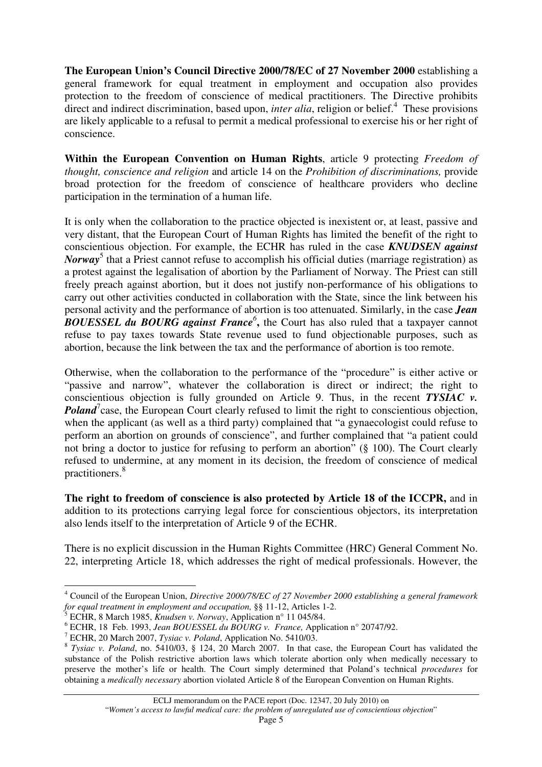**The European Union's Council Directive 2000/78/EC of 27 November 2000** establishing a general framework for equal treatment in employment and occupation also provides protection to the freedom of conscience of medical practitioners. The Directive prohibits direct and indirect discrimination, based upon, *inter alia*, religion or belief.<sup>4</sup> These provisions are likely applicable to a refusal to permit a medical professional to exercise his or her right of conscience.

**Within the European Convention on Human Rights**, article 9 protecting *Freedom of thought, conscience and religion* and article 14 on the *Prohibition of discriminations,* provide broad protection for the freedom of conscience of healthcare providers who decline participation in the termination of a human life.

It is only when the collaboration to the practice objected is inexistent or, at least, passive and very distant, that the European Court of Human Rights has limited the benefit of the right to conscientious objection. For example, the ECHR has ruled in the case *KNUDSEN against Norway*<sup>5</sup> that a Priest cannot refuse to accomplish his official duties (marriage registration) as a protest against the legalisation of abortion by the Parliament of Norway. The Priest can still freely preach against abortion, but it does not justify non-performance of his obligations to carry out other activities conducted in collaboration with the State, since the link between his personal activity and the performance of abortion is too attenuated. Similarly, in the case *Jean BOUESSEL du BOURG against France<sup>6</sup>* **,** the Court has also ruled that a taxpayer cannot refuse to pay taxes towards State revenue used to fund objectionable purposes, such as abortion, because the link between the tax and the performance of abortion is too remote.

Otherwise, when the collaboration to the performance of the "procedure" is either active or "passive and narrow", whatever the collaboration is direct or indirect; the right to conscientious objection is fully grounded on Article 9. Thus, in the recent *TYSIAC v.*  Poland<sup>7</sup> case, the European Court clearly refused to limit the right to conscientious objection, when the applicant (as well as a third party) complained that "a gynaecologist could refuse to perform an abortion on grounds of conscience", and further complained that "a patient could not bring a doctor to justice for refusing to perform an abortion" (§ 100). The Court clearly refused to undermine, at any moment in its decision, the freedom of conscience of medical practitioners.<sup>8</sup>

**The right to freedom of conscience is also protected by Article 18 of the ICCPR,** and in addition to its protections carrying legal force for conscientious objectors, its interpretation also lends itself to the interpretation of Article 9 of the ECHR.

There is no explicit discussion in the Human Rights Committee (HRC) General Comment No. 22, interpreting Article 18, which addresses the right of medical professionals. However, the

ECLJ memorandum on the PACE report (Doc. 12347, 20 July 2010) on

"*Women's access to lawful medical care: the problem of unregulated use of conscientious objection*"

 $\overline{a}$ 4 Council of the European Union, *Directive 2000/78/EC of 27 November 2000 establishing a general framework for equal treatment in employment and occupation,* §§ 11-12, Articles 1-2.

<sup>5</sup> ECHR, 8 March 1985, *Knudsen v. Norway*, Application n° 11 045/84.

<sup>6</sup> ECHR, 18 Feb. 1993, *Jean BOUESSEL du BOURG v. France,* Application n° 20747/92.

<sup>7</sup> ECHR, 20 March 2007, *Tysiac v. Poland*, Application No. 5410/03.

<sup>8</sup> *Tysiac v. Poland*, no. 5410/03, § 124, 20 March 2007. In that case, the European Court has validated the substance of the Polish restrictive abortion laws which tolerate abortion only when medically necessary to preserve the mother's life or health. The Court simply determined that Poland's technical *procedures* for obtaining a *medically necessary* abortion violated Article 8 of the European Convention on Human Rights.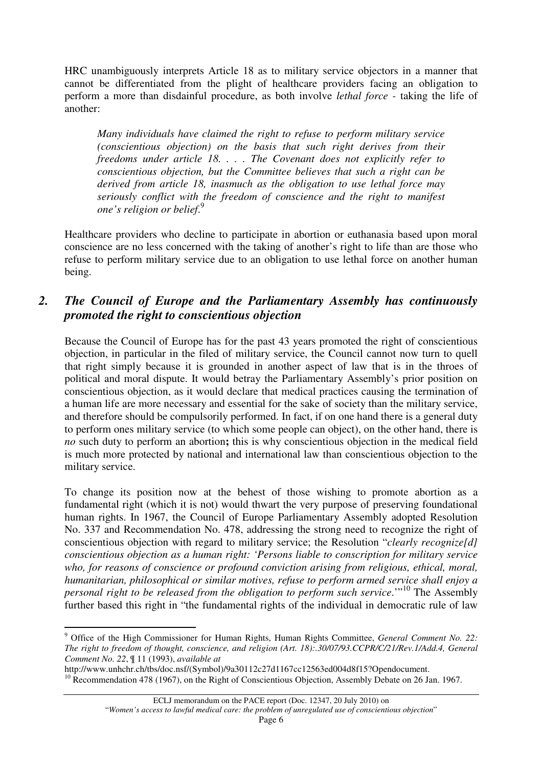HRC unambiguously interprets Article 18 as to military service objectors in a manner that cannot be differentiated from the plight of healthcare providers facing an obligation to perform a more than disdainful procedure, as both involve *lethal force -* taking the life of another:

*Many individuals have claimed the right to refuse to perform military service (conscientious objection) on the basis that such right derives from their freedoms under article 18. . . . The Covenant does not explicitly refer to conscientious objection, but the Committee believes that such a right can be derived from article 18, inasmuch as the obligation to use lethal force may seriously conflict with the freedom of conscience and the right to manifest one's religion or belief*. 9

Healthcare providers who decline to participate in abortion or euthanasia based upon moral conscience are no less concerned with the taking of another's right to life than are those who refuse to perform military service due to an obligation to use lethal force on another human being.

# *2. The Council of Europe and the Parliamentary Assembly has continuously promoted the right to conscientious objection*

Because the Council of Europe has for the past 43 years promoted the right of conscientious objection, in particular in the filed of military service, the Council cannot now turn to quell that right simply because it is grounded in another aspect of law that is in the throes of political and moral dispute. It would betray the Parliamentary Assembly's prior position on conscientious objection, as it would declare that medical practices causing the termination of a human life are more necessary and essential for the sake of society than the military service, and therefore should be compulsorily performed. In fact, if on one hand there is a general duty to perform ones military service (to which some people can object), on the other hand, there is *no* such duty to perform an abortion**;** this is why conscientious objection in the medical field is much more protected by national and international law than conscientious objection to the military service.

To change its position now at the behest of those wishing to promote abortion as a fundamental right (which it is not) would thwart the very purpose of preserving foundational human rights. In 1967, the Council of Europe Parliamentary Assembly adopted Resolution No. 337 and Recommendation No. 478, addressing the strong need to recognize the right of conscientious objection with regard to military service; the Resolution "*clearly recognize[d] conscientious objection as a human right: 'Persons liable to conscription for military service who, for reasons of conscience or profound conviction arising from religious, ethical, moral, humanitarian, philosophical or similar motives, refuse to perform armed service shall enjoy a personal right to be released from the obligation to perform such service.*<sup>"10</sup> The Assembly further based this right in "the fundamental rights of the individual in democratic rule of law

ECLJ memorandum on the PACE report (Doc. 12347, 20 July 2010) on "*Women's access to lawful medical care: the problem of unregulated use of conscientious objection*"

 9 Office of the High Commissioner for Human Rights, Human Rights Committee, *General Comment No. 22: The right to freedom of thought, conscience, and religion (Art. 18):.30/07/93.CCPR/C/21/Rev.1/Add.4, General Comment No. 22*, ¶ 11 (1993), *available at* 

http://www.unhchr.ch/tbs/doc.nsf/(Symbol)/9a30112c27d1167cc12563ed004d8f15?Opendocument.

<sup>&</sup>lt;sup>10</sup> Recommendation 478 (1967), on the Right of Conscientious Objection, Assembly Debate on 26 Jan. 1967.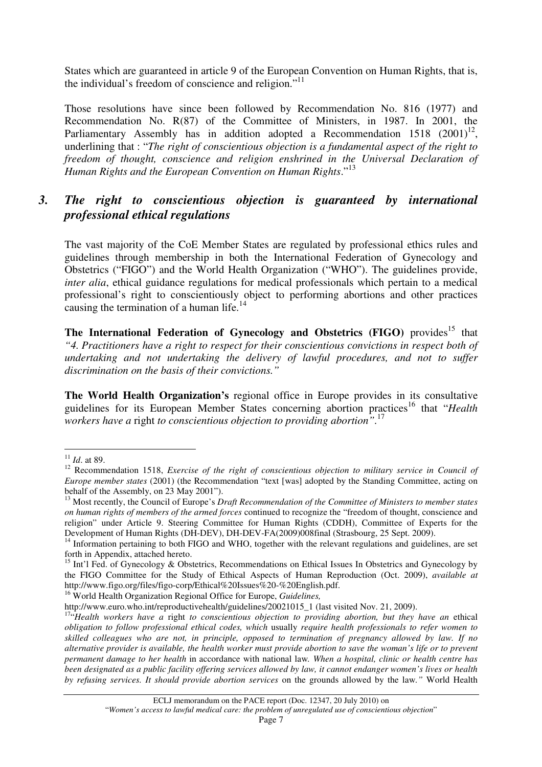States which are guaranteed in article 9 of the European Convention on Human Rights, that is, the individual's freedom of conscience and religion."<sup>11</sup>

Those resolutions have since been followed by Recommendation No. 816 (1977) and Recommendation No. R(87) of the Committee of Ministers, in 1987. In 2001, the Parliamentary Assembly has in addition adopted a Recommendation  $1518$   $(2001)^{12}$ , underlining that : "*The right of conscientious objection is a fundamental aspect of the right to freedom of thought, conscience and religion enshrined in the Universal Declaration of Human Rights and the European Convention on Human Rights*."<sup>13</sup>

# *3. The right to conscientious objection is guaranteed by international professional ethical regulations*

The vast majority of the CoE Member States are regulated by professional ethics rules and guidelines through membership in both the International Federation of Gynecology and Obstetrics ("FIGO") and the World Health Organization ("WHO"). The guidelines provide, *inter alia*, ethical guidance regulations for medical professionals which pertain to a medical professional's right to conscientiously object to performing abortions and other practices causing the termination of a human life. $^{14}$ 

The International Federation of Gynecology and Obstetrics (FIGO) provides<sup>15</sup> that *"4. Practitioners have a right to respect for their conscientious convictions in respect both of undertaking and not undertaking the delivery of lawful procedures, and not to suffer discrimination on the basis of their convictions."* 

**The World Health Organization's** regional office in Europe provides in its consultative guidelines for its European Member States concerning abortion practices<sup>16</sup> that "*Health workers have a* right *to conscientious objection to providing abortion".*<sup>17</sup>

<sup>16</sup> World Health Organization Regional Office for Europe, *Guidelines,* 

 $\overline{a}$ <sup>11</sup> *Id*. at 89.

<sup>&</sup>lt;sup>12</sup> Recommendation 1518, *Exercise of the right of conscientious objection to military service in Council of Europe member states* (2001) (the Recommendation "text [was] adopted by the Standing Committee, acting on behalf of the Assembly, on 23 May 2001").

<sup>&</sup>lt;sup>13</sup> Most recently, the Council of Europe's *Draft Recommendation of the Committee of Ministers to member states on human rights of members of the armed forces* continued to recognize the "freedom of thought, conscience and religion" under Article 9. Steering Committee for Human Rights (CDDH), Committee of Experts for the Development of Human Rights (DH-DEV), DH-DEV-FA(2009)008final (Strasbourg, 25 Sept. 2009).

<sup>&</sup>lt;sup>14</sup> Information pertaining to both FIGO and WHO, together with the relevant regulations and guidelines, are set forth in Appendix, attached hereto.

<sup>&</sup>lt;sup>15</sup> Int'l Fed. of Gynecology & Obstetrics, Recommendations on Ethical Issues In Obstetrics and Gynecology by the FIGO Committee for the Study of Ethical Aspects of Human Reproduction (Oct. 2009), *available at* http://www.figo.org/files/figo-corp/Ethical%20Issues%20-%20English.pdf.

http://www.euro.who.int/reproductivehealth/guidelines/20021015\_1 (last visited Nov. 21, 2009).

<sup>17</sup>"*Health workers have a* right *to conscientious objection to providing abortion, but they have an* ethical *obligation to follow professional ethical codes, which* usually *require health professionals to refer women to skilled colleagues who are not, in principle, opposed to termination of pregnancy allowed by law. If no alternative provider is available, the health worker must provide abortion to save the woman's life or to prevent permanent damage to her health* in accordance with national law*. When a hospital, clinic or health centre has been designated as a public facility offering services allowed by law, it cannot endanger women's lives or health by refusing services. It should provide abortion services* on the grounds allowed by the law*."* World Health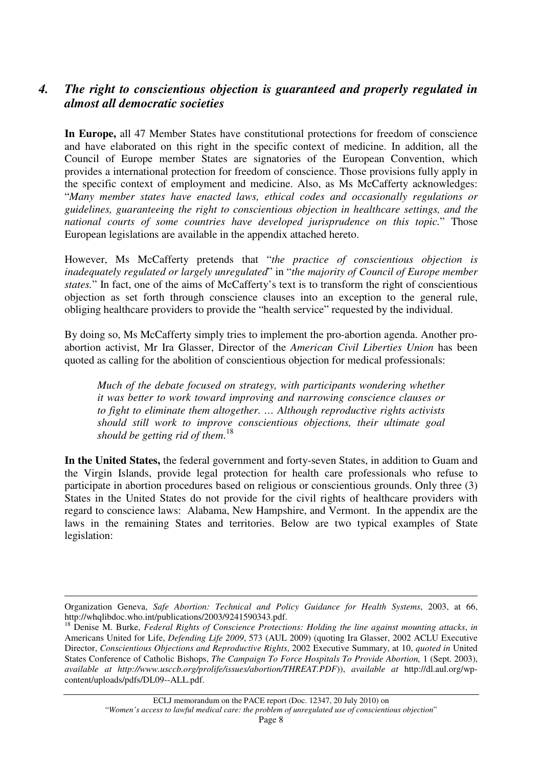# *4. The right to conscientious objection is guaranteed and properly regulated in almost all democratic societies*

**In Europe,** all 47 Member States have constitutional protections for freedom of conscience and have elaborated on this right in the specific context of medicine. In addition, all the Council of Europe member States are signatories of the European Convention, which provides a international protection for freedom of conscience. Those provisions fully apply in the specific context of employment and medicine. Also, as Ms McCafferty acknowledges: "*Many member states have enacted laws, ethical codes and occasionally regulations or guidelines, guaranteeing the right to conscientious objection in healthcare settings, and the national courts of some countries have developed jurisprudence on this topic.*" Those European legislations are available in the appendix attached hereto.

However, Ms McCafferty pretends that "*the practice of conscientious objection is inadequately regulated or largely unregulated*" in "*the majority of Council of Europe member states.*" In fact, one of the aims of McCafferty's text is to transform the right of conscientious objection as set forth through conscience clauses into an exception to the general rule, obliging healthcare providers to provide the "health service" requested by the individual.

By doing so, Ms McCafferty simply tries to implement the pro-abortion agenda. Another proabortion activist, Mr Ira Glasser, Director of the *American Civil Liberties Union* has been quoted as calling for the abolition of conscientious objection for medical professionals:

*Much of the debate focused on strategy, with participants wondering whether it was better to work toward improving and narrowing conscience clauses or to fight to eliminate them altogether. … Although reproductive rights activists should still work to improve conscientious objections, their ultimate goal should be getting rid of them*. 18

**In the United States,** the federal government and forty-seven States, in addition to Guam and the Virgin Islands, provide legal protection for health care professionals who refuse to participate in abortion procedures based on religious or conscientious grounds. Only three (3) States in the United States do not provide for the civil rights of healthcare providers with regard to conscience laws: Alabama, New Hampshire, and Vermont. In the appendix are the laws in the remaining States and territories. Below are two typical examples of State legislation:

 $\overline{a}$ 

Organization Geneva, *Safe Abortion: Technical and Policy Guidance for Health Systems*, 2003, at 66, http://whqlibdoc.who.int/publications/2003/9241590343.pdf.

<sup>18</sup> Denise M. Burke, *Federal Rights of Conscience Protections: Holding the line against mounting attacks*, *in*  Americans United for Life, *Defending Life 2009*, 573 (AUL 2009) (quoting Ira Glasser, 2002 ACLU Executive Director, *Conscientious Objections and Reproductive Rights*, 2002 Executive Summary, at 10, *quoted in* United States Conference of Catholic Bishops, *The Campaign To Force Hospitals To Provide Abortion*, 1 (Sept. 2003), *available at http://www.usccb.org/prolife/issues/abortion/THREAT.PDF*)), *available at* http://dl.aul.org/wpcontent/uploads/pdfs/DL09--ALL.pdf.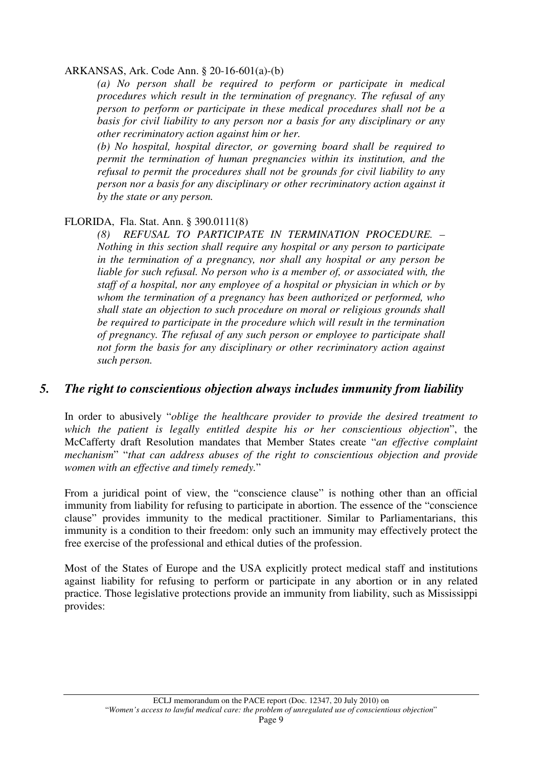#### ARKANSAS, Ark. Code Ann. § 20-16-601(a)-(b)

*(a) No person shall be required to perform or participate in medical procedures which result in the termination of pregnancy. The refusal of any person to perform or participate in these medical procedures shall not be a basis for civil liability to any person nor a basis for any disciplinary or any other recriminatory action against him or her.* 

*(b) No hospital, hospital director, or governing board shall be required to permit the termination of human pregnancies within its institution, and the refusal to permit the procedures shall not be grounds for civil liability to any person nor a basis for any disciplinary or other recriminatory action against it by the state or any person.* 

#### FLORIDA, Fla. Stat. Ann. § 390.0111(8)

*(8) REFUSAL TO PARTICIPATE IN TERMINATION PROCEDURE. – Nothing in this section shall require any hospital or any person to participate in the termination of a pregnancy, nor shall any hospital or any person be liable for such refusal. No person who is a member of, or associated with, the staff of a hospital, nor any employee of a hospital or physician in which or by whom the termination of a pregnancy has been authorized or performed, who shall state an objection to such procedure on moral or religious grounds shall be required to participate in the procedure which will result in the termination of pregnancy. The refusal of any such person or employee to participate shall not form the basis for any disciplinary or other recriminatory action against such person.*

#### *5. The right to conscientious objection always includes immunity from liability*

In order to abusively "*oblige the healthcare provider to provide the desired treatment to which the patient is legally entitled despite his or her conscientious objection*", the McCafferty draft Resolution mandates that Member States create "*an effective complaint mechanism*" "*that can address abuses of the right to conscientious objection and provide women with an effective and timely remedy.*"

From a juridical point of view, the "conscience clause" is nothing other than an official immunity from liability for refusing to participate in abortion. The essence of the "conscience clause" provides immunity to the medical practitioner. Similar to Parliamentarians, this immunity is a condition to their freedom: only such an immunity may effectively protect the free exercise of the professional and ethical duties of the profession.

Most of the States of Europe and the USA explicitly protect medical staff and institutions against liability for refusing to perform or participate in any abortion or in any related practice. Those legislative protections provide an immunity from liability, such as Mississippi provides: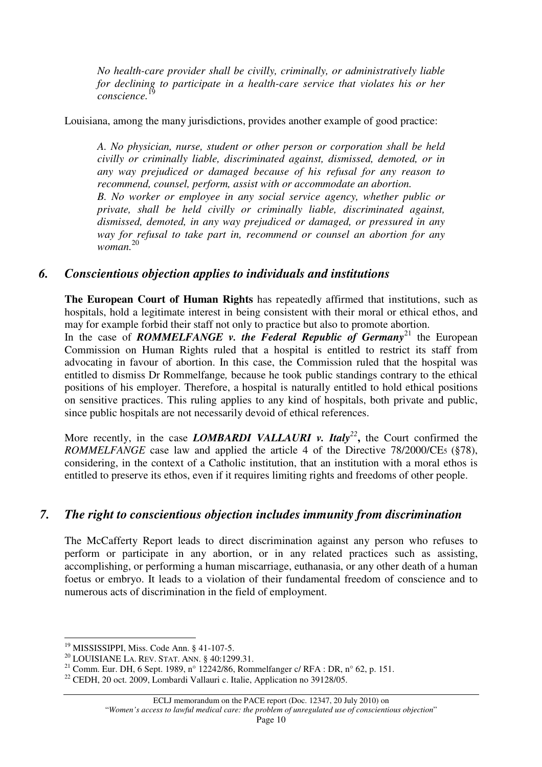*No health-care provider shall be civilly, criminally, or administratively liable for declining to participate in a health-care service that violates his or her conscience.*<sup>1</sup>

Louisiana, among the many jurisdictions, provides another example of good practice:

*A. No physician, nurse, student or other person or corporation shall be held civilly or criminally liable, discriminated against, dismissed, demoted, or in any way prejudiced or damaged because of his refusal for any reason to recommend, counsel, perform, assist with or accommodate an abortion.* 

*B. No worker or employee in any social service agency, whether public or private, shall be held civilly or criminally liable, discriminated against, dismissed, demoted, in any way prejudiced or damaged, or pressured in any way for refusal to take part in, recommend or counsel an abortion for any woman.* 20

#### *6. Conscientious objection applies to individuals and institutions*

**The European Court of Human Rights** has repeatedly affirmed that institutions, such as hospitals, hold a legitimate interest in being consistent with their moral or ethical ethos, and may for example forbid their staff not only to practice but also to promote abortion.

In the case of *ROMMELFANGE* v. the Federal Republic of Germany<sup>21</sup> the European Commission on Human Rights ruled that a hospital is entitled to restrict its staff from advocating in favour of abortion. In this case, the Commission ruled that the hospital was entitled to dismiss Dr Rommelfange*,* because he took public standings contrary to the ethical positions of his employer. Therefore, a hospital is naturally entitled to hold ethical positions on sensitive practices. This ruling applies to any kind of hospitals, both private and public, since public hospitals are not necessarily devoid of ethical references.

More recently, in the case *LOMBARDI VALLAURI v. Italy*<sup>22</sup>, the Court confirmed the *ROMMELFANGE* case law and applied the article 4 of the Directive 78/2000/CE5 (§78), considering, in the context of a Catholic institution, that an institution with a moral ethos is entitled to preserve its ethos, even if it requires limiting rights and freedoms of other people.

# *7. The right to conscientious objection includes immunity from discrimination*

The McCafferty Report leads to direct discrimination against any person who refuses to perform or participate in any abortion, or in any related practices such as assisting, accomplishing, or performing a human miscarriage, euthanasia, or any other death of a human foetus or embryo. It leads to a violation of their fundamental freedom of conscience and to numerous acts of discrimination in the field of employment.

 $\overline{a}$ 

<sup>&</sup>lt;sup>19</sup> MISSISSIPPI, Miss. Code Ann. § 41-107-5.

<sup>20</sup> LOUISIANE LA. REV. STAT. ANN. § 40:1299.31.

<sup>&</sup>lt;sup>21</sup> Comm. Eur. DH, 6 Sept. 1989, n° 12242/86, Rommelfanger c/ RFA : DR, n° 62, p. 151.

<sup>22</sup> CEDH, 20 oct. 2009, Lombardi Vallauri c. Italie, Application no 39128/05.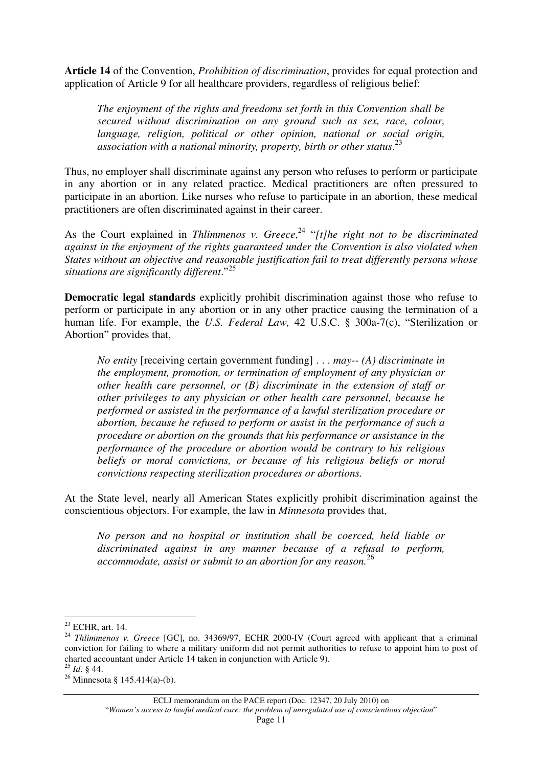**Article 14** of the Convention, *Prohibition of discrimination*, provides for equal protection and application of Article 9 for all healthcare providers, regardless of religious belief:

*The enjoyment of the rights and freedoms set forth in this Convention shall be secured without discrimination on any ground such as sex, race, colour, language, religion, political or other opinion, national or social origin, association with a national minority, property, birth or other status*. 23

Thus, no employer shall discriminate against any person who refuses to perform or participate in any abortion or in any related practice. Medical practitioners are often pressured to participate in an abortion. Like nurses who refuse to participate in an abortion, these medical practitioners are often discriminated against in their career.

As the Court explained in *Thlimmenos v. Greece*, <sup>24</sup> "*[t]he right not to be discriminated against in the enjoyment of the rights guaranteed under the Convention is also violated when States without an objective and reasonable justification fail to treat differently persons whose situations are significantly different*."<sup>25</sup>

**Democratic legal standards** explicitly prohibit discrimination against those who refuse to perform or participate in any abortion or in any other practice causing the termination of a human life. For example, the *U.S. Federal Law,* 42 U.S.C. § 300a-7(c), "Sterilization or Abortion" provides that,

*No entity* [receiving certain government funding] . . . *may-- (A) discriminate in the employment, promotion, or termination of employment of any physician or other health care personnel, or (B) discriminate in the extension of staff or other privileges to any physician or other health care personnel, because he performed or assisted in the performance of a lawful sterilization procedure or abortion, because he refused to perform or assist in the performance of such a procedure or abortion on the grounds that his performance or assistance in the performance of the procedure or abortion would be contrary to his religious beliefs or moral convictions, or because of his religious beliefs or moral convictions respecting sterilization procedures or abortions.* 

At the State level, nearly all American States explicitly prohibit discrimination against the conscientious objectors. For example, the law in *Minnesota* provides that,

*No person and no hospital or institution shall be coerced, held liable or discriminated against in any manner because of a refusal to perform, accommodate, assist or submit to an abortion for any reason.* 26

 $\overline{a}$  $^{23}$  ECHR, art. 14.

<sup>&</sup>lt;sup>24</sup> *Thlimmenos v. Greece* [GC], no. 34369/97, ECHR 2000-IV (Court agreed with applicant that a criminal conviction for failing to where a military uniform did not permit authorities to refuse to appoint him to post of charted accountant under Article 14 taken in conjunction with Article 9).

<sup>25</sup> *Id*. § 44.

<sup>&</sup>lt;sup>26</sup> Minnesota § 145.414(a)-(b).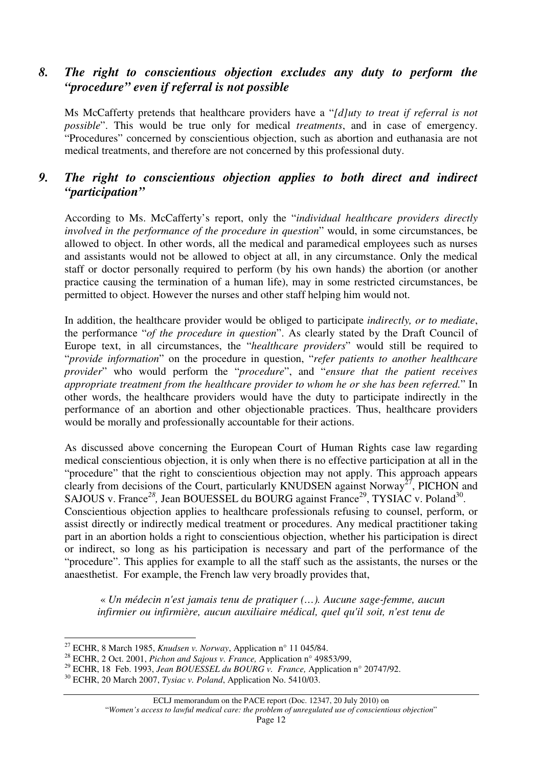# *8. The right to conscientious objection excludes any duty to perform the "procedure" even if referral is not possible*

Ms McCafferty pretends that healthcare providers have a "*[d]uty to treat if referral is not possible*". This would be true only for medical *treatments*, and in case of emergency. "Procedures" concerned by conscientious objection, such as abortion and euthanasia are not medical treatments, and therefore are not concerned by this professional duty.

# *9. The right to conscientious objection applies to both direct and indirect "participation"*

According to Ms. McCafferty's report, only the "*individual healthcare providers directly involved in the performance of the procedure in question*" would, in some circumstances, be allowed to object. In other words, all the medical and paramedical employees such as nurses and assistants would not be allowed to object at all, in any circumstance. Only the medical staff or doctor personally required to perform (by his own hands) the abortion (or another practice causing the termination of a human life), may in some restricted circumstances, be permitted to object. However the nurses and other staff helping him would not.

In addition, the healthcare provider would be obliged to participate *indirectly, or to mediate*, the performance "*of the procedure in question*". As clearly stated by the Draft Council of Europe text, in all circumstances, the "*healthcare providers*" would still be required to "*provide information*" on the procedure in question, "*refer patients to another healthcare provider*" who would perform the "*procedure*", and "*ensure that the patient receives appropriate treatment from the healthcare provider to whom he or she has been referred.*" In other words, the healthcare providers would have the duty to participate indirectly in the performance of an abortion and other objectionable practices. Thus, healthcare providers would be morally and professionally accountable for their actions.

As discussed above concerning the European Court of Human Rights case law regarding medical conscientious objection, it is only when there is no effective participation at all in the "procedure" that the right to conscientious objection may not apply. This approach appears clearly from decisions of the Court, particularly KNUDSEN against Norway<sup>27</sup>, PICHON and SAJOUS v. France<sup>28</sup>, Jean BOUESSEL du BOURG against France<sup>29</sup>, TYSIAC v. Poland<sup>30</sup>. Conscientious objection applies to healthcare professionals refusing to counsel, perform, or assist directly or indirectly medical treatment or procedures. Any medical practitioner taking part in an abortion holds a right to conscientious objection, whether his participation is direct or indirect, so long as his participation is necessary and part of the performance of the "procedure". This applies for example to all the staff such as the assistants, the nurses or the anaesthetist. For example, the French law very broadly provides that,

 « *Un médecin n'est jamais tenu de pratiquer (…). Aucune sage-femme, aucun infirmier ou infirmière, aucun auxiliaire médical, quel qu'il soit, n'est tenu de* 

 $\overline{a}$ 

<sup>27</sup> ECHR, 8 March 1985, *Knudsen v. Norway*, Application n° 11 045/84.

<sup>28</sup> ECHR, 2 Oct. 2001, *Pichon and Sajous v. France,* Application n° 49853/99,

<sup>29</sup> ECHR, 18 Feb. 1993, *Jean BOUESSEL du BOURG v. France,* Application n° 20747/92.

<sup>30</sup> ECHR, 20 March 2007, *Tysiac v. Poland*, Application No. 5410/03.

ECLJ memorandum on the PACE report (Doc. 12347, 20 July 2010) on

<sup>&</sup>quot;*Women's access to lawful medical care: the problem of unregulated use of conscientious objection*"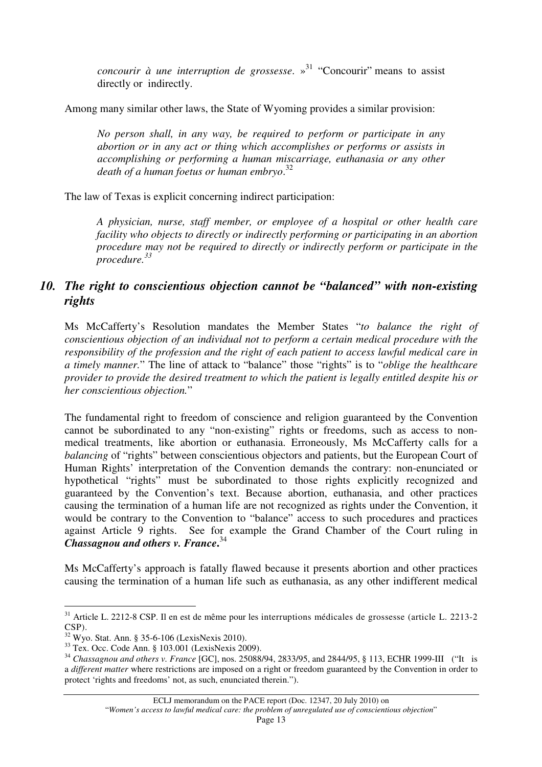*concourir à une interruption de grossesse*. » <sup>31</sup> "Concourir" means to assist directly or indirectly.

Among many similar other laws, the State of Wyoming provides a similar provision:

*No person shall, in any way, be required to perform or participate in any abortion or in any act or thing which accomplishes or performs or assists in accomplishing or performing a human miscarriage, euthanasia or any other death of a human foetus or human embryo*. 32

The law of Texas is explicit concerning indirect participation:

*A physician, nurse, staff member, or employee of a hospital or other health care facility who objects to directly or indirectly performing or participating in an abortion procedure may not be required to directly or indirectly perform or participate in the procedure.<sup>33</sup>*

#### *10. The right to conscientious objection cannot be "balanced" with non-existing rights*

Ms McCafferty's Resolution mandates the Member States "*to balance the right of conscientious objection of an individual not to perform a certain medical procedure with the responsibility of the profession and the right of each patient to access lawful medical care in a timely manner.*" The line of attack to "balance" those "rights" is to "*oblige the healthcare provider to provide the desired treatment to which the patient is legally entitled despite his or her conscientious objection.*"

The fundamental right to freedom of conscience and religion guaranteed by the Convention cannot be subordinated to any "non-existing" rights or freedoms, such as access to nonmedical treatments, like abortion or euthanasia. Erroneously, Ms McCafferty calls for a *balancing* of "rights" between conscientious objectors and patients, but the European Court of Human Rights' interpretation of the Convention demands the contrary: non-enunciated or hypothetical "rights" must be subordinated to those rights explicitly recognized and guaranteed by the Convention's text. Because abortion, euthanasia, and other practices causing the termination of a human life are not recognized as rights under the Convention, it would be contrary to the Convention to "balance" access to such procedures and practices against Article 9 rights. See for example the Grand Chamber of the Court ruling in *Chassagnou and others v. France***.** 34

Ms McCafferty's approach is fatally flawed because it presents abortion and other practices causing the termination of a human life such as euthanasia, as any other indifferent medical

 $\overline{a}$ 

"*Women's access to lawful medical care: the problem of unregulated use of conscientious objection*"

<sup>&</sup>lt;sup>31</sup> Article L. 2212-8 CSP. Il en est de même pour les interruptions médicales de grossesse (article L. 2213-2 CSP).

<sup>32</sup> Wyo. Stat. Ann. § 35-6-106 (LexisNexis 2010).

<sup>33</sup> Tex. Occ. Code Ann. § 103.001 (LexisNexis 2009).

<sup>34</sup> *Chassagnou and others v. France* [GC], nos. 25088/94, 2833/95, and 2844/95, § 113, ECHR 1999-III ("It is a *different matter* where restrictions are imposed on a right or freedom guaranteed by the Convention in order to protect 'rights and freedoms' not, as such, enunciated therein.").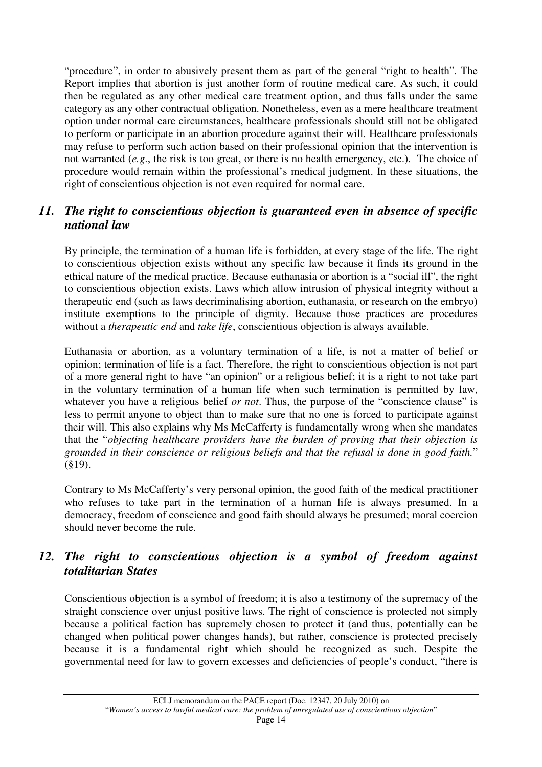"procedure", in order to abusively present them as part of the general "right to health". The Report implies that abortion is just another form of routine medical care. As such, it could then be regulated as any other medical care treatment option, and thus falls under the same category as any other contractual obligation. Nonetheless, even as a mere healthcare treatment option under normal care circumstances, healthcare professionals should still not be obligated to perform or participate in an abortion procedure against their will. Healthcare professionals may refuse to perform such action based on their professional opinion that the intervention is not warranted (*e.g*., the risk is too great, or there is no health emergency, etc.). The choice of procedure would remain within the professional's medical judgment. In these situations, the right of conscientious objection is not even required for normal care.

# *11. The right to conscientious objection is guaranteed even in absence of specific national law*

By principle, the termination of a human life is forbidden, at every stage of the life. The right to conscientious objection exists without any specific law because it finds its ground in the ethical nature of the medical practice. Because euthanasia or abortion is a "social ill", the right to conscientious objection exists. Laws which allow intrusion of physical integrity without a therapeutic end (such as laws decriminalising abortion, euthanasia, or research on the embryo) institute exemptions to the principle of dignity. Because those practices are procedures without a *therapeutic end* and *take life*, conscientious objection is always available.

Euthanasia or abortion, as a voluntary termination of a life, is not a matter of belief or opinion; termination of life is a fact. Therefore, the right to conscientious objection is not part of a more general right to have "an opinion" or a religious belief; it is a right to not take part in the voluntary termination of a human life when such termination is permitted by law, whatever you have a religious belief *or not*. Thus, the purpose of the "conscience clause" is less to permit anyone to object than to make sure that no one is forced to participate against their will. This also explains why Ms McCafferty is fundamentally wrong when she mandates that the "*objecting healthcare providers have the burden of proving that their objection is grounded in their conscience or religious beliefs and that the refusal is done in good faith.*"  $(§19).$ 

Contrary to Ms McCafferty's very personal opinion, the good faith of the medical practitioner who refuses to take part in the termination of a human life is always presumed. In a democracy, freedom of conscience and good faith should always be presumed; moral coercion should never become the rule.

# *12. The right to conscientious objection is a symbol of freedom against totalitarian States*

Conscientious objection is a symbol of freedom; it is also a testimony of the supremacy of the straight conscience over unjust positive laws. The right of conscience is protected not simply because a political faction has supremely chosen to protect it (and thus, potentially can be changed when political power changes hands), but rather, conscience is protected precisely because it is a fundamental right which should be recognized as such. Despite the governmental need for law to govern excesses and deficiencies of people's conduct, "there is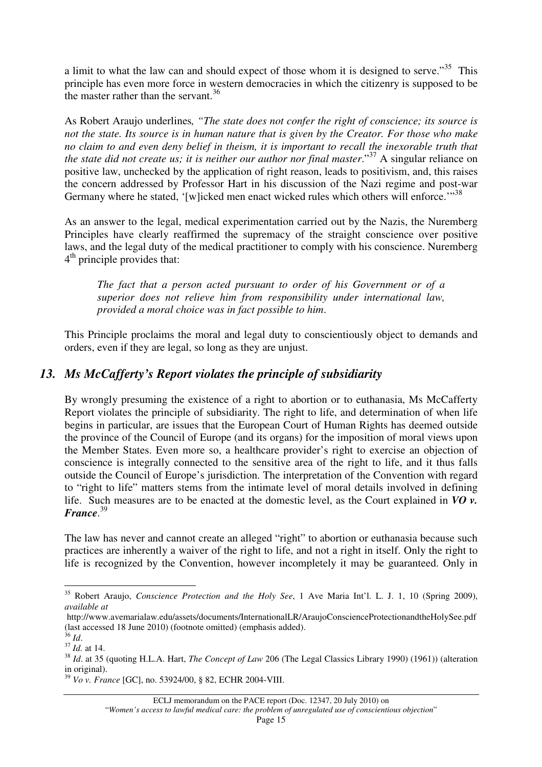a limit to what the law can and should expect of those whom it is designed to serve.<sup> $35$ </sup> This principle has even more force in western democracies in which the citizenry is supposed to be the master rather than the servant. $36$ 

As Robert Araujo underlines*, "The state does not confer the right of conscience; its source is not the state. Its source is in human nature that is given by the Creator. For those who make no claim to and even deny belief in theism, it is important to recall the inexorable truth that the state did not create us; it is neither our author nor final master.*"<sup>37</sup> A singular reliance on positive law, unchecked by the application of right reason, leads to positivism, and, this raises the concern addressed by Professor Hart in his discussion of the Nazi regime and post-war Germany where he stated, '[w]icked men enact wicked rules which others will enforce.'"<sup>38</sup>

As an answer to the legal, medical experimentation carried out by the Nazis, the Nuremberg Principles have clearly reaffirmed the supremacy of the straight conscience over positive laws, and the legal duty of the medical practitioner to comply with his conscience. Nuremberg 4<sup>th</sup> principle provides that:

*The fact that a person acted pursuant to order of his Government or of a superior does not relieve him from responsibility under international law, provided a moral choice was in fact possible to him*.

This Principle proclaims the moral and legal duty to conscientiously object to demands and orders, even if they are legal, so long as they are unjust.

# *13. Ms McCafferty's Report violates the principle of subsidiarity*

By wrongly presuming the existence of a right to abortion or to euthanasia, Ms McCafferty Report violates the principle of subsidiarity. The right to life, and determination of when life begins in particular, are issues that the European Court of Human Rights has deemed outside the province of the Council of Europe (and its organs) for the imposition of moral views upon the Member States. Even more so, a healthcare provider's right to exercise an objection of conscience is integrally connected to the sensitive area of the right to life, and it thus falls outside the Council of Europe's jurisdiction. The interpretation of the Convention with regard to "right to life" matters stems from the intimate level of moral details involved in defining life. Such measures are to be enacted at the domestic level, as the Court explained in *VO v. France*. 39

The law has never and cannot create an alleged "right" to abortion or euthanasia because such practices are inherently a waiver of the right to life, and not a right in itself. Only the right to life is recognized by the Convention, however incompletely it may be guaranteed. Only in

 $\overline{a}$ <sup>35</sup> Robert Araujo, *Conscience Protection and the Holy See*, 1 Ave Maria Int'l. L. J. 1, 10 (Spring 2009), *available at* 

http://www.avemarialaw.edu/assets/documents/InternationalLR/AraujoConscienceProtectionandtheHolySee.pdf (last accessed 18 June 2010) (footnote omitted) (emphasis added).

 $36$  *Id.* 

<sup>37</sup> *Id.* at 14.

<sup>38</sup> *Id*. at 35 (quoting H.L.A. Hart, *The Concept of Law* 206 (The Legal Classics Library 1990) (1961)) (alteration in original).

<sup>39</sup> *Vo v. France* [GC], no. 53924/00, § 82, ECHR 2004-VIII.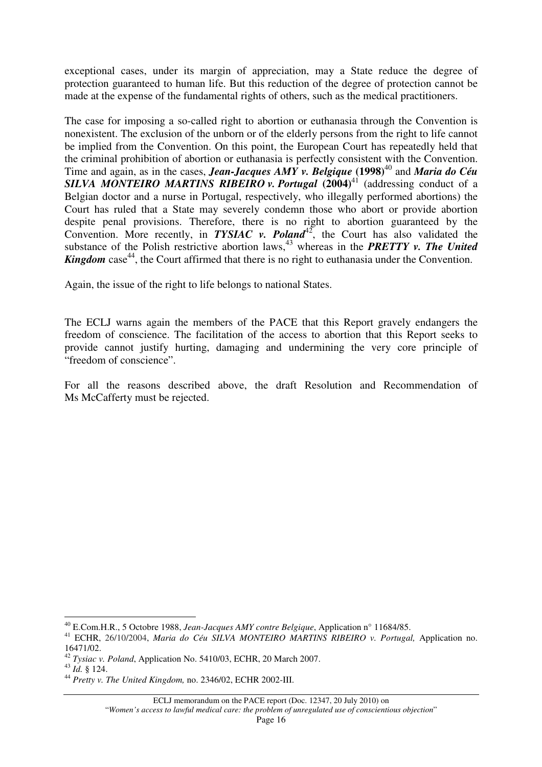exceptional cases, under its margin of appreciation, may a State reduce the degree of protection guaranteed to human life. But this reduction of the degree of protection cannot be made at the expense of the fundamental rights of others, such as the medical practitioners.

The case for imposing a so-called right to abortion or euthanasia through the Convention is nonexistent. The exclusion of the unborn or of the elderly persons from the right to life cannot be implied from the Convention. On this point, the European Court has repeatedly held that the criminal prohibition of abortion or euthanasia is perfectly consistent with the Convention. Time and again, as in the cases, *Jean-Jacques AMY v. Belgique* **(1998)**<sup>40</sup> and *Maria do Céu*  **SILVA MONTEIRO MARTINS RIBEIRO v. Portugal (2004)<sup>41</sup> (addressing conduct of a** Belgian doctor and a nurse in Portugal, respectively, who illegally performed abortions) the Court has ruled that a State may severely condemn those who abort or provide abortion despite penal provisions. Therefore, there is no right to abortion guaranteed by the Convention. More recently, in **TYSIAC** v. **Poland<sup>42</sup>**, the Court has also validated the substance of the Polish restrictive abortion laws,<sup>43</sup> whereas in the **PRETTY** v. The United *Kingdom* case<sup>44</sup>, the Court affirmed that there is no right to euthanasia under the Convention.

Again, the issue of the right to life belongs to national States.

The ECLJ warns again the members of the PACE that this Report gravely endangers the freedom of conscience. The facilitation of the access to abortion that this Report seeks to provide cannot justify hurting, damaging and undermining the very core principle of "freedom of conscience".

For all the reasons described above, the draft Resolution and Recommendation of Ms McCafferty must be rejected.

 $\overline{a}$ 

<sup>40</sup> E.Com.H.R., 5 Octobre 1988, *Jean-Jacques AMY contre Belgique*, Application n° 11684/85.

<sup>41</sup> ECHR, 26/10/2004, *Maria do Céu SILVA MONTEIRO MARTINS RIBEIRO v. Portugal,* Application no. 16471/02.

<sup>42</sup> *Tysiac v. Poland*, Application No. 5410/03, ECHR, 20 March 2007.

<sup>43</sup> *Id.* § 124.

<sup>44</sup> *Pretty v. The United Kingdom,* no. 2346/02, ECHR 2002-III.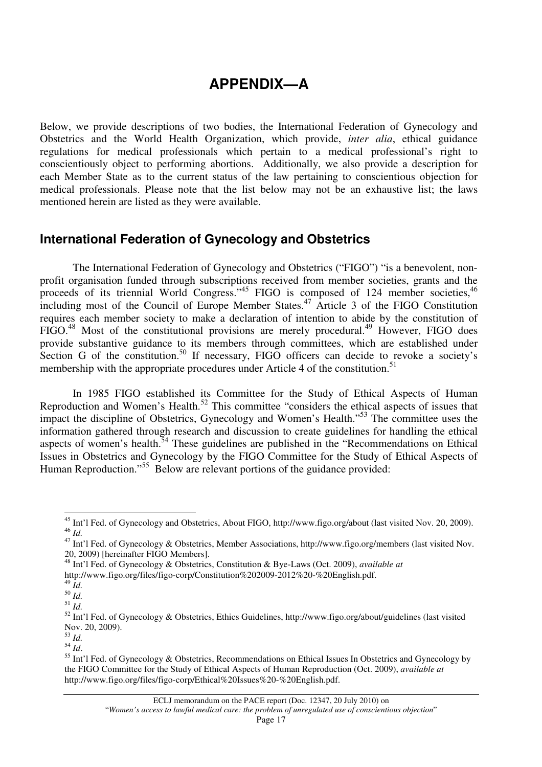# **APPENDIX—A**

Below, we provide descriptions of two bodies, the International Federation of Gynecology and Obstetrics and the World Health Organization, which provide, *inter alia*, ethical guidance regulations for medical professionals which pertain to a medical professional's right to conscientiously object to performing abortions. Additionally, we also provide a description for each Member State as to the current status of the law pertaining to conscientious objection for medical professionals. Please note that the list below may not be an exhaustive list; the laws mentioned herein are listed as they were available.

# **International Federation of Gynecology and Obstetrics**

The International Federation of Gynecology and Obstetrics ("FIGO") "is a benevolent, nonprofit organisation funded through subscriptions received from member societies, grants and the proceeds of its triennial World Congress."<sup>45</sup> FIGO is composed of 124 member societies,<sup>46</sup> including most of the Council of Europe Member States.<sup>47</sup> Article 3 of the FIGO Constitution requires each member society to make a declaration of intention to abide by the constitution of FIGO.<sup>48</sup> Most of the constitutional provisions are merely procedural.<sup>49</sup> However, FIGO does provide substantive guidance to its members through committees, which are established under Section G of the constitution.<sup>50</sup> If necessary, FIGO officers can decide to revoke a society's membership with the appropriate procedures under Article 4 of the constitution.<sup>51</sup>

In 1985 FIGO established its Committee for the Study of Ethical Aspects of Human Reproduction and Women's Health.<sup>52</sup> This committee "considers the ethical aspects of issues that impact the discipline of Obstetrics, Gynecology and Women's Health."<sup>53</sup> The committee uses the information gathered through research and discussion to create guidelines for handling the ethical aspects of women's health.<sup>34</sup> These guidelines are published in the "Recommendations on Ethical Issues in Obstetrics and Gynecology by the FIGO Committee for the Study of Ethical Aspects of Human Reproduction."<sup>55</sup> Below are relevant portions of the guidance provided:

 $\overline{a}$ 

<sup>&</sup>lt;sup>45</sup> Int'l Fed. of Gynecology and Obstetrics, About FIGO, http://www.figo.org/about (last visited Nov. 20, 2009). <sup>46</sup> *Id.*

<sup>47</sup> Int'l Fed. of Gynecology & Obstetrics, Member Associations, http://www.figo.org/members (last visited Nov. 20, 2009) [hereinafter FIGO Members].

<sup>48</sup> Int'l Fed. of Gynecology & Obstetrics, Constitution & Bye-Laws (Oct. 2009), *available at*

http://www.figo.org/files/figo-corp/Constitution%202009-2012%20-%20English.pdf.

 $^{49}$   $\tilde{I}$ *d*.

 $\frac{50}{Id}$ .

 $\frac{51}{1}$  *Id.* 

<sup>52</sup> Int'l Fed. of Gynecology & Obstetrics, Ethics Guidelines, http://www.figo.org/about/guidelines (last visited Nov. 20, 2009).

<sup>53</sup> *Id.*  $^{14}$   $^{14}$ .

<sup>55</sup> Int'l Fed. of Gynecology & Obstetrics, Recommendations on Ethical Issues In Obstetrics and Gynecology by the FIGO Committee for the Study of Ethical Aspects of Human Reproduction (Oct. 2009), *available at* http://www.figo.org/files/figo-corp/Ethical%20Issues%20-%20English.pdf.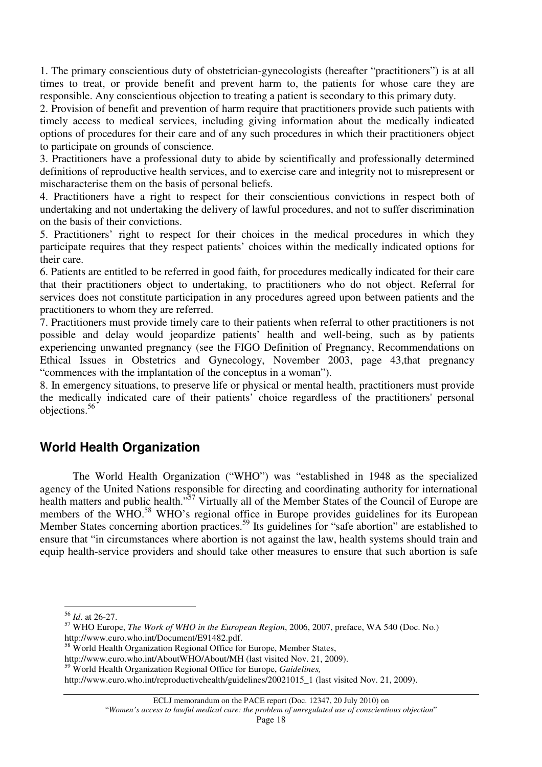1. The primary conscientious duty of obstetrician-gynecologists (hereafter "practitioners") is at all times to treat, or provide benefit and prevent harm to, the patients for whose care they are responsible. Any conscientious objection to treating a patient is secondary to this primary duty.

2. Provision of benefit and prevention of harm require that practitioners provide such patients with timely access to medical services, including giving information about the medically indicated options of procedures for their care and of any such procedures in which their practitioners object to participate on grounds of conscience.

3. Practitioners have a professional duty to abide by scientifically and professionally determined definitions of reproductive health services, and to exercise care and integrity not to misrepresent or mischaracterise them on the basis of personal beliefs.

4. Practitioners have a right to respect for their conscientious convictions in respect both of undertaking and not undertaking the delivery of lawful procedures, and not to suffer discrimination on the basis of their convictions.

5. Practitioners' right to respect for their choices in the medical procedures in which they participate requires that they respect patients' choices within the medically indicated options for their care.

6. Patients are entitled to be referred in good faith, for procedures medically indicated for their care that their practitioners object to undertaking, to practitioners who do not object. Referral for services does not constitute participation in any procedures agreed upon between patients and the practitioners to whom they are referred.

7. Practitioners must provide timely care to their patients when referral to other practitioners is not possible and delay would jeopardize patients' health and well-being, such as by patients experiencing unwanted pregnancy (see the FIGO Definition of Pregnancy, Recommendations on Ethical Issues in Obstetrics and Gynecology, November 2003, page 43,that pregnancy "commences with the implantation of the conceptus in a woman").

8. In emergency situations, to preserve life or physical or mental health, practitioners must provide the medically indicated care of their patients' choice regardless of the practitioners' personal objections.<sup>56</sup>

# **World Health Organization**

The World Health Organization ("WHO") was "established in 1948 as the specialized agency of the United Nations responsible for directing and coordinating authority for international health matters and public health."<sup>57</sup> Virtually all of the Member States of the Council of Europe are members of the WHO.<sup>58</sup> WHO's regional office in Europe provides guidelines for its European Member States concerning abortion practices.<sup>59</sup> Its guidelines for "safe abortion" are established to ensure that "in circumstances where abortion is not against the law, health systems should train and equip health-service providers and should take other measures to ensure that such abortion is safe

 $\overline{a}$ 

"*Women's access to lawful medical care: the problem of unregulated use of conscientious objection*"

<sup>56</sup> *Id*. at 26-27.

<sup>57</sup> WHO Europe, *The Work of WHO in the European Region*, 2006, 2007, preface, WA 540 (Doc. No.) http://www.euro.who.int/Document/E91482.pdf.

<sup>&</sup>lt;sup>58</sup> World Health Organization Regional Office for Europe, Member States,

http://www.euro.who.int/AboutWHO/About/MH (last visited Nov. 21, 2009).

<sup>59</sup> World Health Organization Regional Office for Europe, *Guidelines,* 

http://www.euro.who.int/reproductivehealth/guidelines/20021015\_1 (last visited Nov. 21, 2009).

ECLJ memorandum on the PACE report (Doc. 12347, 20 July 2010) on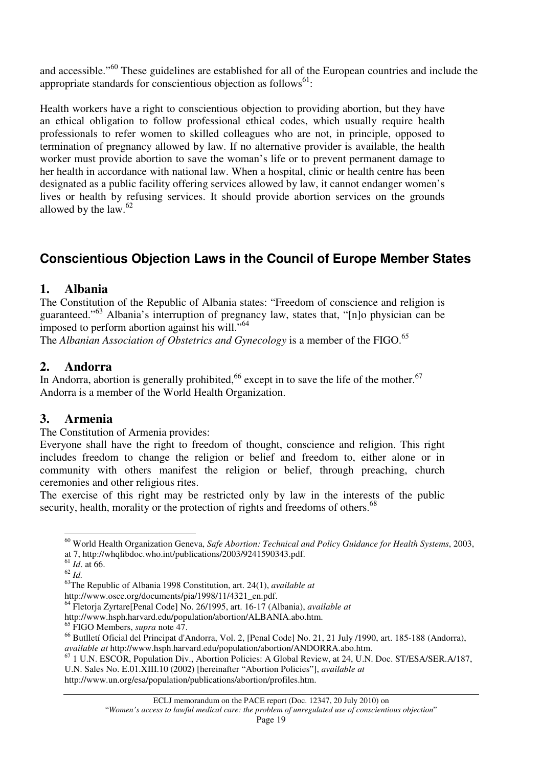and accessible."<sup>60</sup> These guidelines are established for all of the European countries and include the appropriate standards for conscientious objection as follows $<sup>61</sup>$ :</sup>

Health workers have a right to conscientious objection to providing abortion, but they have an ethical obligation to follow professional ethical codes, which usually require health professionals to refer women to skilled colleagues who are not, in principle, opposed to termination of pregnancy allowed by law. If no alternative provider is available, the health worker must provide abortion to save the woman's life or to prevent permanent damage to her health in accordance with national law. When a hospital, clinic or health centre has been designated as a public facility offering services allowed by law, it cannot endanger women's lives or health by refusing services. It should provide abortion services on the grounds allowed by the law. $62$ 

# **Conscientious Objection Laws in the Council of Europe Member States**

### **1. Albania**

The Constitution of the Republic of Albania states: "Freedom of conscience and religion is guaranteed."<sup>63</sup> Albania's interruption of pregnancy law, states that, "[n]o physician can be imposed to perform abortion against his will."<sup>64</sup>

The *Albanian Association of Obstetrics and Gynecology* is a member of the FIGO.<sup>65</sup>

# **2. Andorra**

In Andorra, abortion is generally prohibited,  $66$  except in to save the life of the mother.  $67$ Andorra is a member of the World Health Organization.

# **3. Armenia**

The Constitution of Armenia provides:

Everyone shall have the right to freedom of thought, conscience and religion. This right includes freedom to change the religion or belief and freedom to, either alone or in community with others manifest the religion or belief, through preaching, church ceremonies and other religious rites.

The exercise of this right may be restricted only by law in the interests of the public security, health, morality or the protection of rights and freedoms of others.<sup>68</sup>

http://www.un.org/esa/population/publications/abortion/profiles.htm.

 $\overline{a}$ <sup>60</sup> World Health Organization Geneva, *Safe Abortion: Technical and Policy Guidance for Health Systems*, 2003, at 7, http://whqlibdoc.who.int/publications/2003/9241590343.pdf.

<sup>61</sup> *Id*. at 66.

 $62 \frac{1}{1}$ 

<sup>63</sup>The Republic of Albania 1998 Constitution, art. 24(1), *available at*

http://www.osce.org/documents/pia/1998/11/4321\_en.pdf.

<sup>64</sup> Fletorja Zyrtare[Penal Code] No. 26/1995, art. 16-17 (Albania), *available at*

http://www.hsph.harvard.edu/population/abortion/ALBANIA.abo.htm.

<sup>65</sup> FIGO Members, *supra* note 47.

<sup>66</sup> Butlletí Oficial del Principat d'Andorra, Vol. 2, [Penal Code] No. 21, 21 July /1990, art. 185-188 (Andorra), *available at* http://www.hsph.harvard.edu/population/abortion/ANDORRA.abo.htm.

<sup>67</sup> 1 U.N. ESCOR, Population Div., Abortion Policies: A Global Review, at 24, U.N. Doc. ST/ESA/SER.A/187, U.N. Sales No. E.01.XIII.10 (2002) [hereinafter "Abortion Policies"], *available at*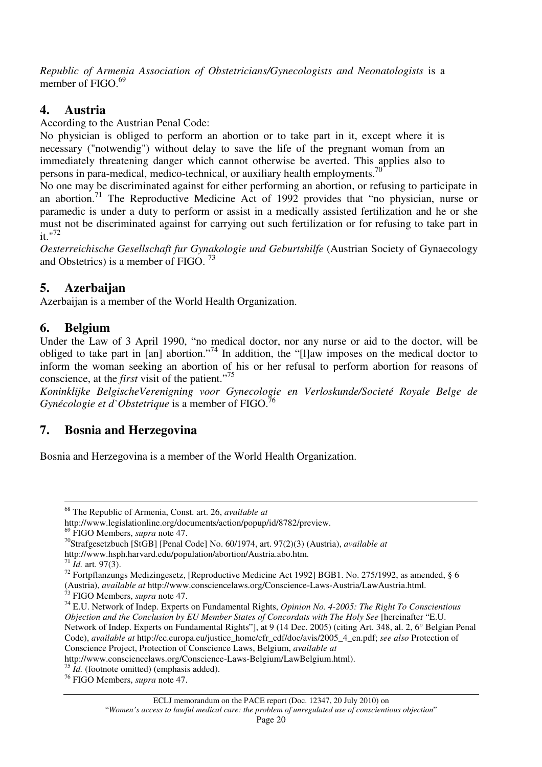*Republic of Armenia Association of Obstetricians/Gynecologists and Neonatologists* is a member of  $FIGO.<sup>69</sup>$ 

# **4. Austria**

According to the Austrian Penal Code:

No physician is obliged to perform an abortion or to take part in it, except where it is necessary ("notwendig") without delay to save the life of the pregnant woman from an immediately threatening danger which cannot otherwise be averted. This applies also to persons in para-medical, medico-technical, or auxiliary health employments.<sup>70</sup>

No one may be discriminated against for either performing an abortion, or refusing to participate in an abortion.<sup>71</sup> The Reproductive Medicine Act of 1992 provides that "no physician, nurse or paramedic is under a duty to perform or assist in a medically assisted fertilization and he or she must not be discriminated against for carrying out such fertilization or for refusing to take part in it."<sup>72</sup>

*Oesterreichische Gesellschaft fur Gynakologie und Geburtshilfe* (Austrian Society of Gynaecology and Obstetrics) is a member of FIGO. <sup>73</sup>

# **5. Azerbaijan**

Azerbaijan is a member of the World Health Organization.

# **6. Belgium**

Under the Law of 3 April 1990, "no medical doctor, nor any nurse or aid to the doctor, will be obliged to take part in [an] abortion."<sup>74</sup> In addition, the "[l]aw imposes on the medical doctor to inform the woman seeking an abortion of his or her refusal to perform abortion for reasons of conscience, at the *first* visit of the patient."<sup>75</sup>

*Koninklijke BelgischeVerenigning voor Gynecologie en Verloskunde/Societé Royale Belge de Gynécologie et d`Obstetrique* is a member of FIGO.<sup>76</sup>

# **7. Bosnia and Herzegovina**

Bosnia and Herzegovina is a member of the World Health Organization.

 $\overline{a}$ 

<sup>72</sup> Fortpflanzungs Medizingesetz, [Reproductive Medicine Act 1992] BGB1. No. 275/1992, as amended, § 6

(Austria), *available at* http://www.consciencelaws.org/Conscience-Laws-Austria/LawAustria.html.

<sup>68</sup> The Republic of Armenia, Const. art. 26, *available at*

http://www.legislationline.org/documents/action/popup/id/8782/preview.

<sup>69</sup> FIGO Members, *supra* note 47.

<sup>70</sup>Strafgesetzbuch [StGB] [Penal Code] No. 60/1974, art. 97(2)(3) (Austria), *available at*

http://www.hsph.harvard.edu/population/abortion/Austria.abo.htm.

 $^{71}$ *Id.* art. 97(3).

<sup>73</sup> FIGO Members, *supra* note 47.

<sup>74</sup> E.U. Network of Indep. Experts on Fundamental Rights, *Opinion No. 4-2005: The Right To Conscientious Objection and the Conclusion by EU Member States of Concordats with The Holy See* [hereinafter "E.U. Network of Indep. Experts on Fundamental Rights"], at 9 (14 Dec. 2005) (citing Art. 348, al. 2, 6° Belgian Penal Code), *available at* http://ec.europa.eu/justice\_home/cfr\_cdf/doc/avis/2005\_4\_en.pdf; *see also* Protection of Conscience Project, Protection of Conscience Laws, Belgium, *available at*

http://www.consciencelaws.org/Conscience-Laws-Belgium/LawBelgium.html).

<sup>75</sup> *Id.* (footnote omitted) (emphasis added).

<sup>76</sup> FIGO Members, *supra* note 47.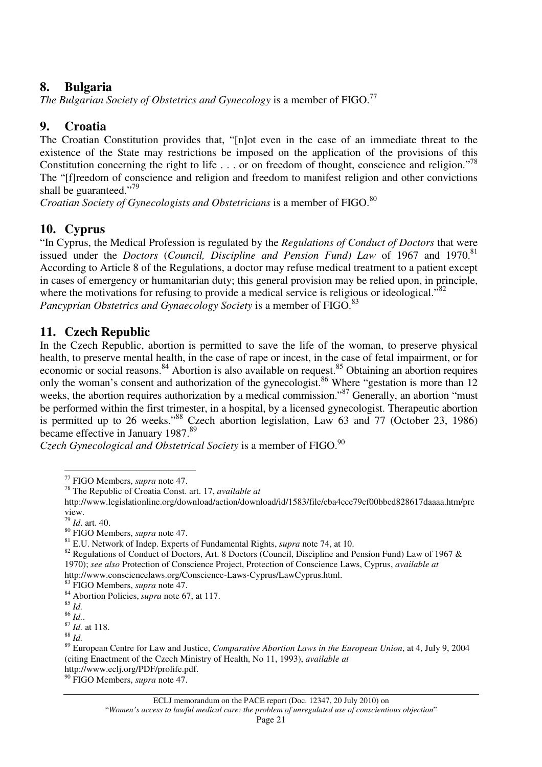# **8. Bulgaria**

*The Bulgarian Society of Obstetrics and Gynecology is a member of FIGO.*<sup>77</sup>

# **9. Croatia**

The Croatian Constitution provides that, "[n]ot even in the case of an immediate threat to the existence of the State may restrictions be imposed on the application of the provisions of this Constitution concerning the right to life  $\dots$  or on freedom of thought, conscience and religion."<sup>78</sup> The "[f]reedom of conscience and religion and freedom to manifest religion and other convictions shall be guaranteed."<sup>79</sup>

*Croatian Society of Gynecologists and Obstetricians* is a member of FIGO.<sup>80</sup>

# **10. Cyprus**

"In Cyprus, the Medical Profession is regulated by the *Regulations of Conduct of Doctors* that were issued under the *Doctors* (*Council, Discipline and Pension Fund*) *Law* of 1967 and 1970.<sup>81</sup> According to Article 8 of the Regulations, a doctor may refuse medical treatment to a patient except in cases of emergency or humanitarian duty; this general provision may be relied upon, in principle, where the motivations for refusing to provide a medical service is religious or ideological."<sup>82</sup> *Pancyprian Obstetrics and Gynaecology Society is a member of FIGO.*<sup>83</sup>

# **11. Czech Republic**

In the Czech Republic, abortion is permitted to save the life of the woman, to preserve physical health, to preserve mental health, in the case of rape or incest, in the case of fetal impairment, or for economic or social reasons.<sup>84</sup> Abortion is also available on request.<sup>85</sup> Obtaining an abortion requires only the woman's consent and authorization of the gynecologist.<sup>86</sup> Where "gestation is more than 12 weeks, the abortion requires authorization by a medical commission."<sup>87</sup> Generally, an abortion "must" be performed within the first trimester, in a hospital, by a licensed gynecologist. Therapeutic abortion is permitted up to 26 weeks."<sup>88</sup> Czech abortion legislation, Law 63 and 77 (October 23, 1986) became effective in January 1987.<sup>89</sup>

*Czech Gynecological and Obstetrical Society is a member of FIGO.*<sup>90</sup>

<sup>82</sup> Regulations of Conduct of Doctors, Art. 8 Doctors (Council, Discipline and Pension Fund) Law of 1967 & 1970); *see also* Protection of Conscience Project, Protection of Conscience Laws, Cyprus, *available at* http://www.consciencelaws.org/Conscience-Laws-Cyprus/LawCyprus.html.

 $\overline{a}$ <sup>77</sup> FIGO Members, *supra* note 47.

<sup>78</sup> The Republic of Croatia Const. art. 17, *available at*

http://www.legislationline.org/download/action/download/id/1583/file/cba4cce79cf00bbcd828617daaaa.htm/pre view.

<sup>79</sup> *Id*. art. 40.

<sup>80</sup> FIGO Members, *supra* note 47.

<sup>81</sup> E.U. Network of Indep. Experts of Fundamental Rights, *supra* note 74, at 10.

<sup>83</sup> FIGO Members, *supra* note 47.

<sup>84</sup> Abortion Policies, *supra* note 67, at 117.

 $85 \overline{Id}$ 

 $^{86}$   $\overline{1}d$ .

<sup>87</sup> *Id.* at 118.

 $\frac{1}{88}$  *Id.* 

<sup>89</sup> European Centre for Law and Justice, *Comparative Abortion Laws in the European Union*, at 4, July 9, 2004 (citing Enactment of the Czech Ministry of Health, No 11, 1993), *available at* http://www.eclj.org/PDF/prolife.pdf.

<sup>90</sup> FIGO Members, *supra* note 47.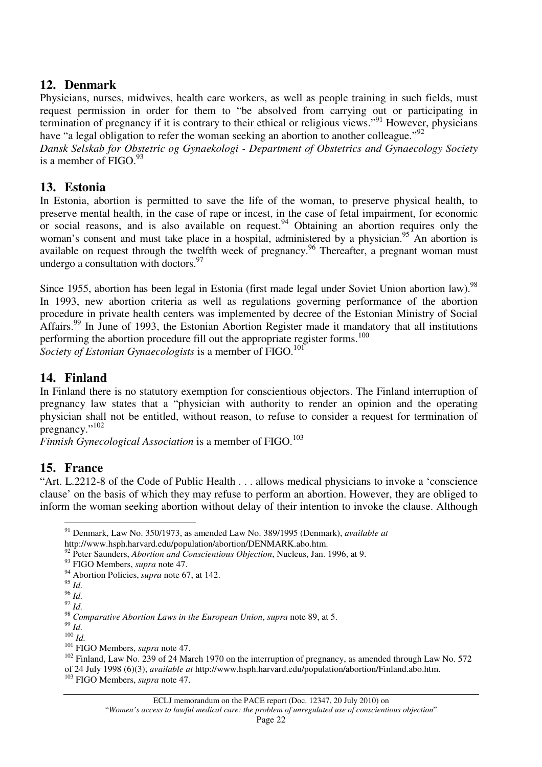# **12. Denmark**

Physicians, nurses, midwives, health care workers, as well as people training in such fields, must request permission in order for them to "be absolved from carrying out or participating in termination of pregnancy if it is contrary to their ethical or religious views."<sup>91</sup> However, physicians have "a legal obligation to refer the woman seeking an abortion to another colleague."<sup>92</sup>

*Dansk Selskab for Obstetric og Gynaekologi - Department of Obstetrics and Gynaecology Society*  is a member of  $FIGO.<sup>93</sup>$ 

# **13. Estonia**

In Estonia, abortion is permitted to save the life of the woman, to preserve physical health, to preserve mental health, in the case of rape or incest, in the case of fetal impairment, for economic or social reasons, and is also available on request.<sup>94</sup> Obtaining an abortion requires only the woman's consent and must take place in a hospital, administered by a physician.<sup>95</sup> An abortion is available on request through the twelfth week of pregnancy.<sup>96</sup> Thereafter, a pregnant woman must undergo a consultation with doctors. $97$ 

Since 1955, abortion has been legal in Estonia (first made legal under Soviet Union abortion law).<sup>98</sup> In 1993, new abortion criteria as well as regulations governing performance of the abortion procedure in private health centers was implemented by decree of the Estonian Ministry of Social Affairs.<sup>99</sup> In June of 1993, the Estonian Abortion Register made it mandatory that all institutions performing the abortion procedure fill out the appropriate register forms.<sup>100</sup> *Society of Estonian Gynaecologists* is a member of FIGO.<sup>101</sup>

# **14. Finland**

In Finland there is no statutory exemption for conscientious objectors. The Finland interruption of pregnancy law states that a "physician with authority to render an opinion and the operating physician shall not be entitled, without reason, to refuse to consider a request for termination of pregnancy."<sup>102</sup>

*Finnish Gynecological Association* is a member of FIGO.<sup>103</sup>

# **15. France**

"Art. L.2212-8 of the Code of Public Health . . . allows medical physicians to invoke a 'conscience clause' on the basis of which they may refuse to perform an abortion. However, they are obliged to inform the woman seeking abortion without delay of their intention to invoke the clause. Although

http://www.hsph.harvard.edu/population/abortion/DENMARK.abo.htm.

of 24 July 1998 (6)(3), *available at* http://www.hsph.harvard.edu/population/abortion/Finland.abo.htm.

<sup>103</sup> FIGO Members, *supra* note 47.

 $\overline{a}$ <sup>91</sup> Denmark, Law No. 350/1973, as amended Law No. 389/1995 (Denmark), *available at*

<sup>92</sup> Peter Saunders, *Abortion and Conscientious Objection*, Nucleus, Jan. 1996, at 9.

<sup>93</sup> FIGO Members, *supra* note 47.

<sup>94</sup> Abortion Policies, *supra* note 67, at 142.

<sup>95</sup> *Id.*

<sup>96</sup> *Id.*

<sup>97</sup> *Id.*

<sup>98</sup> *Comparative Abortion Laws in the European Union*, *supra* note 89, at 5.

<sup>99</sup> *Id.*

 $100$   $\overline{1}$ *d.* 

<sup>101</sup> FIGO Members, *supra* note 47.

<sup>&</sup>lt;sup>102</sup> Finland, Law No. 239 of 24 March 1970 on the interruption of pregnancy, as amended through Law No. 572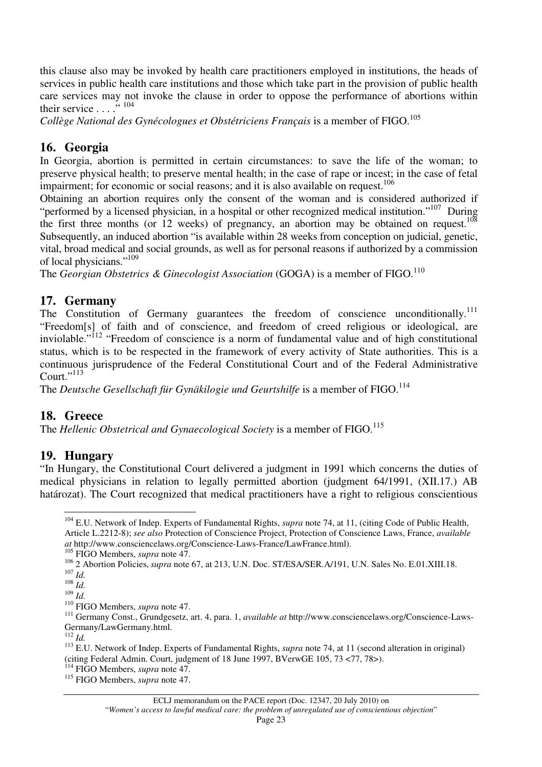this clause also may be invoked by health care practitioners employed in institutions, the heads of services in public health care institutions and those which take part in the provision of public health care services may not invoke the clause in order to oppose the performance of abortions within their service  $\ldots$  ...  $^{5}$  104

*Collège National des Gynécologues et Obstétriciens Français* is a member of FIGO.<sup>105</sup>

# **16. Georgia**

In Georgia, abortion is permitted in certain circumstances: to save the life of the woman; to preserve physical health; to preserve mental health; in the case of rape or incest; in the case of fetal impairment; for economic or social reasons; and it is also available on request.<sup>106</sup>

Obtaining an abortion requires only the consent of the woman and is considered authorized if "performed by a licensed physician, in a hospital or other recognized medical institution."<sup>107</sup> During the first three months (or 12 weeks) of pregnancy, an abortion may be obtained on request.<sup>108</sup> Subsequently, an induced abortion "is available within 28 weeks from conception on judicial, genetic, vital, broad medical and social grounds, as well as for personal reasons if authorized by a commission of local physicians."<sup>109</sup>

The *Georgian Obstetrics & Ginecologist Association* (GOGA) is a member of FIGO.<sup>110</sup>

# **17. Germany**

The Constitution of Germany guarantees the freedom of conscience unconditionally.<sup>111</sup> "Freedom[s] of faith and of conscience, and freedom of creed religious or ideological, are inviolable."<sup>112</sup> "Freedom of conscience is a norm of fundamental value and of high constitutional status, which is to be respected in the framework of every activity of State authorities. This is a continuous jurisprudence of the Federal Constitutional Court and of the Federal Administrative Court." $^{113}$ 

The *Deutsche Gesellschaft für Gynäkilogie und Geurtshilfe* is a member of FIGO.<sup>114</sup>

# **18. Greece**

The *Hellenic Obstetrical and Gynaecological Society* is a member of FIGO.<sup>115</sup>

# **19. Hungary**

"In Hungary, the Constitutional Court delivered a judgment in 1991 which concerns the duties of medical physicians in relation to legally permitted abortion (judgment 64/1991, (XII.17.) AB határozat). The Court recognized that medical practitioners have a right to religious conscientious

<sup>105</sup> FIGO Members, *supra* note 47.

 $\overline{a}$ <sup>104</sup> E.U. Network of Indep. Experts of Fundamental Rights, *supra* note 74, at 11, (citing Code of Public Health, Article L.2212-8); *see also* Protection of Conscience Project, Protection of Conscience Laws, France, *available at* http://www.consciencelaws.org/Conscience-Laws-France/LawFrance.html).

<sup>&</sup>lt;sup>106</sup> 2 Abortion Policies, *supra* note 67, at 213, U.N. Doc. ST/ESA/SER.A/191, U.N. Sales No. E.01.XIII.18.

<sup>107</sup> *Id.*

<sup>108</sup> *Id.*

<sup>109</sup> *Id.*

<sup>110</sup> FIGO Members, *supra* note 47.

<sup>111</sup> Germany Const., Grundgesetz, art. 4, para. 1, *available at* http://www.consciencelaws.org/Conscience-Laws-Germany/LawGermany.html.

<sup>112</sup> *Id.*

<sup>&</sup>lt;sup>113</sup> E.U. Network of Indep. Experts of Fundamental Rights, *supra* note 74, at 11 (second alteration in original) (citing Federal Admin. Court, judgment of 18 June 1997, BVerwGE 105, 73 <77, 78>).

<sup>114</sup> FIGO Members, *supra* note 47.

<sup>115</sup> FIGO Members, *supra* note 47.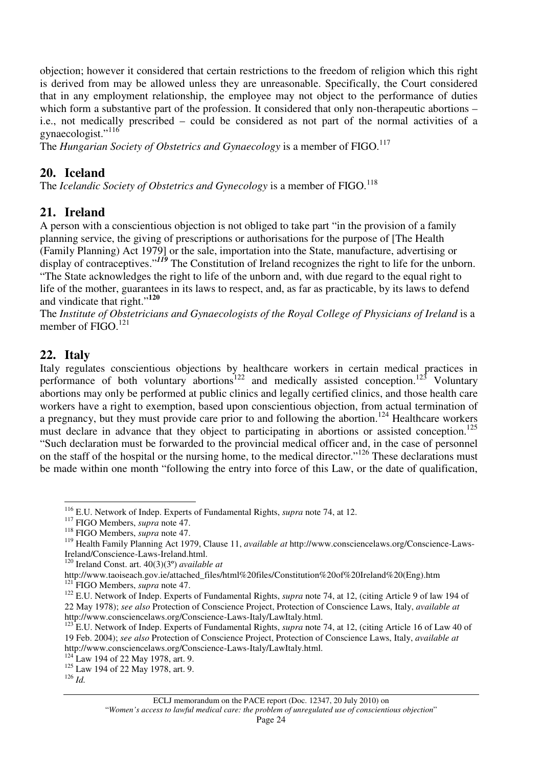objection; however it considered that certain restrictions to the freedom of religion which this right is derived from may be allowed unless they are unreasonable. Specifically, the Court considered that in any employment relationship, the employee may not object to the performance of duties which form a substantive part of the profession. It considered that only non-therapeutic abortions – i.e., not medically prescribed – could be considered as not part of the normal activities of a gynaecologist."<sup>116</sup>

The *Hungarian Society of Obstetrics and Gynaecology* is a member of FIGO.<sup>117</sup>

### **20. Iceland**

The *Icelandic Society of Obstetrics and Gynecology* is a member of FIGO.<sup>118</sup>

### **21. Ireland**

A person with a conscientious objection is not obliged to take part "in the provision of a family planning service, the giving of prescriptions or authorisations for the purpose of [The Health (Family Planning) Act 1979] or the sale, importation into the State, manufacture, advertising or display of contraceptives."<sup>119</sup> The Constitution of Ireland recognizes the right to life for the unborn. "The State acknowledges the right to life of the unborn and, with due regard to the equal right to life of the mother, guarantees in its laws to respect, and, as far as practicable, by its laws to defend and vindicate that right."**<sup>120</sup>**

The *Institute of Obstetricians and Gynaecologists of the Royal College of Physicians of Ireland* is a member of  $FIGO<sub>121</sub>$ 

### **22. Italy**

Italy regulates conscientious objections by healthcare workers in certain medical practices in performance of both voluntary abortions<sup>122</sup> and medically assisted conception.<sup>123</sup> Voluntary abortions may only be performed at public clinics and legally certified clinics, and those health care workers have a right to exemption, based upon conscientious objection, from actual termination of a pregnancy, but they must provide care prior to and following the abortion.<sup>124</sup> Healthcare workers must declare in advance that they object to participating in abortions or assisted conception.<sup>125</sup> "Such declaration must be forwarded to the provincial medical officer and, in the case of personnel on the staff of the hospital or the nursing home, to the medical director."<sup>126</sup> These declarations must be made within one month "following the entry into force of this Law, or the date of qualification,

<sup>121</sup> FIGO Members, *supra* note 47.

<sup>124</sup> Law 194 of 22 May 1978, art. 9.

 $\overline{a}$ <sup>116</sup> E.U. Network of Indep. Experts of Fundamental Rights, *supra* note 74, at 12.

<sup>&</sup>lt;sup>117</sup> FIGO Members, *supra* note 47.

<sup>118</sup> FIGO Members, *supra* note 47.

<sup>119</sup> Health Family Planning Act 1979, Clause 11, *available at* http://www.consciencelaws.org/Conscience-Laws-Ireland/Conscience-Laws-Ireland.html.

<sup>120</sup> Ireland Const. art. 40(3)(3º) *available at*

http://www.taoiseach.gov.ie/attached\_files/html%20files/Constitution%20of%20Ireland%20(Eng).htm

<sup>&</sup>lt;sup>122</sup> E.U. Network of Indep. Experts of Fundamental Rights, *supra* note 74, at 12, (citing Article 9 of law 194 of 22 May 1978); *see also* Protection of Conscience Project, Protection of Conscience Laws, Italy, *available at* http://www.consciencelaws.org/Conscience-Laws-Italy/LawItaly.html.

<sup>&</sup>lt;sup>123</sup> E.U. Network of Indep. Experts of Fundamental Rights, *supra* note 74, at 12, (citing Article 16 of Law 40 of 19 Feb. 2004); *see also* Protection of Conscience Project, Protection of Conscience Laws, Italy, *available at* http://www.consciencelaws.org/Conscience-Laws-Italy/LawItaly.html.

<sup>&</sup>lt;sup>125</sup> Law 194 of 22 May 1978, art. 9.

 $^{126}$  *Id.*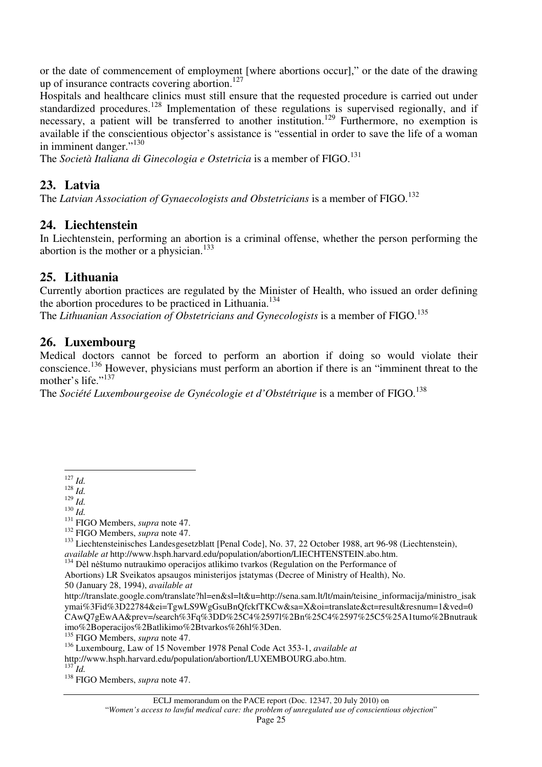or the date of commencement of employment [where abortions occur]," or the date of the drawing up of insurance contracts covering abortion.<sup>127</sup>

Hospitals and healthcare clinics must still ensure that the requested procedure is carried out under standardized procedures.<sup>128</sup> Implementation of these regulations is supervised regionally, and if necessary, a patient will be transferred to another institution.<sup>129</sup> Furthermore, no exemption is available if the conscientious objector's assistance is "essential in order to save the life of a woman in imminent danger."<sup>130</sup>

The *Società Italiana di Ginecologia e Ostetricia* is a member of FIGO.<sup>131</sup>

# **23. Latvia**

The *Latvian Association of Gynaecologists and Obstetricians* is a member of FIGO.<sup>132</sup>

### **24. Liechtenstein**

In Liechtenstein, performing an abortion is a criminal offense, whether the person performing the abortion is the mother or a physician. $133$ 

# **25. Lithuania**

Currently abortion practices are regulated by the Minister of Health, who issued an order defining the abortion procedures to be practiced in Lithuania.<sup>134</sup>

The *Lithuanian Association of Obstetricians and Gynecologists* is a member of FIGO.<sup>135</sup>

# **26. Luxembourg**

Medical doctors cannot be forced to perform an abortion if doing so would violate their conscience.<sup>136</sup> However, physicians must perform an abortion if there is an "imminent threat to the mother's life."<sup>137</sup>

The *Société Luxembourgeoise de Gynécologie et d'Obstétrique* is a member of FIGO.<sup>138</sup>

<sup>128</sup> *Id.*

<sup>129</sup> *Id.*

<sup>130</sup> *Id.*

<sup>131</sup> FIGO Members, *supra* note 47.

<sup>132</sup> FIGO Members, *supra* note 47.

<sup>133</sup> Liechtensteinisches Landesgesetzblatt [Penal Code], No. 37, 22 October 1988, art 96-98 (Liechtenstein), *available at* http://www.hsph.harvard.edu/population/abortion/LIECHTENSTEIN.abo.htm.

<sup>134</sup> Dėl nėštumo nutraukimo operacijos atlikimo tvarkos (Regulation on the Performance of

Abortions) LR Sveikatos apsaugos ministerijos įstatymas (Decree of Ministry of Health), No. 50 (January 28, 1994), *available at*

http://translate.google.com/translate?hl=en&sl=lt&u=http://sena.sam.lt/lt/main/teisine\_informacija/ministro\_isak

ymai%3Fid%3D22784&ei=TgwLS9WgGsuBnQfckfTKCw&sa=X&oi=translate&ct=result&resnum=1&ved=0 CAwQ7gEwAA&prev=/search%3Fq%3DD%25C4%2597l%2Bn%25C4%2597%25C5%25A1tumo%2Bnutrauk imo%2Boperacijos%2Batlikimo%2Btvarkos%26hl%3Den.

<sup>135</sup> FIGO Members, *supra* note 47.

<sup>136</sup> Luxembourg, Law of 15 November 1978 Penal Code Act 353-1, *available at*

http://www.hsph.harvard.edu/population/abortion/LUXEMBOURG.abo.htm.

 $^{137}$ *Id.* 

<sup>138</sup> FIGO Members, *supra* note 47.

 $\overline{a}$ <sup>127</sup> *Id.*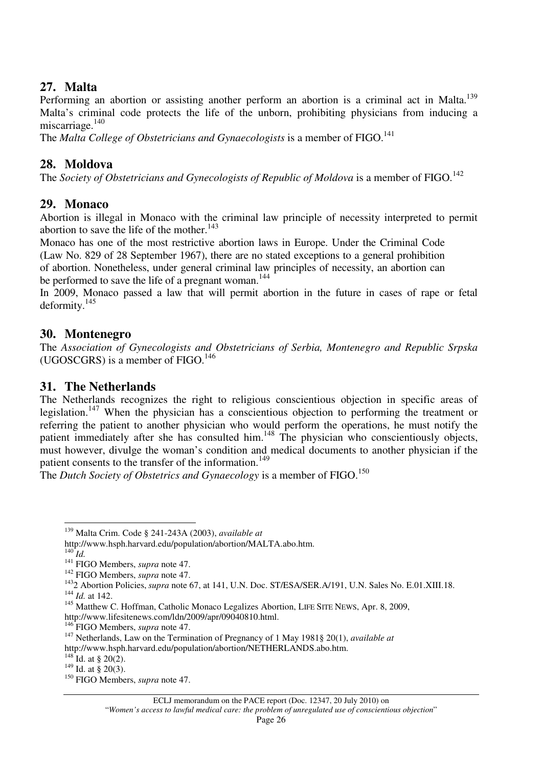# **27. Malta**

Performing an abortion or assisting another perform an abortion is a criminal act in Malta.<sup>139</sup> Malta's criminal code protects the life of the unborn, prohibiting physicians from inducing a miscarriage.<sup>140</sup>

The *Malta College of Obstetricians and Gynaecologists* is a member of FIGO.<sup>141</sup>

# **28. Moldova**

The *Society of Obstetricians and Gynecologists of Republic of Moldova* is a member of FIGO.<sup>142</sup>

# **29. Monaco**

Abortion is illegal in Monaco with the criminal law principle of necessity interpreted to permit abortion to save the life of the mother. $143$ 

Monaco has one of the most restrictive abortion laws in Europe. Under the Criminal Code (Law No. 829 of 28 September 1967), there are no stated exceptions to a general prohibition of abortion. Nonetheless, under general criminal law principles of necessity, an abortion can be performed to save the life of a pregnant woman.<sup>144</sup>

In 2009, Monaco passed a law that will permit abortion in the future in cases of rape or fetal deformity.<sup>145</sup>

# **30. Montenegro**

The *Association of Gynecologists and Obstetricians of Serbia, Montenegro and Republic Srpska* (UGOSCGRS) is a member of  $FIGO.<sup>146</sup>$ 

### **31. The Netherlands**

The Netherlands recognizes the right to religious conscientious objection in specific areas of legislation.<sup>147</sup> When the physician has a conscientious objection to performing the treatment or referring the patient to another physician who would perform the operations, he must notify the patient immediately after she has consulted him.<sup>148</sup> The physician who conscientiously objects, must however, divulge the woman's condition and medical documents to another physician if the patient consents to the transfer of the information.<sup>149</sup>

The *Dutch Society of Obstetrics and Gynaecology* is a member of FIGO.<sup>150</sup>

 $140^{\circ}$ *Id.* 

 $\overline{a}$ 

 $148$  Id. at § 20(2).

<sup>139</sup> Malta Crim. Code § 241-243A (2003), *available at*

http://www.hsph.harvard.edu/population/abortion/MALTA.abo.htm.

<sup>141</sup> FIGO Members, *supra* note 47.

<sup>142</sup> FIGO Members, *supra* note 47.

<sup>&</sup>lt;sup>143</sup>2 Abortion Policies, *supra* note 67, at 141, U.N. Doc. ST/ESA/SER.A/191, U.N. Sales No. E.01.XIII.18. <sup>144</sup> *Id.* at 142.

<sup>&</sup>lt;sup>145</sup> Matthew C. Hoffman, Catholic Monaco Legalizes Abortion, LIFE SITE NEWS, Apr. 8, 2009,

http://www.lifesitenews.com/ldn/2009/apr/09040810.html.

<sup>146</sup> FIGO Members, *supra* note 47.

<sup>147</sup> Netherlands, Law on the Termination of Pregnancy of 1 May 1981§ 20(1), *available at*

http://www.hsph.harvard.edu/population/abortion/NETHERLANDS.abo.htm.

 $149$  Id. at § 20(3).

<sup>150</sup> FIGO Members, *supra* note 47.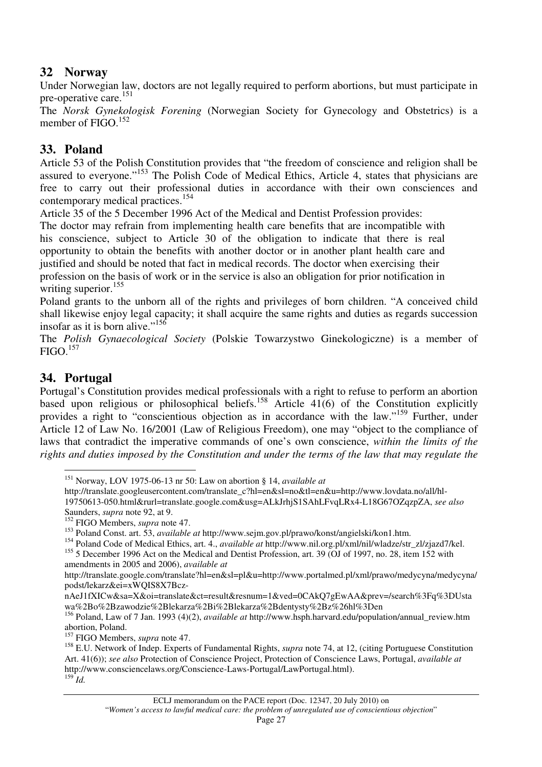# **32 Norway**

Under Norwegian law, doctors are not legally required to perform abortions, but must participate in pre-operative care.<sup>151</sup>

The *Norsk Gynekologisk Forening* (Norwegian Society for Gynecology and Obstetrics) is a member of FIGO.<sup>152</sup>

# **33. Poland**

Article 53 of the Polish Constitution provides that "the freedom of conscience and religion shall be assured to everyone."<sup>153</sup> The Polish Code of Medical Ethics, Article 4, states that physicians are free to carry out their professional duties in accordance with their own consciences and contemporary medical practices.<sup>154</sup>

Article 35 of the 5 December 1996 Act of the Medical and Dentist Profession provides:

The doctor may refrain from implementing health care benefits that are incompatible with his conscience, subject to Article 30 of the obligation to indicate that there is real opportunity to obtain the benefits with another doctor or in another plant health care and justified and should be noted that fact in medical records. The doctor when exercising their profession on the basis of work or in the service is also an obligation for prior notification in writing superior.<sup>155</sup>

Poland grants to the unborn all of the rights and privileges of born children. "A conceived child shall likewise enjoy legal capacity; it shall acquire the same rights and duties as regards succession insofar as it is born alive."<sup>156</sup>

The *Polish Gynaecological Society* (Polskie Towarzystwo Ginekologiczne) is a member of  $FIGO.<sup>157</sup>$ 

# **34. Portugal**

Portugal's Constitution provides medical professionals with a right to refuse to perform an abortion based upon religious or philosophical beliefs.<sup>158</sup> Article 41(6) of the Constitution explicitly provides a right to "conscientious objection as in accordance with the law."<sup>159</sup> Further, under Article 12 of Law No. 16/2001 (Law of Religious Freedom), one may "object to the compliance of laws that contradict the imperative commands of one's own conscience, *within the limits of the rights and duties imposed by the Constitution and under the terms of the law that may regulate the* 

<sup>157</sup> FIGO Members, *supra* note 47.

 $\overline{a}$ <sup>151</sup> Norway, LOV 1975-06-13 nr 50: Law on abortion § 14, *available at*

http://translate.googleusercontent.com/translate\_c?hl=en&sl=no&tl=en&u=http://www.lovdata.no/all/hl-19750613-050.html&rurl=translate.google.com&usg=ALkJrhjS1SAhLFvqLRx4-L18G67OZqzpZA, *see also* Saunders, *supra* note 92, at 9.

<sup>152</sup> FIGO Members, *supra* note 47.

<sup>153</sup> Poland Const. art. 53, *available at* http://www.sejm.gov.pl/prawo/konst/angielski/kon1.htm.

<sup>154</sup> Poland Code of Medical Ethics, art. 4., *available at* http://www.nil.org.pl/xml/nil/wladze/str\_zl/zjazd7/kel.

<sup>&</sup>lt;sup>155</sup> 5 December 1996 Act on the Medical and Dentist Profession, art. 39 (OJ of 1997, no. 28, item 152 with amendments in 2005 and 2006), *available at*

http://translate.google.com/translate?hl=en&sl=pl&u=http://www.portalmed.pl/xml/prawo/medycyna/medycyna/ podst/lekarz&ei=xWQIS8X7Bcz-

nAeJ1fXICw&sa=X&oi=translate&ct=result&resnum=1&ved=0CAkQ7gEwAA&prev=/search%3Fq%3DUsta wa%2Bo%2Bzawodzie%2Blekarza%2Bi%2Blekarza%2Bdentysty%2Bz%26hl%3Den

<sup>156</sup> Poland, Law of 7 Jan. 1993 (4)(2), *available at* http://www.hsph.harvard.edu/population/annual\_review.htm abortion, Poland.

<sup>158</sup> E.U. Network of Indep. Experts of Fundamental Rights, *supra* note 74, at 12, (citing Portuguese Constitution Art. 41(6)); *see also* Protection of Conscience Project, Protection of Conscience Laws, Portugal, *available at*  http://www.consciencelaws.org/Conscience-Laws-Portugal/LawPortugal.html).  $^{159}$ *Id.*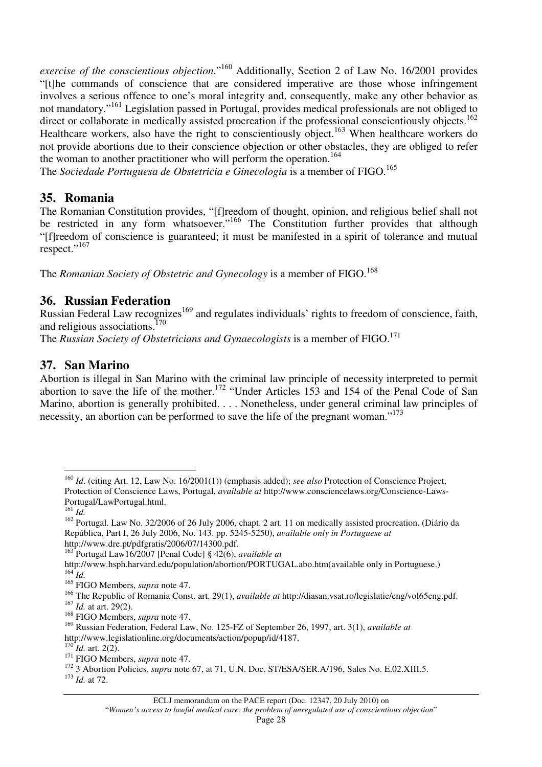*exercise of the conscientious objection*."<sup>160</sup> Additionally, Section 2 of Law No. 16/2001 provides "[t]he commands of conscience that are considered imperative are those whose infringement involves a serious offence to one's moral integrity and, consequently, make any other behavior as not mandatory."<sup>161</sup> Legislation passed in Portugal, provides medical professionals are not obliged to direct or collaborate in medically assisted procreation if the professional conscientiously objects.<sup>162</sup> Healthcare workers, also have the right to conscientiously object.<sup>163</sup> When healthcare workers do not provide abortions due to their conscience objection or other obstacles, they are obliged to refer the woman to another practitioner who will perform the operation.<sup>164</sup>

The *Sociedade Portuguesa de Obstetricia e Ginecologia* is a member of FIGO.<sup>165</sup>

# **35. Romania**

The Romanian Constitution provides, "[f]reedom of thought, opinion, and religious belief shall not be restricted in any form whatsoever."<sup>166</sup> The Constitution further provides that although "[f]reedom of conscience is guaranteed; it must be manifested in a spirit of tolerance and mutual respect."<sup>167</sup>

The *Romanian Society of Obstetric and Gynecology* is a member of FIGO.<sup>168</sup>

# **36. Russian Federation**

Russian Federal Law recognizes<sup>169</sup> and regulates individuals' rights to freedom of conscience, faith, and religious associations.<sup>170</sup>

The *Russian Society of Obstetricians and Gynaecologists* is a member of FIGO.<sup>171</sup>

# **37. San Marino**

Abortion is illegal in San Marino with the criminal law principle of necessity interpreted to permit abortion to save the life of the mother.<sup>172</sup> "Under Articles 153 and 154 of the Penal Code of San Marino, abortion is generally prohibited. . . . Nonetheless, under general criminal law principles of necessity, an abortion can be performed to save the life of the pregnant woman."<sup>173</sup>

<sup>173</sup> *Id.* at 72.

 $\overline{a}$ <sup>160</sup> *Id*. (citing Art. 12, Law No. 16/2001(1)) (emphasis added); *see also* Protection of Conscience Project, Protection of Conscience Laws, Portugal, *available at* http://www.consciencelaws.org/Conscience-Laws-Portugal/LawPortugal.html.

<sup>161</sup> *Id.*

<sup>&</sup>lt;sup>162</sup> Portugal. Law No. 32/2006 of 26 July 2006, chapt. 2 art. 11 on medically assisted procreation. (Diário da República, Part I, 26 July 2006, No. 143. pp. 5245-5250), *available only in Portuguese at* http://www.dre.pt/pdfgratis/2006/07/14300.pdf.

<sup>163</sup> Portugal Law16/2007 [Penal Code] § 42(6), *available at*

http://www.hsph.harvard.edu/population/abortion/PORTUGAL.abo.htm(available only in Portuguese.)  $^{164}$  *Id.* 

<sup>&</sup>lt;sup>165</sup> FIGO Members, *supra* note 47.

<sup>166</sup> The Republic of Romania Const. art. 29(1), *available at* http://diasan.vsat.ro/legislatie/eng/vol65eng.pdf.

<sup>167</sup> *Id.* at art. 29(2).

<sup>168</sup> FIGO Members, *supra* note 47.

<sup>169</sup> Russian Federation, Federal Law, No. 125-FZ of September 26, 1997, art. 3(1), *available at* http://www.legislationline.org/documents/action/popup/id/4187.

 $^{170}$ *Id.* art. 2(2).

<sup>171</sup> FIGO Members, *supra* note 47.

<sup>&</sup>lt;sup>172</sup> 3 Abortion Policies, *supra* note 67, at 71, U.N. Doc. ST/ESA/SER.A/196, Sales No. E.02.XIII.5.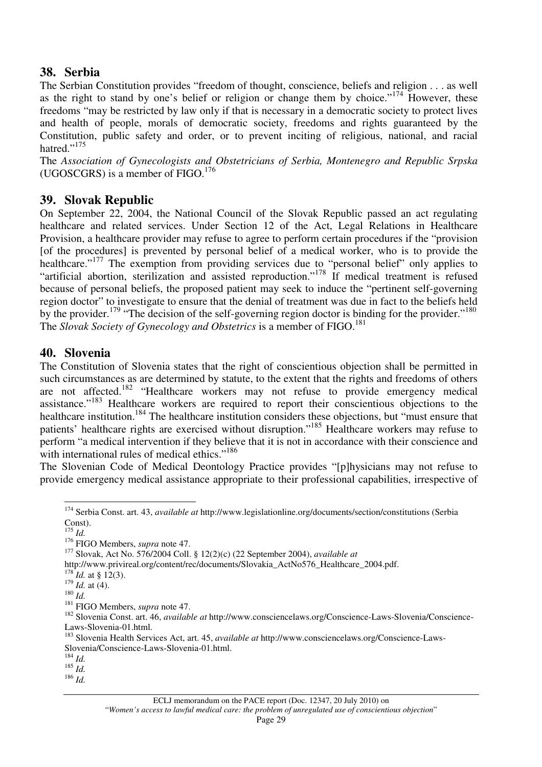# **38. Serbia**

The Serbian Constitution provides "freedom of thought, conscience, beliefs and religion . . . as well as the right to stand by one's belief or religion or change them by choice."<sup>174</sup> However, these freedoms "may be restricted by law only if that is necessary in a democratic society to protect lives and health of people, morals of democratic society, freedoms and rights guaranteed by the Constitution, public safety and order, or to prevent inciting of religious, national, and racial hatred."<sup>175</sup>

The *Association of Gynecologists and Obstetricians of Serbia, Montenegro and Republic Srpska* (UGOSCGRS) is a member of FIGO. $176$ 

# **39. Slovak Republic**

On September 22, 2004, the National Council of the Slovak Republic passed an act regulating healthcare and related services. Under Section 12 of the Act, Legal Relations in Healthcare Provision, a healthcare provider may refuse to agree to perform certain procedures if the "provision [of the procedures] is prevented by personal belief of a medical worker, who is to provide the healthcare."<sup>177</sup> The exemption from providing services due to "personal belief" only applies to "artificial abortion, sterilization and assisted reproduction."<sup>178</sup> If medical treatment is refused because of personal beliefs, the proposed patient may seek to induce the "pertinent self-governing region doctor" to investigate to ensure that the denial of treatment was due in fact to the beliefs held by the provider.<sup>179</sup> "The decision of the self-governing region doctor is binding for the provider."<sup>180</sup> The *Slovak Society of Gynecology and Obstetrics* is a member of FIGO.<sup>181</sup>

#### **40. Slovenia**

The Constitution of Slovenia states that the right of conscientious objection shall be permitted in such circumstances as are determined by statute, to the extent that the rights and freedoms of others are not affected.<sup>182</sup> "Healthcare workers may not refuse to provide emergency medical assistance."<sup>183</sup> Healthcare workers are required to report their conscientious objections to the healthcare institution.<sup>184</sup> The healthcare institution considers these objections, but "must ensure that patients' healthcare rights are exercised without disruption."<sup>185</sup> Healthcare workers may refuse to perform "a medical intervention if they believe that it is not in accordance with their conscience and with international rules of medical ethics."<sup>186</sup>

The Slovenian Code of Medical Deontology Practice provides "[p]hysicians may not refuse to provide emergency medical assistance appropriate to their professional capabilities, irrespective of

 $\overline{a}$ <sup>174</sup> Serbia Const. art. 43, *available at* http://www.legislationline.org/documents/section/constitutions (Serbia Const).

<sup>175</sup> *Id.*

<sup>&</sup>lt;sup>176</sup> FIGO Members, *supra* note 47.

<sup>177</sup> Slovak, Act No. 576/2004 Coll. § 12(2)(c) (22 September 2004), *available at*

http://www.privireal.org/content/rec/documents/Slovakia\_ActNo576\_Healthcare\_2004.pdf.

 $178$ <sup>178</sup>*Id.* at § 12(3).

 $179$  *Id.* at (4).

 $180$   $\bar{I}$ .

<sup>181</sup> FIGO Members, *supra* note 47.

<sup>182</sup> Slovenia Const. art. 46, *available at* http://www.consciencelaws.org/Conscience-Laws-Slovenia/Conscience-Laws-Slovenia-01.html.

<sup>183</sup> Slovenia Health Services Act, art. 45, *available at* http://www.consciencelaws.org/Conscience-Laws-Slovenia/Conscience-Laws-Slovenia-01.html.

<sup>184</sup> *Id.*

<sup>185</sup> *Id.*

 $^{186}$  *Id.*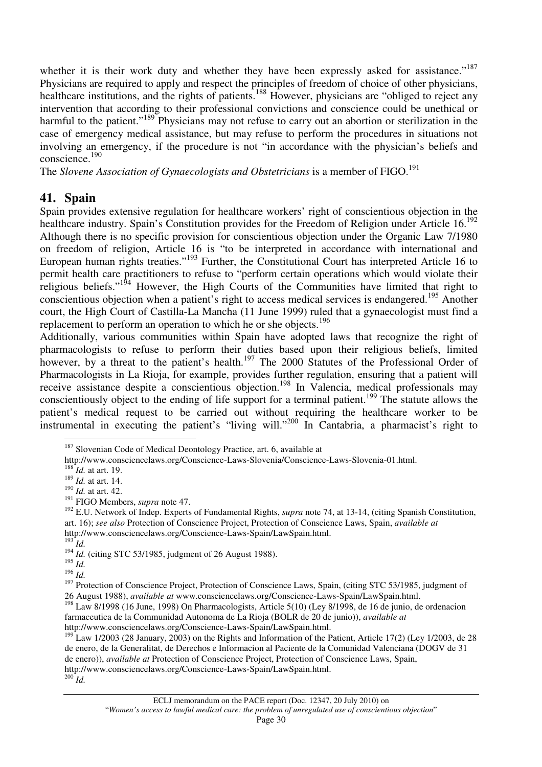whether it is their work duty and whether they have been expressly asked for assistance."<sup>187</sup> Physicians are required to apply and respect the principles of freedom of choice of other physicians, healthcare institutions, and the rights of patients.<sup>188</sup> However, physicians are "obliged to reject any intervention that according to their professional convictions and conscience could be unethical or harmful to the patient."<sup>189</sup> Physicians may not refuse to carry out an abortion or sterilization in the case of emergency medical assistance, but may refuse to perform the procedures in situations not involving an emergency, if the procedure is not "in accordance with the physician's beliefs and conscience.<sup>190</sup>

The *Slovene Association of Gynaecologists and Obstetricians* is a member of FIGO.<sup>191</sup>

### **41. Spain**

Spain provides extensive regulation for healthcare workers' right of conscientious objection in the healthcare industry. Spain's Constitution provides for the Freedom of Religion under Article 16.<sup>192</sup> Although there is no specific provision for conscientious objection under the Organic Law 7/1980 on freedom of religion, Article 16 is "to be interpreted in accordance with international and European human rights treaties."<sup>193</sup> Further, the Constitutional Court has interpreted Article 16 to permit health care practitioners to refuse to "perform certain operations which would violate their religious beliefs."<sup>194</sup> However, the High Courts of the Communities have limited that right to conscientious objection when a patient's right to access medical services is endangered.<sup>195</sup> Another court, the High Court of Castilla-La Mancha (11 June 1999) ruled that a gynaecologist must find a replacement to perform an operation to which he or she objects.<sup>196</sup>

Additionally, various communities within Spain have adopted laws that recognize the right of pharmacologists to refuse to perform their duties based upon their religious beliefs, limited however, by a threat to the patient's health.<sup>197</sup> The 2000 Statutes of the Professional Order of Pharmacologists in La Rioja, for example, provides further regulation, ensuring that a patient will receive assistance despite a conscientious objection.<sup>198</sup> In Valencia, medical professionals may conscientiously object to the ending of life support for a terminal patient.<sup>199</sup> The statute allows the patient's medical request to be carried out without requiring the healthcare worker to be instrumental in executing the patient's "living will."<sup>200</sup> In Cantabria, a pharmacist's right to

 $^{199}$  Law 1/2003 (28 January, 2003) on the Rights and Information of the Patient, Article 17(2) (Ley 1/2003, de 28 de enero, de la Generalitat, de Derechos e Informacion al Paciente de la Comunidad Valenciana (DOGV de 31

de enero)), *available at* Protection of Conscience Project, Protection of Conscience Laws, Spain, http://www.consciencelaws.org/Conscience-Laws-Spain/LawSpain.html.

 $\overline{a}$ <sup>187</sup> Slovenian Code of Medical Deontology Practice, art. 6, available at

http://www.consciencelaws.org/Conscience-Laws-Slovenia/Conscience-Laws-Slovenia-01.html.

<sup>&</sup>lt;sup>188</sup>*Id.* at art. 19.

<sup>189</sup> *Id.* at art. 14.

<sup>190</sup> *Id.* at art. 42.

<sup>191</sup> FIGO Members, *supra* note 47.

<sup>&</sup>lt;sup>192</sup> E.U. Network of Indep. Experts of Fundamental Rights, *supra* note 74, at 13-14, (citing Spanish Constitution, art. 16); *see also* Protection of Conscience Project, Protection of Conscience Laws, Spain, *available at* http://www.consciencelaws.org/Conscience-Laws-Spain/LawSpain.html.  $^{193}$ *Id.* 

<sup>&</sup>lt;sup>194</sup> *Id.* (citing STC 53/1985, judgment of 26 August 1988).

<sup>195</sup> *Id.*

<sup>196</sup> *Id.*

<sup>&</sup>lt;sup>197</sup> Protection of Conscience Project, Protection of Conscience Laws, Spain, (citing STC 53/1985, judgment of 26 August 1988), *available at* www.consciencelaws.org/Conscience-Laws-Spain/LawSpain.html.

<sup>198</sup> Law 8/1998 (16 June, 1998) On Pharmacologists, Article 5(10) (Ley 8/1998, de 16 de junio, de ordenacion farmaceutica de la Communidad Autonoma de La Rioja (BOLR de 20 de junio)), *available at* http://www.consciencelaws.org/Conscience-Laws-Spain/LawSpain.html.

 $^{200}$ *Id.*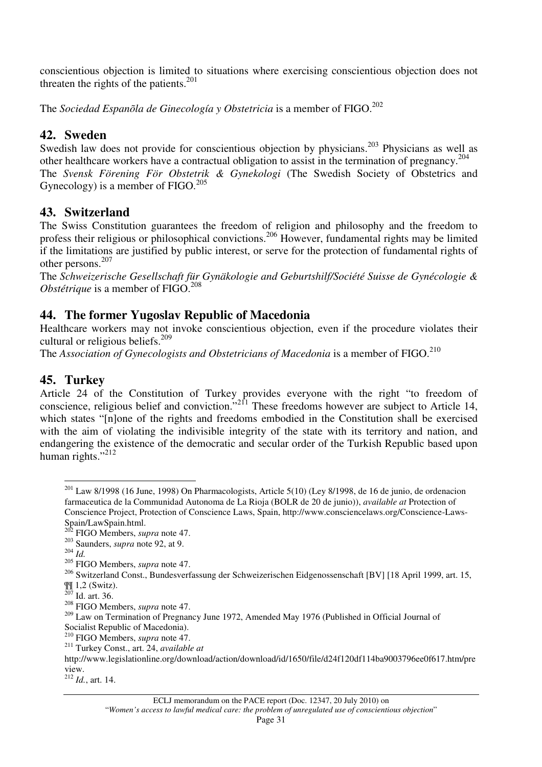conscientious objection is limited to situations where exercising conscientious objection does not threaten the rights of the patients.<sup>201</sup>

The *Sociedad Espanõla de Ginecología y Obstetricia* is a member of FIGO.<sup>202</sup>

# **42. Sweden**

Swedish law does not provide for conscientious objection by physicians.<sup>203</sup> Physicians as well as other healthcare workers have a contractual obligation to assist in the termination of pregnancy.<sup>204</sup> The *Svensk Förening För Obstetrik & Gynekologi* (The Swedish Society of Obstetrics and Gynecology) is a member of FIGO. $^{205}$ 

# **43. Switzerland**

The Swiss Constitution guarantees the freedom of religion and philosophy and the freedom to profess their religious or philosophical convictions.<sup>206</sup> However, fundamental rights may be limited if the limitations are justified by public interest, or serve for the protection of fundamental rights of other persons.<sup>207</sup>

The *Schweizerische Gesellschaft für Gynäkologie and Geburtshilf/Société Suisse de Gynécologie & Obstétrique* is a member of FIGO.<sup>208</sup>

# **44. The former Yugoslav Republic of Macedonia**

Healthcare workers may not invoke conscientious objection, even if the procedure violates their cultural or religious beliefs. $209$ 

The *Association of Gynecologists and Obstetricians of Macedonia* is a member of FIGO.<sup>210</sup>

# **45. Turkey**

Article 24 of the Constitution of Turkey provides everyone with the right "to freedom of conscience, religious belief and conviction."<sup>2 $\Omega$ </sup> These freedoms however are subject to Article 14, which states "[n]one of the rights and freedoms embodied in the Constitution shall be exercised with the aim of violating the indivisible integrity of the state with its territory and nation, and endangering the existence of the democratic and secular order of the Turkish Republic based upon human rights."<sup>212</sup>

<sup>212</sup> *Id.*, art. 14.

 $\overline{a}$  $201$  Law 8/1998 (16 June, 1998) On Pharmacologists, Article 5(10) (Ley 8/1998, de 16 de junio, de ordenacion farmaceutica de la Communidad Autonoma de La Rioja (BOLR de 20 de junio)), *available at* Protection of Conscience Project, Protection of Conscience Laws, Spain, http://www.consciencelaws.org/Conscience-Laws-Spain/LawSpain.html.

FIGO Members, *supra* note 47.

<sup>203</sup> Saunders, *supra* note 92, at 9.

 $204$  *Id.* 

<sup>205</sup> FIGO Members, *supra* note 47.

<sup>206</sup> Switzerland Const., Bundesverfassung der Schweizerischen Eidgenossenschaft [BV] [18 April 1999, art. 15,

 $\prod_{207}$  1,2 (Switz).  $^7$  Id. art. 36.

<sup>208</sup> FIGO Members, *supra* note 47.

<sup>&</sup>lt;sup>209</sup> Law on Termination of Pregnancy June 1972, Amended May 1976 (Published in Official Journal of Socialist Republic of Macedonia).

<sup>210</sup> FIGO Members, *supra* note 47.

<sup>211</sup> Turkey Const., art. 24, *available at*

http://www.legislationline.org/download/action/download/id/1650/file/d24f120df114ba9003796ee0f617.htm/pre view.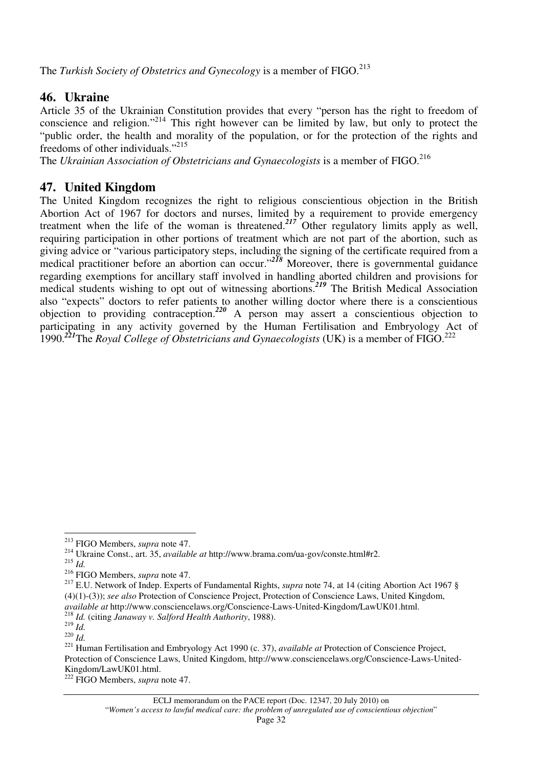The *Turkish Society of Obstetrics and Gynecology* is a member of FIGO.<sup>213</sup>

# **46. Ukraine**

Article 35 of the Ukrainian Constitution provides that every "person has the right to freedom of conscience and religion."<sup>214</sup> This right however can be limited by law, but only to protect the "public order, the health and morality of the population, or for the protection of the rights and freedoms of other individuals." $^{215}$ 

The *Ukrainian Association of Obstetricians and Gynaecologists* is a member of FIGO.<sup>216</sup>

# **47. United Kingdom**

The United Kingdom recognizes the right to religious conscientious objection in the British Abortion Act of 1967 for doctors and nurses, limited by a requirement to provide emergency treatment when the life of the woman is threatened.*<sup>217</sup>* Other regulatory limits apply as well, requiring participation in other portions of treatment which are not part of the abortion, such as giving advice or "various participatory steps, including the signing of the certificate required from a medical practitioner before an abortion can occur."<sup>218</sup> Moreover, there is governmental guidance regarding exemptions for ancillary staff involved in handling aborted children and provisions for medical students wishing to opt out of witnessing abortions.<sup>219</sup> The British Medical Association also "expects" doctors to refer patients to another willing doctor where there is a conscientious objection to providing contraception.*<sup>220</sup>* A person may assert a conscientious objection to participating in any activity governed by the Human Fertilisation and Embryology Act of 1990.*<sup>221</sup>*The *Royal College of Obstetricians and Gynaecologists* (UK) is a member of FIGO.<sup>222</sup>

<sup>222</sup> FIGO Members, *supra* note 47.

 $\overline{a}$ <sup>213</sup> FIGO Members, *supra* note 47.

<sup>214</sup> Ukraine Const., art. 35, *available at* http://www.brama.com/ua-gov/conste.html#r2.

<sup>215</sup> *Id.*

<sup>216</sup> FIGO Members, *supra* note 47.

<sup>&</sup>lt;sup>217</sup> E.U. Network of Indep. Experts of Fundamental Rights, *supra* note 74, at 14 (citing Abortion Act 1967 § (4)(1)-(3)); *see also* Protection of Conscience Project, Protection of Conscience Laws, United Kingdom, *available at* http://www.consciencelaws.org/Conscience-Laws-United-Kingdom/LawUK01.html.

<sup>218</sup> *Id.* (citing *Janaway v. Salford Health Authority*, 1988). <sup>219</sup> *Id.*

 $^{220}$  *Id.* 

<sup>221</sup> Human Fertilisation and Embryology Act 1990 (c. 37), *available at* Protection of Conscience Project, Protection of Conscience Laws, United Kingdom, http://www.consciencelaws.org/Conscience-Laws-United-Kingdom/LawUK01.html.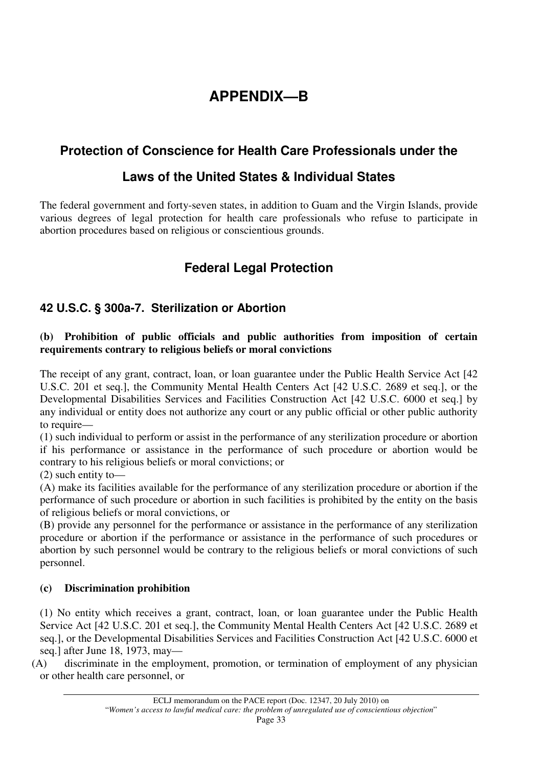# **APPENDIX—B**

# **Protection of Conscience for Health Care Professionals under the**

# **Laws of the United States & Individual States**

The federal government and forty-seven states, in addition to Guam and the Virgin Islands, provide various degrees of legal protection for health care professionals who refuse to participate in abortion procedures based on religious or conscientious grounds.

# **Federal Legal Protection**

# **42 U.S.C. § 300a-7. Sterilization or Abortion**

#### **(b) Prohibition of public officials and public authorities from imposition of certain requirements contrary to religious beliefs or moral convictions**

The receipt of any grant, contract, loan, or loan guarantee under the Public Health Service Act [42 U.S.C. 201 et seq.], the Community Mental Health Centers Act [42 U.S.C. 2689 et seq.], or the Developmental Disabilities Services and Facilities Construction Act [42 U.S.C. 6000 et seq.] by any individual or entity does not authorize any court or any public official or other public authority to require—

(1) such individual to perform or assist in the performance of any sterilization procedure or abortion if his performance or assistance in the performance of such procedure or abortion would be contrary to his religious beliefs or moral convictions; or

(2) such entity to—

(A) make its facilities available for the performance of any sterilization procedure or abortion if the performance of such procedure or abortion in such facilities is prohibited by the entity on the basis of religious beliefs or moral convictions, or

(B) provide any personnel for the performance or assistance in the performance of any sterilization procedure or abortion if the performance or assistance in the performance of such procedures or abortion by such personnel would be contrary to the religious beliefs or moral convictions of such personnel.

#### **(c) Discrimination prohibition**

(1) No entity which receives a grant, contract, loan, or loan guarantee under the Public Health Service Act [42 U.S.C. 201 et seq.], the Community Mental Health Centers Act [42 U.S.C. 2689 et seq.], or the Developmental Disabilities Services and Facilities Construction Act [42 U.S.C. 6000 et seq.] after June 18, 1973, may—

(A) discriminate in the employment, promotion, or termination of employment of any physician or other health care personnel, or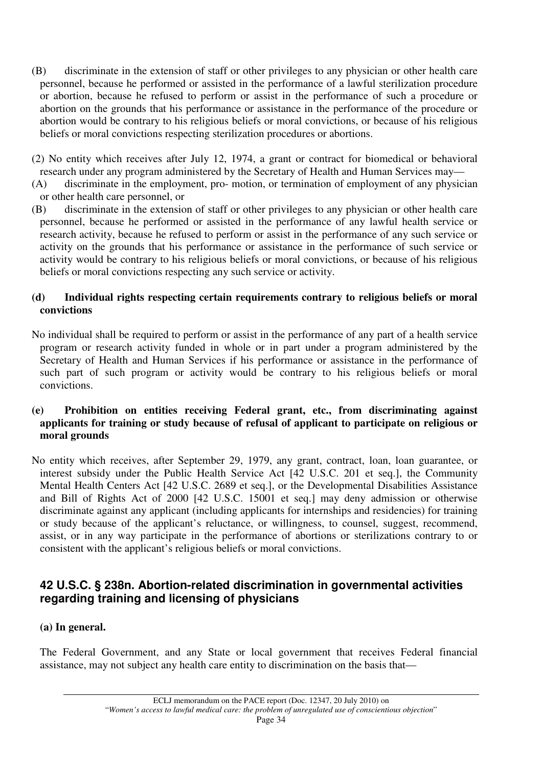- (B) discriminate in the extension of staff or other privileges to any physician or other health care personnel, because he performed or assisted in the performance of a lawful sterilization procedure or abortion, because he refused to perform or assist in the performance of such a procedure or abortion on the grounds that his performance or assistance in the performance of the procedure or abortion would be contrary to his religious beliefs or moral convictions, or because of his religious beliefs or moral convictions respecting sterilization procedures or abortions.
- (2) No entity which receives after July 12, 1974, a grant or contract for biomedical or behavioral research under any program administered by the Secretary of Health and Human Services may—
- (A) discriminate in the employment, pro- motion, or termination of employment of any physician or other health care personnel, or
- (B) discriminate in the extension of staff or other privileges to any physician or other health care personnel, because he performed or assisted in the performance of any lawful health service or research activity, because he refused to perform or assist in the performance of any such service or activity on the grounds that his performance or assistance in the performance of such service or activity would be contrary to his religious beliefs or moral convictions, or because of his religious beliefs or moral convictions respecting any such service or activity.

#### **(d) Individual rights respecting certain requirements contrary to religious beliefs or moral convictions**

No individual shall be required to perform or assist in the performance of any part of a health service program or research activity funded in whole or in part under a program administered by the Secretary of Health and Human Services if his performance or assistance in the performance of such part of such program or activity would be contrary to his religious beliefs or moral convictions.

#### **(e) Prohibition on entities receiving Federal grant, etc., from discriminating against applicants for training or study because of refusal of applicant to participate on religious or moral grounds**

No entity which receives, after September 29, 1979, any grant, contract, loan, loan guarantee, or interest subsidy under the Public Health Service Act [42 U.S.C. 201 et seq.], the Community Mental Health Centers Act [42 U.S.C. 2689 et seq.], or the Developmental Disabilities Assistance and Bill of Rights Act of 2000 [42 U.S.C. 15001 et seq.] may deny admission or otherwise discriminate against any applicant (including applicants for internships and residencies) for training or study because of the applicant's reluctance, or willingness, to counsel, suggest, recommend, assist, or in any way participate in the performance of abortions or sterilizations contrary to or consistent with the applicant's religious beliefs or moral convictions.

# **42 U.S.C. § 238n. Abortion-related discrimination in governmental activities regarding training and licensing of physicians**

#### **(a) In general.**

The Federal Government, and any State or local government that receives Federal financial assistance, may not subject any health care entity to discrimination on the basis that—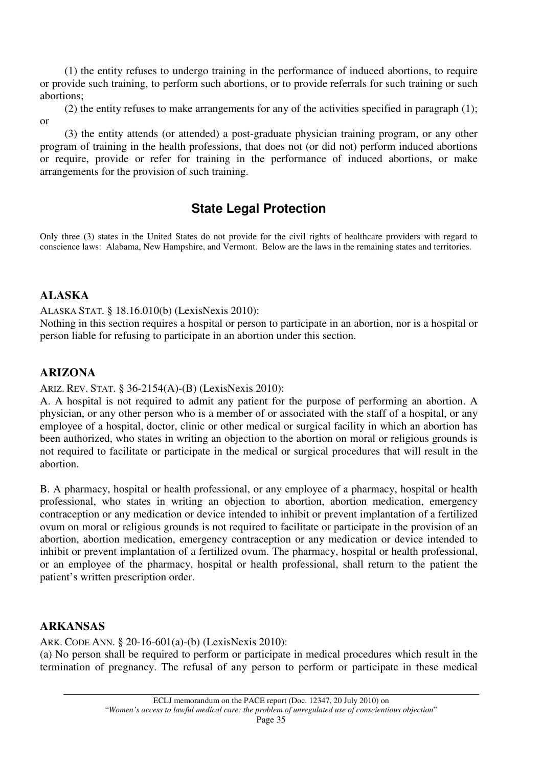(1) the entity refuses to undergo training in the performance of induced abortions, to require or provide such training, to perform such abortions, or to provide referrals for such training or such abortions;

 (2) the entity refuses to make arrangements for any of the activities specified in paragraph (1); or

 (3) the entity attends (or attended) a post-graduate physician training program, or any other program of training in the health professions, that does not (or did not) perform induced abortions or require, provide or refer for training in the performance of induced abortions, or make arrangements for the provision of such training.

# **State Legal Protection**

Only three (3) states in the United States do not provide for the civil rights of healthcare providers with regard to conscience laws: Alabama, New Hampshire, and Vermont. Below are the laws in the remaining states and territories.

#### **ALASKA**

ALASKA STAT. § 18.16.010(b) (LexisNexis 2010):

Nothing in this section requires a hospital or person to participate in an abortion, nor is a hospital or person liable for refusing to participate in an abortion under this section.

#### **ARIZONA**

#### ARIZ. REV. STAT. § 36-2154(A)-(B) (LexisNexis 2010):

A. A hospital is not required to admit any patient for the purpose of performing an abortion. A physician, or any other person who is a member of or associated with the staff of a hospital, or any employee of a hospital, doctor, clinic or other medical or surgical facility in which an abortion has been authorized, who states in writing an objection to the abortion on moral or religious grounds is not required to facilitate or participate in the medical or surgical procedures that will result in the abortion.

B. A pharmacy, hospital or health professional, or any employee of a pharmacy, hospital or health professional, who states in writing an objection to abortion, abortion medication, emergency contraception or any medication or device intended to inhibit or prevent implantation of a fertilized ovum on moral or religious grounds is not required to facilitate or participate in the provision of an abortion, abortion medication, emergency contraception or any medication or device intended to inhibit or prevent implantation of a fertilized ovum. The pharmacy, hospital or health professional, or an employee of the pharmacy, hospital or health professional, shall return to the patient the patient's written prescription order.

#### **ARKANSAS**

ARK. CODE ANN. § 20-16-601(a)-(b) (LexisNexis 2010): (a) No person shall be required to perform or participate in medical procedures which result in the termination of pregnancy. The refusal of any person to perform or participate in these medical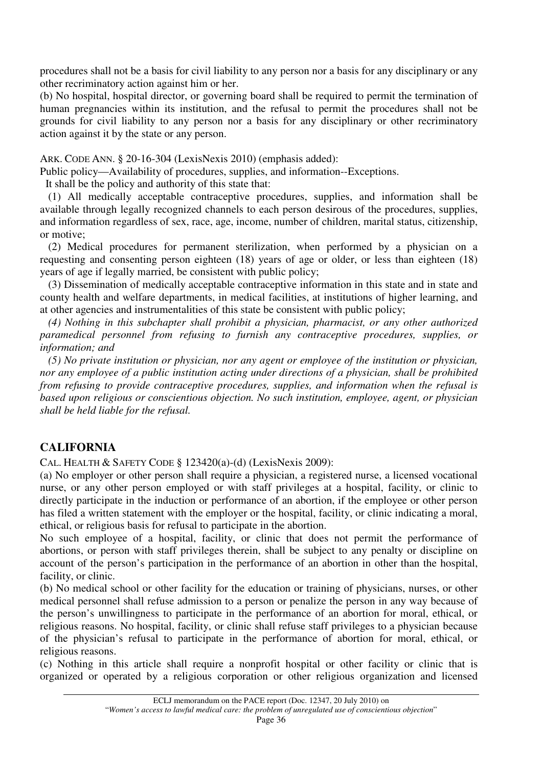procedures shall not be a basis for civil liability to any person nor a basis for any disciplinary or any other recriminatory action against him or her.

(b) No hospital, hospital director, or governing board shall be required to permit the termination of human pregnancies within its institution, and the refusal to permit the procedures shall not be grounds for civil liability to any person nor a basis for any disciplinary or other recriminatory action against it by the state or any person.

ARK. CODE ANN. § 20-16-304 (LexisNexis 2010) (emphasis added):

Public policy—Availability of procedures, supplies, and information--Exceptions.

It shall be the policy and authority of this state that:

 (1) All medically acceptable contraceptive procedures, supplies, and information shall be available through legally recognized channels to each person desirous of the procedures, supplies, and information regardless of sex, race, age, income, number of children, marital status, citizenship, or motive;

 (2) Medical procedures for permanent sterilization, when performed by a physician on a requesting and consenting person eighteen (18) years of age or older, or less than eighteen (18) years of age if legally married, be consistent with public policy;

 (3) Dissemination of medically acceptable contraceptive information in this state and in state and county health and welfare departments, in medical facilities, at institutions of higher learning, and at other agencies and instrumentalities of this state be consistent with public policy;

 *(4) Nothing in this subchapter shall prohibit a physician, pharmacist, or any other authorized paramedical personnel from refusing to furnish any contraceptive procedures, supplies, or information; and* 

 *(5) No private institution or physician, nor any agent or employee of the institution or physician, nor any employee of a public institution acting under directions of a physician, shall be prohibited from refusing to provide contraceptive procedures, supplies, and information when the refusal is based upon religious or conscientious objection. No such institution, employee, agent, or physician shall be held liable for the refusal.* 

# **CALIFORNIA**

CAL. HEALTH & SAFETY CODE § 123420(a)-(d) (LexisNexis 2009):

(a) No employer or other person shall require a physician, a registered nurse, a licensed vocational nurse, or any other person employed or with staff privileges at a hospital, facility, or clinic to directly participate in the induction or performance of an abortion, if the employee or other person has filed a written statement with the employer or the hospital, facility, or clinic indicating a moral, ethical, or religious basis for refusal to participate in the abortion.

No such employee of a hospital, facility, or clinic that does not permit the performance of abortions, or person with staff privileges therein, shall be subject to any penalty or discipline on account of the person's participation in the performance of an abortion in other than the hospital, facility, or clinic.

(b) No medical school or other facility for the education or training of physicians, nurses, or other medical personnel shall refuse admission to a person or penalize the person in any way because of the person's unwillingness to participate in the performance of an abortion for moral, ethical, or religious reasons. No hospital, facility, or clinic shall refuse staff privileges to a physician because of the physician's refusal to participate in the performance of abortion for moral, ethical, or religious reasons.

(c) Nothing in this article shall require a nonprofit hospital or other facility or clinic that is organized or operated by a religious corporation or other religious organization and licensed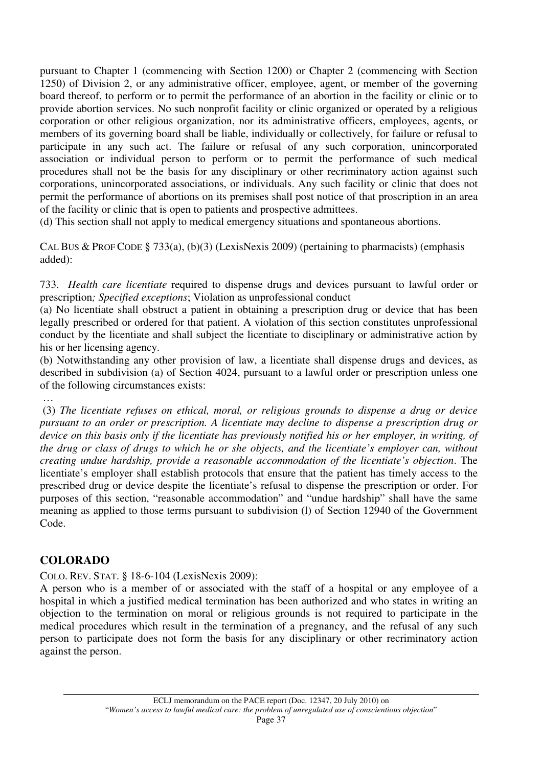pursuant to Chapter 1 (commencing with Section 1200) or Chapter 2 (commencing with Section 1250) of Division 2, or any administrative officer, employee, agent, or member of the governing board thereof, to perform or to permit the performance of an abortion in the facility or clinic or to provide abortion services. No such nonprofit facility or clinic organized or operated by a religious corporation or other religious organization, nor its administrative officers, employees, agents, or members of its governing board shall be liable, individually or collectively, for failure or refusal to participate in any such act. The failure or refusal of any such corporation, unincorporated association or individual person to perform or to permit the performance of such medical procedures shall not be the basis for any disciplinary or other recriminatory action against such corporations, unincorporated associations, or individuals. Any such facility or clinic that does not permit the performance of abortions on its premises shall post notice of that proscription in an area of the facility or clinic that is open to patients and prospective admittees.

(d) This section shall not apply to medical emergency situations and spontaneous abortions.

CAL BUS & PROF CODE § 733(a), (b)(3) (LexisNexis 2009) (pertaining to pharmacists) (emphasis added):

733. *Health care licentiate* required to dispense drugs and devices pursuant to lawful order or prescription*; Specified exceptions*; Violation as unprofessional conduct

(a) No licentiate shall obstruct a patient in obtaining a prescription drug or device that has been legally prescribed or ordered for that patient. A violation of this section constitutes unprofessional conduct by the licentiate and shall subject the licentiate to disciplinary or administrative action by his or her licensing agency.

(b) Notwithstanding any other provision of law, a licentiate shall dispense drugs and devices, as described in subdivision (a) of Section 4024, pursuant to a lawful order or prescription unless one of the following circumstances exists:

 … (3) *The licentiate refuses on ethical, moral, or religious grounds to dispense a drug or device pursuant to an order or prescription. A licentiate may decline to dispense a prescription drug or device on this basis only if the licentiate has previously notified his or her employer, in writing, of the drug or class of drugs to which he or she objects, and the licentiate's employer can, without creating undue hardship, provide a reasonable accommodation of the licentiate's objection*. The licentiate's employer shall establish protocols that ensure that the patient has timely access to the prescribed drug or device despite the licentiate's refusal to dispense the prescription or order. For purposes of this section, "reasonable accommodation" and "undue hardship" shall have the same meaning as applied to those terms pursuant to subdivision (l) of Section 12940 of the Government Code.

#### **COLORADO**

#### COLO. REV. STAT. § 18-6-104 (LexisNexis 2009):

A person who is a member of or associated with the staff of a hospital or any employee of a hospital in which a justified medical termination has been authorized and who states in writing an objection to the termination on moral or religious grounds is not required to participate in the medical procedures which result in the termination of a pregnancy, and the refusal of any such person to participate does not form the basis for any disciplinary or other recriminatory action against the person.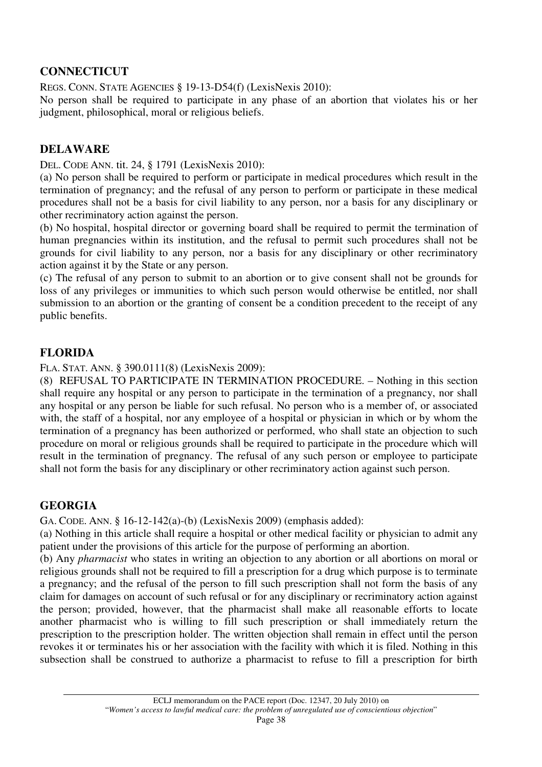### **CONNECTICUT**

REGS. CONN. STATE AGENCIES § 19-13-D54(f) (LexisNexis 2010):

No person shall be required to participate in any phase of an abortion that violates his or her judgment, philosophical, moral or religious beliefs.

#### **DELAWARE**

DEL. CODE ANN. tit. 24, § 1791 (LexisNexis 2010):

(a) No person shall be required to perform or participate in medical procedures which result in the termination of pregnancy; and the refusal of any person to perform or participate in these medical procedures shall not be a basis for civil liability to any person, nor a basis for any disciplinary or other recriminatory action against the person.

(b) No hospital, hospital director or governing board shall be required to permit the termination of human pregnancies within its institution, and the refusal to permit such procedures shall not be grounds for civil liability to any person, nor a basis for any disciplinary or other recriminatory action against it by the State or any person.

(c) The refusal of any person to submit to an abortion or to give consent shall not be grounds for loss of any privileges or immunities to which such person would otherwise be entitled, nor shall submission to an abortion or the granting of consent be a condition precedent to the receipt of any public benefits.

# **FLORIDA**

FLA. STAT. ANN. § 390.0111(8) (LexisNexis 2009):

(8) REFUSAL TO PARTICIPATE IN TERMINATION PROCEDURE. – Nothing in this section shall require any hospital or any person to participate in the termination of a pregnancy, nor shall any hospital or any person be liable for such refusal. No person who is a member of, or associated with, the staff of a hospital, nor any employee of a hospital or physician in which or by whom the termination of a pregnancy has been authorized or performed, who shall state an objection to such procedure on moral or religious grounds shall be required to participate in the procedure which will result in the termination of pregnancy. The refusal of any such person or employee to participate shall not form the basis for any disciplinary or other recriminatory action against such person.

#### **GEORGIA**

GA. CODE. ANN. § 16-12-142(a)-(b) (LexisNexis 2009) (emphasis added):

(a) Nothing in this article shall require a hospital or other medical facility or physician to admit any patient under the provisions of this article for the purpose of performing an abortion.

(b) Any *pharmacist* who states in writing an objection to any abortion or all abortions on moral or religious grounds shall not be required to fill a prescription for a drug which purpose is to terminate a pregnancy; and the refusal of the person to fill such prescription shall not form the basis of any claim for damages on account of such refusal or for any disciplinary or recriminatory action against the person; provided, however, that the pharmacist shall make all reasonable efforts to locate another pharmacist who is willing to fill such prescription or shall immediately return the prescription to the prescription holder. The written objection shall remain in effect until the person revokes it or terminates his or her association with the facility with which it is filed. Nothing in this subsection shall be construed to authorize a pharmacist to refuse to fill a prescription for birth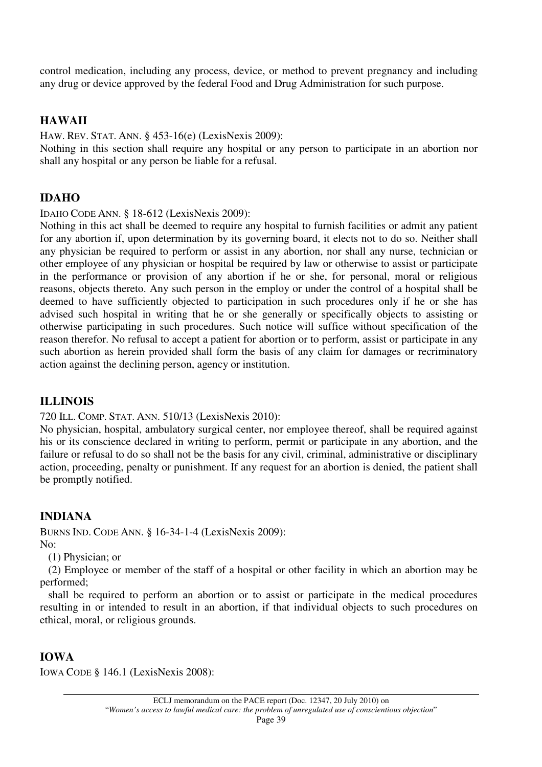control medication, including any process, device, or method to prevent pregnancy and including any drug or device approved by the federal Food and Drug Administration for such purpose.

# **HAWAII**

HAW. REV. STAT. ANN. § 453-16(e) (LexisNexis 2009):

Nothing in this section shall require any hospital or any person to participate in an abortion nor shall any hospital or any person be liable for a refusal.

# **IDAHO**

IDAHO CODE ANN. § 18-612 (LexisNexis 2009):

Nothing in this act shall be deemed to require any hospital to furnish facilities or admit any patient for any abortion if, upon determination by its governing board, it elects not to do so. Neither shall any physician be required to perform or assist in any abortion, nor shall any nurse, technician or other employee of any physician or hospital be required by law or otherwise to assist or participate in the performance or provision of any abortion if he or she, for personal, moral or religious reasons, objects thereto. Any such person in the employ or under the control of a hospital shall be deemed to have sufficiently objected to participation in such procedures only if he or she has advised such hospital in writing that he or she generally or specifically objects to assisting or otherwise participating in such procedures. Such notice will suffice without specification of the reason therefor. No refusal to accept a patient for abortion or to perform, assist or participate in any such abortion as herein provided shall form the basis of any claim for damages or recriminatory action against the declining person, agency or institution.

# **ILLINOIS**

#### 720 ILL. COMP. STAT. ANN. 510/13 (LexisNexis 2010):

No physician, hospital, ambulatory surgical center, nor employee thereof, shall be required against his or its conscience declared in writing to perform, permit or participate in any abortion, and the failure or refusal to do so shall not be the basis for any civil, criminal, administrative or disciplinary action, proceeding, penalty or punishment. If any request for an abortion is denied, the patient shall be promptly notified.

#### **INDIANA**

BURNS IND. CODE ANN. § 16-34-1-4 (LexisNexis 2009): No:

(1) Physician; or

 (2) Employee or member of the staff of a hospital or other facility in which an abortion may be performed;

 shall be required to perform an abortion or to assist or participate in the medical procedures resulting in or intended to result in an abortion, if that individual objects to such procedures on ethical, moral, or religious grounds.

#### **IOWA**

IOWA CODE § 146.1 (LexisNexis 2008):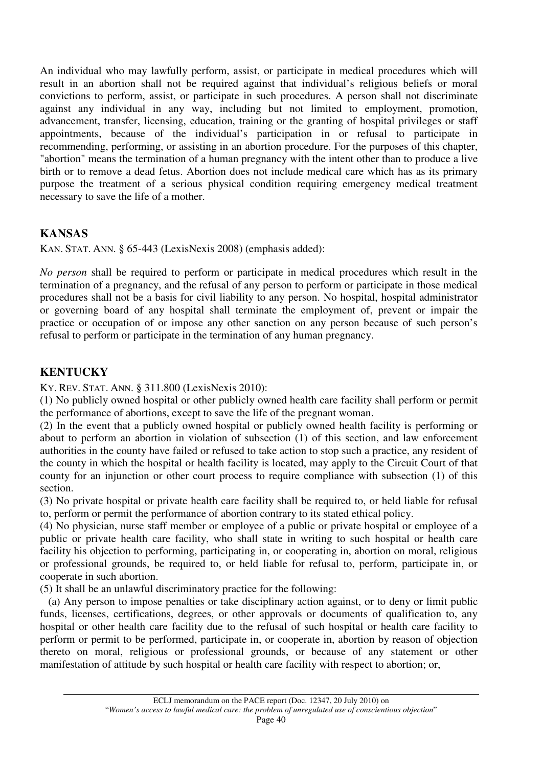An individual who may lawfully perform, assist, or participate in medical procedures which will result in an abortion shall not be required against that individual's religious beliefs or moral convictions to perform, assist, or participate in such procedures. A person shall not discriminate against any individual in any way, including but not limited to employment, promotion, advancement, transfer, licensing, education, training or the granting of hospital privileges or staff appointments, because of the individual's participation in or refusal to participate in recommending, performing, or assisting in an abortion procedure. For the purposes of this chapter, "abortion" means the termination of a human pregnancy with the intent other than to produce a live birth or to remove a dead fetus. Abortion does not include medical care which has as its primary purpose the treatment of a serious physical condition requiring emergency medical treatment necessary to save the life of a mother.

### **KANSAS**

KAN. STAT. ANN. § 65-443 (LexisNexis 2008) (emphasis added):

*No person* shall be required to perform or participate in medical procedures which result in the termination of a pregnancy, and the refusal of any person to perform or participate in those medical procedures shall not be a basis for civil liability to any person. No hospital, hospital administrator or governing board of any hospital shall terminate the employment of, prevent or impair the practice or occupation of or impose any other sanction on any person because of such person's refusal to perform or participate in the termination of any human pregnancy.

# **KENTUCKY**

KY. REV. STAT. ANN. § 311.800 (LexisNexis 2010):

(1) No publicly owned hospital or other publicly owned health care facility shall perform or permit the performance of abortions, except to save the life of the pregnant woman.

(2) In the event that a publicly owned hospital or publicly owned health facility is performing or about to perform an abortion in violation of subsection (1) of this section, and law enforcement authorities in the county have failed or refused to take action to stop such a practice, any resident of the county in which the hospital or health facility is located, may apply to the Circuit Court of that county for an injunction or other court process to require compliance with subsection (1) of this section.

(3) No private hospital or private health care facility shall be required to, or held liable for refusal to, perform or permit the performance of abortion contrary to its stated ethical policy.

(4) No physician, nurse staff member or employee of a public or private hospital or employee of a public or private health care facility, who shall state in writing to such hospital or health care facility his objection to performing, participating in, or cooperating in, abortion on moral, religious or professional grounds, be required to, or held liable for refusal to, perform, participate in, or cooperate in such abortion.

(5) It shall be an unlawful discriminatory practice for the following:

 (a) Any person to impose penalties or take disciplinary action against, or to deny or limit public funds, licenses, certifications, degrees, or other approvals or documents of qualification to, any hospital or other health care facility due to the refusal of such hospital or health care facility to perform or permit to be performed, participate in, or cooperate in, abortion by reason of objection thereto on moral, religious or professional grounds, or because of any statement or other manifestation of attitude by such hospital or health care facility with respect to abortion; or,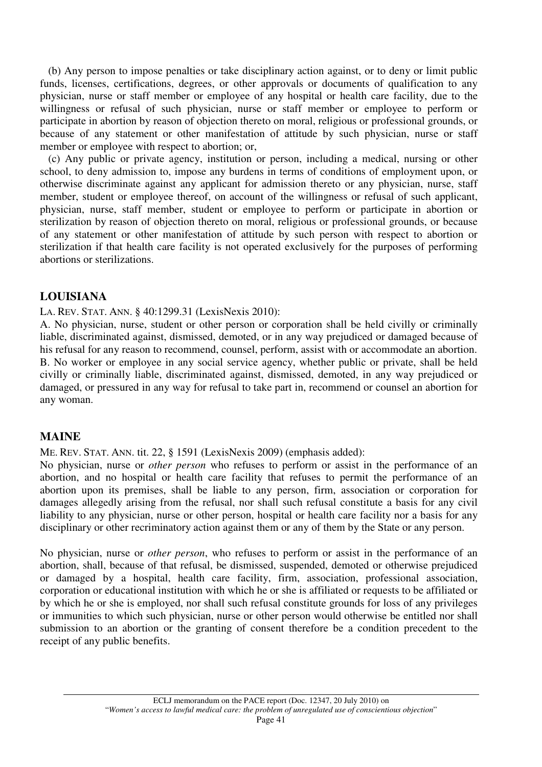(b) Any person to impose penalties or take disciplinary action against, or to deny or limit public funds, licenses, certifications, degrees, or other approvals or documents of qualification to any physician, nurse or staff member or employee of any hospital or health care facility, due to the willingness or refusal of such physician, nurse or staff member or employee to perform or participate in abortion by reason of objection thereto on moral, religious or professional grounds, or because of any statement or other manifestation of attitude by such physician, nurse or staff member or employee with respect to abortion; or,

 (c) Any public or private agency, institution or person, including a medical, nursing or other school, to deny admission to, impose any burdens in terms of conditions of employment upon, or otherwise discriminate against any applicant for admission thereto or any physician, nurse, staff member, student or employee thereof, on account of the willingness or refusal of such applicant, physician, nurse, staff member, student or employee to perform or participate in abortion or sterilization by reason of objection thereto on moral, religious or professional grounds, or because of any statement or other manifestation of attitude by such person with respect to abortion or sterilization if that health care facility is not operated exclusively for the purposes of performing abortions or sterilizations.

#### **LOUISIANA**

#### LA. REV. STAT. ANN. § 40:1299.31 (LexisNexis 2010):

A. No physician, nurse, student or other person or corporation shall be held civilly or criminally liable, discriminated against, dismissed, demoted, or in any way prejudiced or damaged because of his refusal for any reason to recommend, counsel, perform, assist with or accommodate an abortion. B. No worker or employee in any social service agency, whether public or private, shall be held civilly or criminally liable, discriminated against, dismissed, demoted, in any way prejudiced or damaged, or pressured in any way for refusal to take part in, recommend or counsel an abortion for any woman.

#### **MAINE**

#### ME. REV. STAT. ANN. tit. 22, § 1591 (LexisNexis 2009) (emphasis added):

No physician, nurse or *other person* who refuses to perform or assist in the performance of an abortion, and no hospital or health care facility that refuses to permit the performance of an abortion upon its premises, shall be liable to any person, firm, association or corporation for damages allegedly arising from the refusal, nor shall such refusal constitute a basis for any civil liability to any physician, nurse or other person, hospital or health care facility nor a basis for any disciplinary or other recriminatory action against them or any of them by the State or any person.

No physician, nurse or *other person*, who refuses to perform or assist in the performance of an abortion, shall, because of that refusal, be dismissed, suspended, demoted or otherwise prejudiced or damaged by a hospital, health care facility, firm, association, professional association, corporation or educational institution with which he or she is affiliated or requests to be affiliated or by which he or she is employed, nor shall such refusal constitute grounds for loss of any privileges or immunities to which such physician, nurse or other person would otherwise be entitled nor shall submission to an abortion or the granting of consent therefore be a condition precedent to the receipt of any public benefits.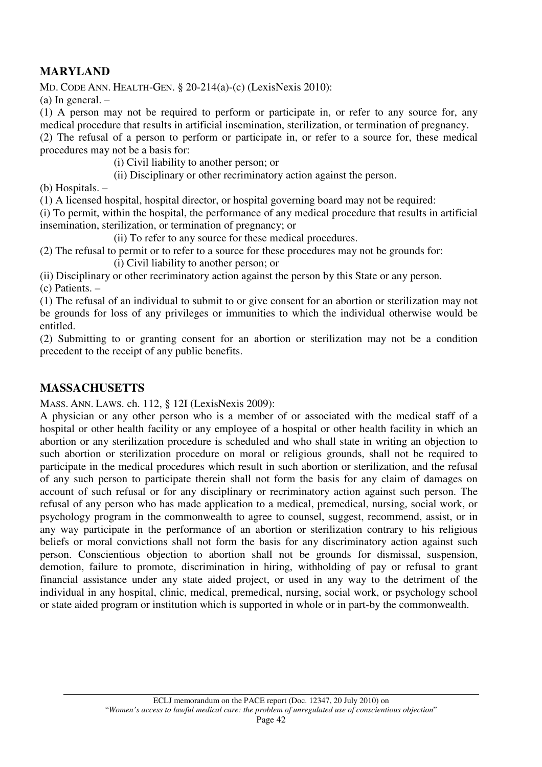### **MARYLAND**

MD. CODE ANN. HEALTH-GEN. § 20-214(a)-(c) (LexisNexis 2010):

 $(a)$  In general.  $-$ 

(1) A person may not be required to perform or participate in, or refer to any source for, any medical procedure that results in artificial insemination, sterilization, or termination of pregnancy. (2) The refusal of a person to perform or participate in, or refer to a source for, these medical

procedures may not be a basis for:

(i) Civil liability to another person; or

(ii) Disciplinary or other recriminatory action against the person.

(b) Hospitals. –

(1) A licensed hospital, hospital director, or hospital governing board may not be required:

(i) To permit, within the hospital, the performance of any medical procedure that results in artificial insemination, sterilization, or termination of pregnancy; or

(ii) To refer to any source for these medical procedures.

(2) The refusal to permit or to refer to a source for these procedures may not be grounds for:

(i) Civil liability to another person; or

(ii) Disciplinary or other recriminatory action against the person by this State or any person. (c) Patients. –

(1) The refusal of an individual to submit to or give consent for an abortion or sterilization may not be grounds for loss of any privileges or immunities to which the individual otherwise would be entitled.

(2) Submitting to or granting consent for an abortion or sterilization may not be a condition precedent to the receipt of any public benefits.

#### **MASSACHUSETTS**

MASS. ANN. LAWS. ch. 112, § 12I (LexisNexis 2009):

A physician or any other person who is a member of or associated with the medical staff of a hospital or other health facility or any employee of a hospital or other health facility in which an abortion or any sterilization procedure is scheduled and who shall state in writing an objection to such abortion or sterilization procedure on moral or religious grounds, shall not be required to participate in the medical procedures which result in such abortion or sterilization, and the refusal of any such person to participate therein shall not form the basis for any claim of damages on account of such refusal or for any disciplinary or recriminatory action against such person. The refusal of any person who has made application to a medical, premedical, nursing, social work, or psychology program in the commonwealth to agree to counsel, suggest, recommend, assist, or in any way participate in the performance of an abortion or sterilization contrary to his religious beliefs or moral convictions shall not form the basis for any discriminatory action against such person. Conscientious objection to abortion shall not be grounds for dismissal, suspension, demotion, failure to promote, discrimination in hiring, withholding of pay or refusal to grant financial assistance under any state aided project, or used in any way to the detriment of the individual in any hospital, clinic, medical, premedical, nursing, social work, or psychology school or state aided program or institution which is supported in whole or in part-by the commonwealth.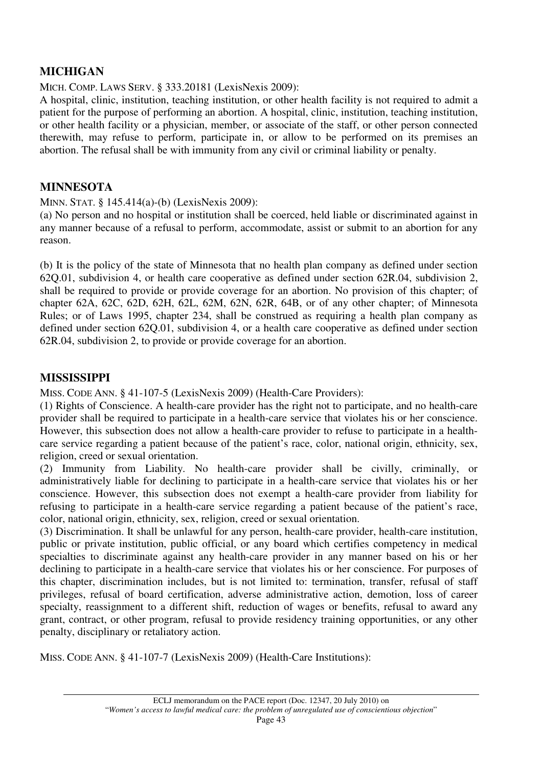# **MICHIGAN**

MICH. COMP. LAWS SERV. § 333.20181 (LexisNexis 2009):

A hospital, clinic, institution, teaching institution, or other health facility is not required to admit a patient for the purpose of performing an abortion. A hospital, clinic, institution, teaching institution, or other health facility or a physician, member, or associate of the staff, or other person connected therewith, may refuse to perform, participate in, or allow to be performed on its premises an abortion. The refusal shall be with immunity from any civil or criminal liability or penalty.

### **MINNESOTA**

MINN. STAT. § 145.414(a)-(b) (LexisNexis 2009):

(a) No person and no hospital or institution shall be coerced, held liable or discriminated against in any manner because of a refusal to perform, accommodate, assist or submit to an abortion for any reason.

(b) It is the policy of the state of Minnesota that no health plan company as defined under section 62Q.01, subdivision 4, or health care cooperative as defined under section 62R.04, subdivision 2, shall be required to provide or provide coverage for an abortion. No provision of this chapter; of chapter 62A, 62C, 62D, 62H, 62L, 62M, 62N, 62R, 64B, or of any other chapter; of Minnesota Rules; or of Laws 1995, chapter 234, shall be construed as requiring a health plan company as defined under section 62Q.01, subdivision 4, or a health care cooperative as defined under section 62R.04, subdivision 2, to provide or provide coverage for an abortion.

### **MISSISSIPPI**

MISS. CODE ANN. § 41-107-5 (LexisNexis 2009) (Health-Care Providers):

(1) Rights of Conscience. A health-care provider has the right not to participate, and no health-care provider shall be required to participate in a health-care service that violates his or her conscience. However, this subsection does not allow a health-care provider to refuse to participate in a healthcare service regarding a patient because of the patient's race, color, national origin, ethnicity, sex, religion, creed or sexual orientation.

(2) Immunity from Liability. No health-care provider shall be civilly, criminally, or administratively liable for declining to participate in a health-care service that violates his or her conscience. However, this subsection does not exempt a health-care provider from liability for refusing to participate in a health-care service regarding a patient because of the patient's race, color, national origin, ethnicity, sex, religion, creed or sexual orientation.

(3) Discrimination. It shall be unlawful for any person, health-care provider, health-care institution, public or private institution, public official, or any board which certifies competency in medical specialties to discriminate against any health-care provider in any manner based on his or her declining to participate in a health-care service that violates his or her conscience. For purposes of this chapter, discrimination includes, but is not limited to: termination, transfer, refusal of staff privileges, refusal of board certification, adverse administrative action, demotion, loss of career specialty, reassignment to a different shift, reduction of wages or benefits, refusal to award any grant, contract, or other program, refusal to provide residency training opportunities, or any other penalty, disciplinary or retaliatory action.

MISS. CODE ANN. § 41-107-7 (LexisNexis 2009) (Health-Care Institutions):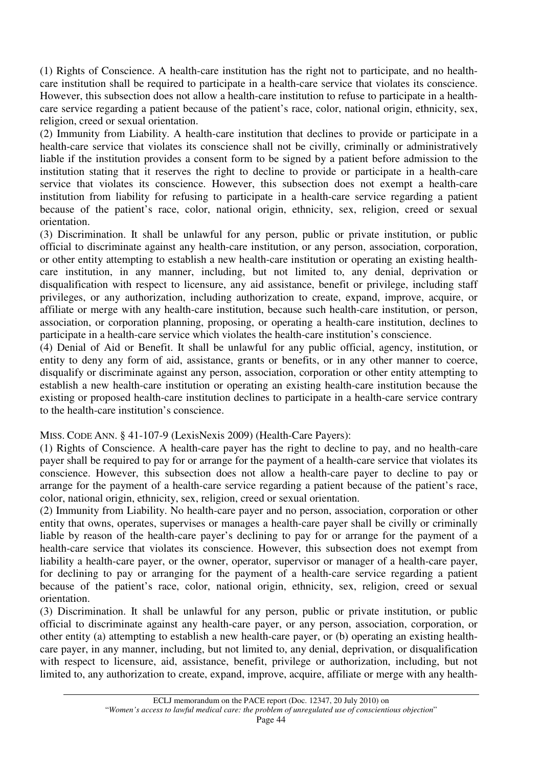(1) Rights of Conscience. A health-care institution has the right not to participate, and no healthcare institution shall be required to participate in a health-care service that violates its conscience. However, this subsection does not allow a health-care institution to refuse to participate in a healthcare service regarding a patient because of the patient's race, color, national origin, ethnicity, sex, religion, creed or sexual orientation.

(2) Immunity from Liability. A health-care institution that declines to provide or participate in a health-care service that violates its conscience shall not be civilly, criminally or administratively liable if the institution provides a consent form to be signed by a patient before admission to the institution stating that it reserves the right to decline to provide or participate in a health-care service that violates its conscience. However, this subsection does not exempt a health-care institution from liability for refusing to participate in a health-care service regarding a patient because of the patient's race, color, national origin, ethnicity, sex, religion, creed or sexual orientation.

(3) Discrimination. It shall be unlawful for any person, public or private institution, or public official to discriminate against any health-care institution, or any person, association, corporation, or other entity attempting to establish a new health-care institution or operating an existing healthcare institution, in any manner, including, but not limited to, any denial, deprivation or disqualification with respect to licensure, any aid assistance, benefit or privilege, including staff privileges, or any authorization, including authorization to create, expand, improve, acquire, or affiliate or merge with any health-care institution, because such health-care institution, or person, association, or corporation planning, proposing, or operating a health-care institution, declines to participate in a health-care service which violates the health-care institution's conscience.

(4) Denial of Aid or Benefit. It shall be unlawful for any public official, agency, institution, or entity to deny any form of aid, assistance, grants or benefits, or in any other manner to coerce, disqualify or discriminate against any person, association, corporation or other entity attempting to establish a new health-care institution or operating an existing health-care institution because the existing or proposed health-care institution declines to participate in a health-care service contrary to the health-care institution's conscience.

#### MISS. CODE ANN. § 41-107-9 (LexisNexis 2009) (Health-Care Payers):

(1) Rights of Conscience. A health-care payer has the right to decline to pay, and no health-care payer shall be required to pay for or arrange for the payment of a health-care service that violates its conscience. However, this subsection does not allow a health-care payer to decline to pay or arrange for the payment of a health-care service regarding a patient because of the patient's race, color, national origin, ethnicity, sex, religion, creed or sexual orientation.

(2) Immunity from Liability. No health-care payer and no person, association, corporation or other entity that owns, operates, supervises or manages a health-care payer shall be civilly or criminally liable by reason of the health-care payer's declining to pay for or arrange for the payment of a health-care service that violates its conscience. However, this subsection does not exempt from liability a health-care payer, or the owner, operator, supervisor or manager of a health-care payer, for declining to pay or arranging for the payment of a health-care service regarding a patient because of the patient's race, color, national origin, ethnicity, sex, religion, creed or sexual orientation.

(3) Discrimination. It shall be unlawful for any person, public or private institution, or public official to discriminate against any health-care payer, or any person, association, corporation, or other entity (a) attempting to establish a new health-care payer, or (b) operating an existing healthcare payer, in any manner, including, but not limited to, any denial, deprivation, or disqualification with respect to licensure, aid, assistance, benefit, privilege or authorization, including, but not limited to, any authorization to create, expand, improve, acquire, affiliate or merge with any health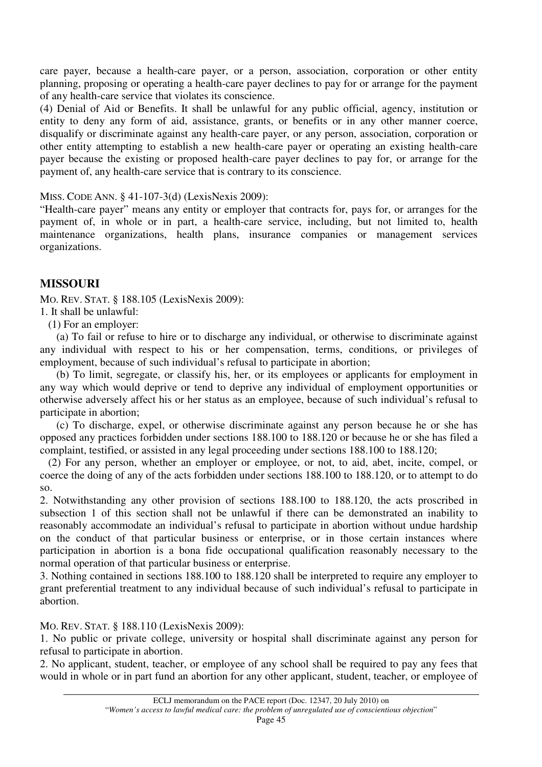care payer, because a health-care payer, or a person, association, corporation or other entity planning, proposing or operating a health-care payer declines to pay for or arrange for the payment of any health-care service that violates its conscience.

(4) Denial of Aid or Benefits. It shall be unlawful for any public official, agency, institution or entity to deny any form of aid, assistance, grants, or benefits or in any other manner coerce, disqualify or discriminate against any health-care payer, or any person, association, corporation or other entity attempting to establish a new health-care payer or operating an existing health-care payer because the existing or proposed health-care payer declines to pay for, or arrange for the payment of, any health-care service that is contrary to its conscience.

MISS. CODE ANN. § 41-107-3(d) (LexisNexis 2009):

"Health-care payer" means any entity or employer that contracts for, pays for, or arranges for the payment of, in whole or in part, a health-care service, including, but not limited to, health maintenance organizations, health plans, insurance companies or management services organizations.

### **MISSOURI**

MO. REV. STAT. § 188.105 (LexisNexis 2009):

1. It shall be unlawful:

(1) For an employer:

 (a) To fail or refuse to hire or to discharge any individual, or otherwise to discriminate against any individual with respect to his or her compensation, terms, conditions, or privileges of employment, because of such individual's refusal to participate in abortion;

 (b) To limit, segregate, or classify his, her, or its employees or applicants for employment in any way which would deprive or tend to deprive any individual of employment opportunities or otherwise adversely affect his or her status as an employee, because of such individual's refusal to participate in abortion;

 (c) To discharge, expel, or otherwise discriminate against any person because he or she has opposed any practices forbidden under sections 188.100 to 188.120 or because he or she has filed a complaint, testified, or assisted in any legal proceeding under sections 188.100 to 188.120;

 (2) For any person, whether an employer or employee, or not, to aid, abet, incite, compel, or coerce the doing of any of the acts forbidden under sections 188.100 to 188.120, or to attempt to do so.

2. Notwithstanding any other provision of sections 188.100 to 188.120, the acts proscribed in subsection 1 of this section shall not be unlawful if there can be demonstrated an inability to reasonably accommodate an individual's refusal to participate in abortion without undue hardship on the conduct of that particular business or enterprise, or in those certain instances where participation in abortion is a bona fide occupational qualification reasonably necessary to the normal operation of that particular business or enterprise.

3. Nothing contained in sections 188.100 to 188.120 shall be interpreted to require any employer to grant preferential treatment to any individual because of such individual's refusal to participate in abortion.

MO. REV. STAT. § 188.110 (LexisNexis 2009):

1. No public or private college, university or hospital shall discriminate against any person for refusal to participate in abortion.

2. No applicant, student, teacher, or employee of any school shall be required to pay any fees that would in whole or in part fund an abortion for any other applicant, student, teacher, or employee of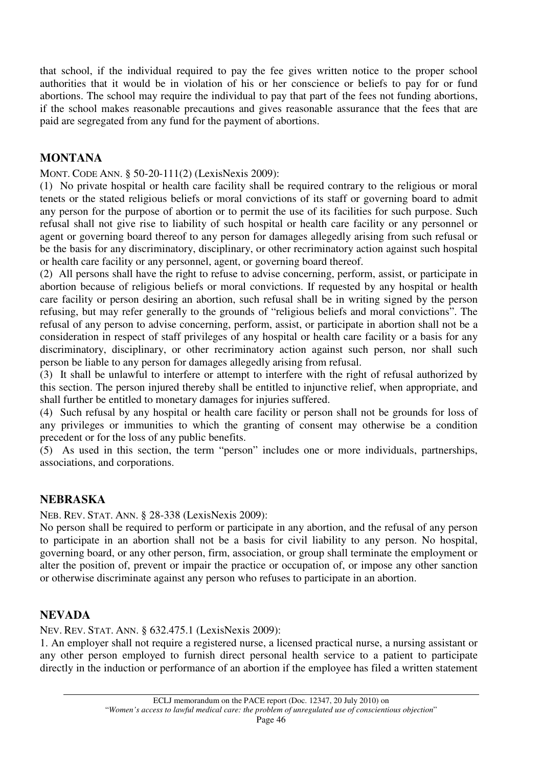that school, if the individual required to pay the fee gives written notice to the proper school authorities that it would be in violation of his or her conscience or beliefs to pay for or fund abortions. The school may require the individual to pay that part of the fees not funding abortions, if the school makes reasonable precautions and gives reasonable assurance that the fees that are paid are segregated from any fund for the payment of abortions.

#### **MONTANA**

#### MONT. CODE ANN. § 50-20-111(2) (LexisNexis 2009):

(1) No private hospital or health care facility shall be required contrary to the religious or moral tenets or the stated religious beliefs or moral convictions of its staff or governing board to admit any person for the purpose of abortion or to permit the use of its facilities for such purpose. Such refusal shall not give rise to liability of such hospital or health care facility or any personnel or agent or governing board thereof to any person for damages allegedly arising from such refusal or be the basis for any discriminatory, disciplinary, or other recriminatory action against such hospital or health care facility or any personnel, agent, or governing board thereof.

(2) All persons shall have the right to refuse to advise concerning, perform, assist, or participate in abortion because of religious beliefs or moral convictions. If requested by any hospital or health care facility or person desiring an abortion, such refusal shall be in writing signed by the person refusing, but may refer generally to the grounds of "religious beliefs and moral convictions". The refusal of any person to advise concerning, perform, assist, or participate in abortion shall not be a consideration in respect of staff privileges of any hospital or health care facility or a basis for any discriminatory, disciplinary, or other recriminatory action against such person, nor shall such person be liable to any person for damages allegedly arising from refusal.

(3) It shall be unlawful to interfere or attempt to interfere with the right of refusal authorized by this section. The person injured thereby shall be entitled to injunctive relief, when appropriate, and shall further be entitled to monetary damages for injuries suffered.

(4) Such refusal by any hospital or health care facility or person shall not be grounds for loss of any privileges or immunities to which the granting of consent may otherwise be a condition precedent or for the loss of any public benefits.

(5) As used in this section, the term "person" includes one or more individuals, partnerships, associations, and corporations.

#### **NEBRASKA**

NEB. REV. STAT. ANN. § 28-338 (LexisNexis 2009):

No person shall be required to perform or participate in any abortion, and the refusal of any person to participate in an abortion shall not be a basis for civil liability to any person. No hospital, governing board, or any other person, firm, association, or group shall terminate the employment or alter the position of, prevent or impair the practice or occupation of, or impose any other sanction or otherwise discriminate against any person who refuses to participate in an abortion.

#### **NEVADA**

NEV. REV. STAT. ANN. § 632.475.1 (LexisNexis 2009):

1. An employer shall not require a registered nurse, a licensed practical nurse, a nursing assistant or any other person employed to furnish direct personal health service to a patient to participate directly in the induction or performance of an abortion if the employee has filed a written statement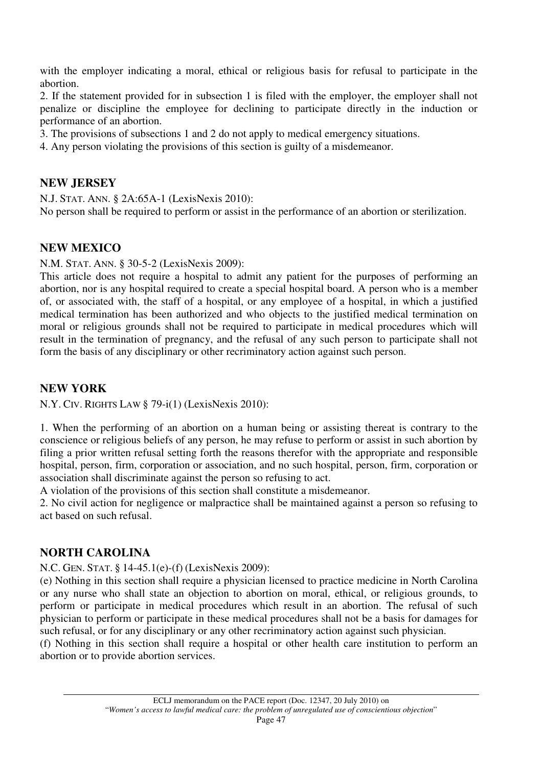with the employer indicating a moral, ethical or religious basis for refusal to participate in the abortion.

2. If the statement provided for in subsection 1 is filed with the employer, the employer shall not penalize or discipline the employee for declining to participate directly in the induction or performance of an abortion.

3. The provisions of subsections 1 and 2 do not apply to medical emergency situations.

4. Any person violating the provisions of this section is guilty of a misdemeanor.

#### **NEW JERSEY**

N.J. STAT. ANN. § 2A:65A-1 (LexisNexis 2010):

No person shall be required to perform or assist in the performance of an abortion or sterilization.

# **NEW MEXICO**

N.M. STAT. ANN. § 30-5-2 (LexisNexis 2009):

This article does not require a hospital to admit any patient for the purposes of performing an abortion, nor is any hospital required to create a special hospital board. A person who is a member of, or associated with, the staff of a hospital, or any employee of a hospital, in which a justified medical termination has been authorized and who objects to the justified medical termination on moral or religious grounds shall not be required to participate in medical procedures which will result in the termination of pregnancy, and the refusal of any such person to participate shall not form the basis of any disciplinary or other recriminatory action against such person.

#### **NEW YORK**

N.Y. CIV. RIGHTS LAW § 79-i(1) (LexisNexis 2010):

1. When the performing of an abortion on a human being or assisting thereat is contrary to the conscience or religious beliefs of any person, he may refuse to perform or assist in such abortion by filing a prior written refusal setting forth the reasons therefor with the appropriate and responsible hospital, person, firm, corporation or association, and no such hospital, person, firm, corporation or association shall discriminate against the person so refusing to act.

A violation of the provisions of this section shall constitute a misdemeanor.

2. No civil action for negligence or malpractice shall be maintained against a person so refusing to act based on such refusal.

# **NORTH CAROLINA**

N.C. GEN. STAT. § 14-45.1(e)-(f) (LexisNexis 2009):

(e) Nothing in this section shall require a physician licensed to practice medicine in North Carolina or any nurse who shall state an objection to abortion on moral, ethical, or religious grounds, to perform or participate in medical procedures which result in an abortion. The refusal of such physician to perform or participate in these medical procedures shall not be a basis for damages for such refusal, or for any disciplinary or any other recriminatory action against such physician.

(f) Nothing in this section shall require a hospital or other health care institution to perform an abortion or to provide abortion services.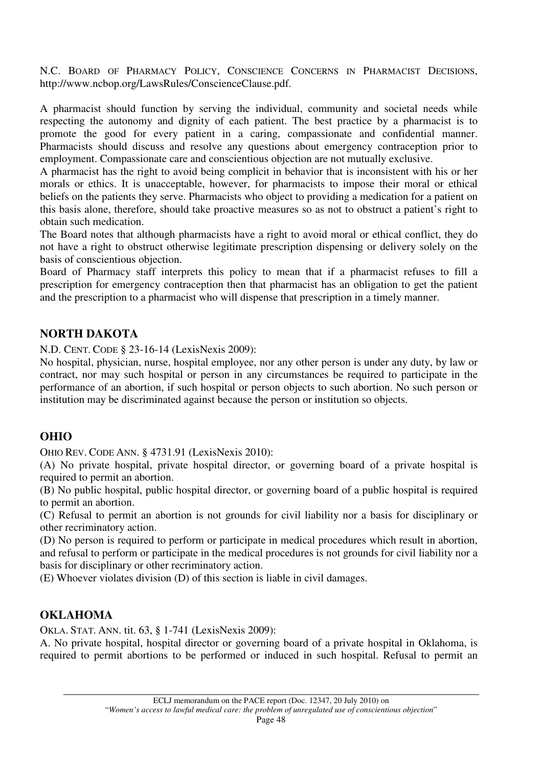N.C. BOARD OF PHARMACY POLICY, CONSCIENCE CONCERNS IN PHARMACIST DECISIONS, http://www.ncbop.org/LawsRules/ConscienceClause.pdf.

A pharmacist should function by serving the individual, community and societal needs while respecting the autonomy and dignity of each patient. The best practice by a pharmacist is to promote the good for every patient in a caring, compassionate and confidential manner. Pharmacists should discuss and resolve any questions about emergency contraception prior to employment. Compassionate care and conscientious objection are not mutually exclusive.

A pharmacist has the right to avoid being complicit in behavior that is inconsistent with his or her morals or ethics. It is unacceptable, however, for pharmacists to impose their moral or ethical beliefs on the patients they serve. Pharmacists who object to providing a medication for a patient on this basis alone, therefore, should take proactive measures so as not to obstruct a patient's right to obtain such medication.

The Board notes that although pharmacists have a right to avoid moral or ethical conflict, they do not have a right to obstruct otherwise legitimate prescription dispensing or delivery solely on the basis of conscientious objection.

Board of Pharmacy staff interprets this policy to mean that if a pharmacist refuses to fill a prescription for emergency contraception then that pharmacist has an obligation to get the patient and the prescription to a pharmacist who will dispense that prescription in a timely manner.

### **NORTH DAKOTA**

N.D. CENT. CODE § 23-16-14 (LexisNexis 2009):

No hospital, physician, nurse, hospital employee, nor any other person is under any duty, by law or contract, nor may such hospital or person in any circumstances be required to participate in the performance of an abortion, if such hospital or person objects to such abortion. No such person or institution may be discriminated against because the person or institution so objects.

#### **OHIO**

OHIO REV. CODE ANN. § 4731.91 (LexisNexis 2010):

(A) No private hospital, private hospital director, or governing board of a private hospital is required to permit an abortion.

(B) No public hospital, public hospital director, or governing board of a public hospital is required to permit an abortion.

(C) Refusal to permit an abortion is not grounds for civil liability nor a basis for disciplinary or other recriminatory action.

(D) No person is required to perform or participate in medical procedures which result in abortion, and refusal to perform or participate in the medical procedures is not grounds for civil liability nor a basis for disciplinary or other recriminatory action.

(E) Whoever violates division (D) of this section is liable in civil damages.

# **OKLAHOMA**

OKLA. STAT. ANN. tit. 63, § 1-741 (LexisNexis 2009):

A. No private hospital, hospital director or governing board of a private hospital in Oklahoma, is required to permit abortions to be performed or induced in such hospital. Refusal to permit an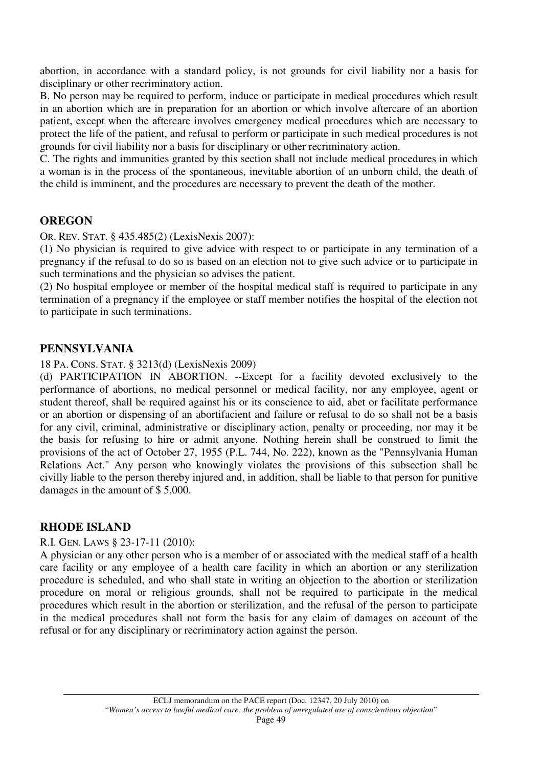abortion, in accordance with a standard policy, is not grounds for civil liability nor a basis for disciplinary or other recriminatory action.

B. No person may be required to perform, induce or participate in medical procedures which result in an abortion which are in preparation for an abortion or which involve aftercare of an abortion patient, except when the aftercare involves emergency medical procedures which are necessary to protect the life of the patient, and refusal to perform or participate in such medical procedures is not grounds for civil liability nor a basis for disciplinary or other recriminatory action.

C. The rights and immunities granted by this section shall not include medical procedures in which a woman is in the process of the spontaneous, inevitable abortion of an unborn child, the death of the child is imminent, and the procedures are necessary to prevent the death of the mother.

#### **OREGON**

OR. REV. STAT. § 435.485(2) (LexisNexis 2007):

(1) No physician is required to give advice with respect to or participate in any termination of a pregnancy if the refusal to do so is based on an election not to give such advice or to participate in such terminations and the physician so advises the patient.

(2) No hospital employee or member of the hospital medical staff is required to participate in any termination of a pregnancy if the employee or staff member notifies the hospital of the election not to participate in such terminations.

#### **PENNSYLVANIA**

18 PA. CONS. STAT. § 3213(d) (LexisNexis 2009)

(d) PARTICIPATION IN ABORTION. --Except for a facility devoted exclusively to the performance of abortions, no medical personnel or medical facility, nor any employee, agent or student thereof, shall be required against his or its conscience to aid, abet or facilitate performance or an abortion or dispensing of an abortifacient and failure or refusal to do so shall not be a basis for any civil, criminal, administrative or disciplinary action, penalty or proceeding, nor may it be the basis for refusing to hire or admit anyone. Nothing herein shall be construed to limit the provisions of the act of October 27, 1955 (P.L. 744, No. 222), known as the "Pennsylvania Human Relations Act." Any person who knowingly violates the provisions of this subsection shall be civilly liable to the person thereby injured and, in addition, shall be liable to that person for punitive damages in the amount of \$ 5,000.

#### **RHODE ISLAND**

#### R.I. GEN. LAWS § 23-17-11 (2010):

A physician or any other person who is a member of or associated with the medical staff of a health care facility or any employee of a health care facility in which an abortion or any sterilization procedure is scheduled, and who shall state in writing an objection to the abortion or sterilization procedure on moral or religious grounds, shall not be required to participate in the medical procedures which result in the abortion or sterilization, and the refusal of the person to participate in the medical procedures shall not form the basis for any claim of damages on account of the refusal or for any disciplinary or recriminatory action against the person.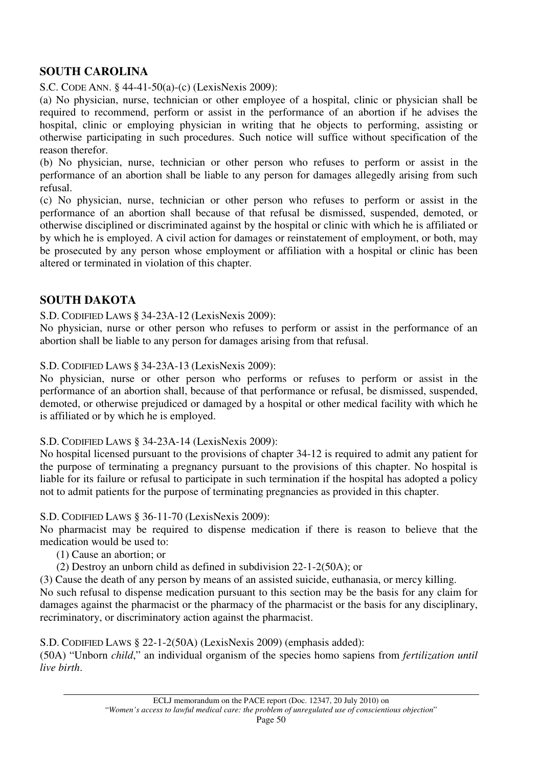### **SOUTH CAROLINA**

S.C. CODE ANN. § 44-41-50(a)-(c) (LexisNexis 2009):

(a) No physician, nurse, technician or other employee of a hospital, clinic or physician shall be required to recommend, perform or assist in the performance of an abortion if he advises the hospital, clinic or employing physician in writing that he objects to performing, assisting or otherwise participating in such procedures. Such notice will suffice without specification of the reason therefor.

(b) No physician, nurse, technician or other person who refuses to perform or assist in the performance of an abortion shall be liable to any person for damages allegedly arising from such refusal.

(c) No physician, nurse, technician or other person who refuses to perform or assist in the performance of an abortion shall because of that refusal be dismissed, suspended, demoted, or otherwise disciplined or discriminated against by the hospital or clinic with which he is affiliated or by which he is employed. A civil action for damages or reinstatement of employment, or both, may be prosecuted by any person whose employment or affiliation with a hospital or clinic has been altered or terminated in violation of this chapter.

### **SOUTH DAKOTA**

S.D. CODIFIED LAWS § 34-23A-12 (LexisNexis 2009):

No physician, nurse or other person who refuses to perform or assist in the performance of an abortion shall be liable to any person for damages arising from that refusal.

S.D. CODIFIED LAWS § 34-23A-13 (LexisNexis 2009):

No physician, nurse or other person who performs or refuses to perform or assist in the performance of an abortion shall, because of that performance or refusal, be dismissed, suspended, demoted, or otherwise prejudiced or damaged by a hospital or other medical facility with which he is affiliated or by which he is employed.

#### S.D. CODIFIED LAWS § 34-23A-14 (LexisNexis 2009):

No hospital licensed pursuant to the provisions of chapter 34-12 is required to admit any patient for the purpose of terminating a pregnancy pursuant to the provisions of this chapter. No hospital is liable for its failure or refusal to participate in such termination if the hospital has adopted a policy not to admit patients for the purpose of terminating pregnancies as provided in this chapter.

#### S.D. CODIFIED LAWS § 36-11-70 (LexisNexis 2009):

No pharmacist may be required to dispense medication if there is reason to believe that the medication would be used to:

(1) Cause an abortion; or

(2) Destroy an unborn child as defined in subdivision 22-1-2(50A); or

(3) Cause the death of any person by means of an assisted suicide, euthanasia, or mercy killing.

No such refusal to dispense medication pursuant to this section may be the basis for any claim for damages against the pharmacist or the pharmacy of the pharmacist or the basis for any disciplinary, recriminatory, or discriminatory action against the pharmacist.

S.D. CODIFIED LAWS § 22-1-2(50A) (LexisNexis 2009) (emphasis added):

(50A) "Unborn *child*," an individual organism of the species homo sapiens from *fertilization until live birth*.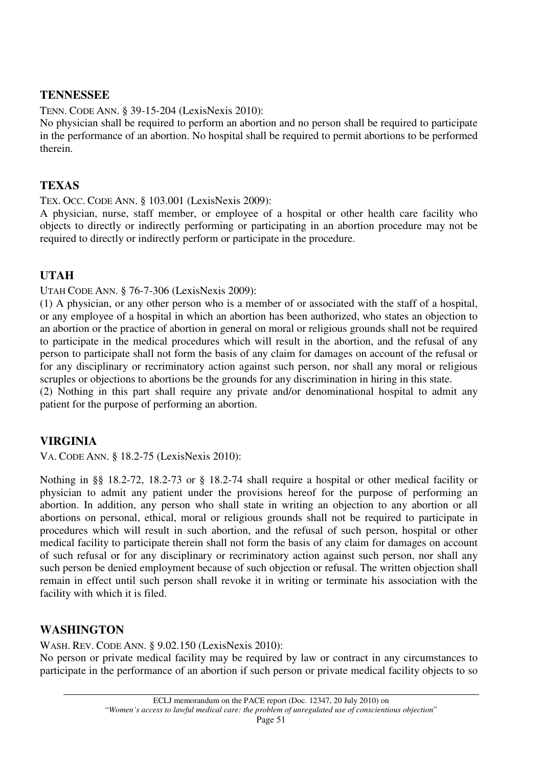#### **TENNESSEE**

TENN. CODE ANN. § 39-15-204 (LexisNexis 2010):

No physician shall be required to perform an abortion and no person shall be required to participate in the performance of an abortion. No hospital shall be required to permit abortions to be performed therein.

#### **TEXAS**

TEX. OCC. CODE ANN. § 103.001 (LexisNexis 2009):

A physician, nurse, staff member, or employee of a hospital or other health care facility who objects to directly or indirectly performing or participating in an abortion procedure may not be required to directly or indirectly perform or participate in the procedure.

#### **UTAH**

UTAH CODE ANN. § 76-7-306 (LexisNexis 2009):

(1) A physician, or any other person who is a member of or associated with the staff of a hospital, or any employee of a hospital in which an abortion has been authorized, who states an objection to an abortion or the practice of abortion in general on moral or religious grounds shall not be required to participate in the medical procedures which will result in the abortion, and the refusal of any person to participate shall not form the basis of any claim for damages on account of the refusal or for any disciplinary or recriminatory action against such person, nor shall any moral or religious scruples or objections to abortions be the grounds for any discrimination in hiring in this state.

(2) Nothing in this part shall require any private and/or denominational hospital to admit any patient for the purpose of performing an abortion.

#### **VIRGINIA**

VA. CODE ANN. § 18.2-75 (LexisNexis 2010):

Nothing in §§ 18.2-72, 18.2-73 or § 18.2-74 shall require a hospital or other medical facility or physician to admit any patient under the provisions hereof for the purpose of performing an abortion. In addition, any person who shall state in writing an objection to any abortion or all abortions on personal, ethical, moral or religious grounds shall not be required to participate in procedures which will result in such abortion, and the refusal of such person, hospital or other medical facility to participate therein shall not form the basis of any claim for damages on account of such refusal or for any disciplinary or recriminatory action against such person, nor shall any such person be denied employment because of such objection or refusal. The written objection shall remain in effect until such person shall revoke it in writing or terminate his association with the facility with which it is filed.

#### **WASHINGTON**

WASH. REV. CODE ANN. § 9.02.150 (LexisNexis 2010):

No person or private medical facility may be required by law or contract in any circumstances to participate in the performance of an abortion if such person or private medical facility objects to so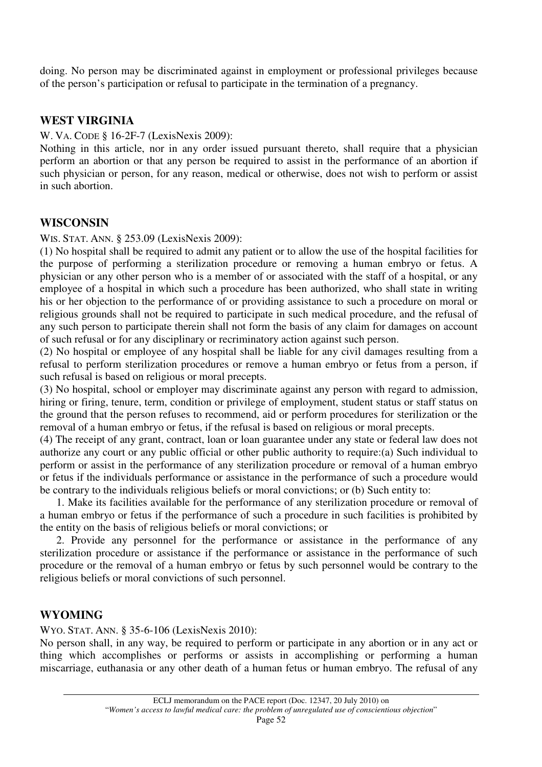doing. No person may be discriminated against in employment or professional privileges because of the person's participation or refusal to participate in the termination of a pregnancy.

#### **WEST VIRGINIA**

#### W. VA. CODE § 16-2F-7 (LexisNexis 2009):

Nothing in this article, nor in any order issued pursuant thereto, shall require that a physician perform an abortion or that any person be required to assist in the performance of an abortion if such physician or person, for any reason, medical or otherwise, does not wish to perform or assist in such abortion.

#### **WISCONSIN**

#### WIS. STAT. ANN. § 253.09 (LexisNexis 2009):

(1) No hospital shall be required to admit any patient or to allow the use of the hospital facilities for the purpose of performing a sterilization procedure or removing a human embryo or fetus. A physician or any other person who is a member of or associated with the staff of a hospital, or any employee of a hospital in which such a procedure has been authorized, who shall state in writing his or her objection to the performance of or providing assistance to such a procedure on moral or religious grounds shall not be required to participate in such medical procedure, and the refusal of any such person to participate therein shall not form the basis of any claim for damages on account of such refusal or for any disciplinary or recriminatory action against such person.

(2) No hospital or employee of any hospital shall be liable for any civil damages resulting from a refusal to perform sterilization procedures or remove a human embryo or fetus from a person, if such refusal is based on religious or moral precepts.

(3) No hospital, school or employer may discriminate against any person with regard to admission, hiring or firing, tenure, term, condition or privilege of employment, student status or staff status on the ground that the person refuses to recommend, aid or perform procedures for sterilization or the removal of a human embryo or fetus, if the refusal is based on religious or moral precepts.

(4) The receipt of any grant, contract, loan or loan guarantee under any state or federal law does not authorize any court or any public official or other public authority to require:(a) Such individual to perform or assist in the performance of any sterilization procedure or removal of a human embryo or fetus if the individuals performance or assistance in the performance of such a procedure would be contrary to the individuals religious beliefs or moral convictions; or (b) Such entity to:

1. Make its facilities available for the performance of any sterilization procedure or removal of a human embryo or fetus if the performance of such a procedure in such facilities is prohibited by the entity on the basis of religious beliefs or moral convictions; or

2. Provide any personnel for the performance or assistance in the performance of any sterilization procedure or assistance if the performance or assistance in the performance of such procedure or the removal of a human embryo or fetus by such personnel would be contrary to the religious beliefs or moral convictions of such personnel.

#### **WYOMING**

WYO. STAT. ANN. § 35-6-106 (LexisNexis 2010):

No person shall, in any way, be required to perform or participate in any abortion or in any act or thing which accomplishes or performs or assists in accomplishing or performing a human miscarriage, euthanasia or any other death of a human fetus or human embryo. The refusal of any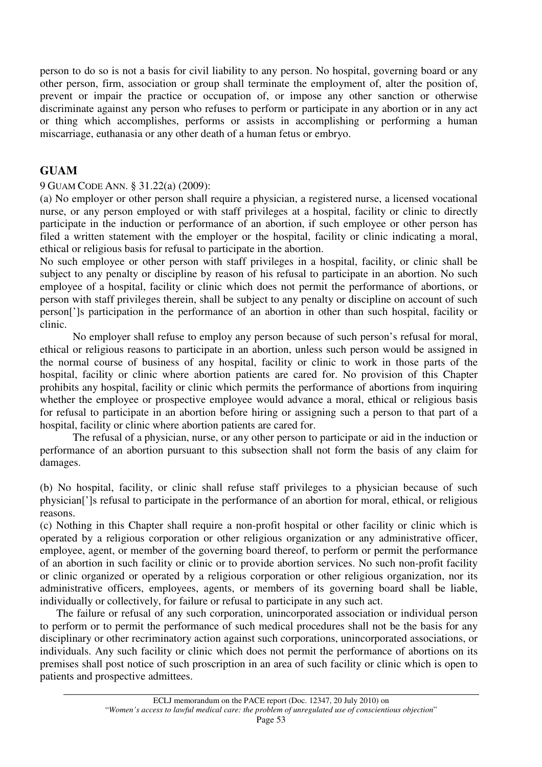person to do so is not a basis for civil liability to any person. No hospital, governing board or any other person, firm, association or group shall terminate the employment of, alter the position of, prevent or impair the practice or occupation of, or impose any other sanction or otherwise discriminate against any person who refuses to perform or participate in any abortion or in any act or thing which accomplishes, performs or assists in accomplishing or performing a human miscarriage, euthanasia or any other death of a human fetus or embryo.

#### **GUAM**

#### 9 GUAM CODE ANN. § 31.22(a) (2009):

(a) No employer or other person shall require a physician, a registered nurse, a licensed vocational nurse, or any person employed or with staff privileges at a hospital, facility or clinic to directly participate in the induction or performance of an abortion, if such employee or other person has filed a written statement with the employer or the hospital, facility or clinic indicating a moral, ethical or religious basis for refusal to participate in the abortion.

No such employee or other person with staff privileges in a hospital, facility, or clinic shall be subject to any penalty or discipline by reason of his refusal to participate in an abortion. No such employee of a hospital, facility or clinic which does not permit the performance of abortions, or person with staff privileges therein, shall be subject to any penalty or discipline on account of such person[']s participation in the performance of an abortion in other than such hospital, facility or clinic.

No employer shall refuse to employ any person because of such person's refusal for moral, ethical or religious reasons to participate in an abortion, unless such person would be assigned in the normal course of business of any hospital, facility or clinic to work in those parts of the hospital, facility or clinic where abortion patients are cared for. No provision of this Chapter prohibits any hospital, facility or clinic which permits the performance of abortions from inquiring whether the employee or prospective employee would advance a moral, ethical or religious basis for refusal to participate in an abortion before hiring or assigning such a person to that part of a hospital, facility or clinic where abortion patients are cared for.

The refusal of a physician, nurse, or any other person to participate or aid in the induction or performance of an abortion pursuant to this subsection shall not form the basis of any claim for damages.

(b) No hospital, facility, or clinic shall refuse staff privileges to a physician because of such physician[']s refusal to participate in the performance of an abortion for moral, ethical, or religious reasons.

(c) Nothing in this Chapter shall require a non-profit hospital or other facility or clinic which is operated by a religious corporation or other religious organization or any administrative officer, employee, agent, or member of the governing board thereof, to perform or permit the performance of an abortion in such facility or clinic or to provide abortion services. No such non-profit facility or clinic organized or operated by a religious corporation or other religious organization, nor its administrative officers, employees, agents, or members of its governing board shall be liable, individually or collectively, for failure or refusal to participate in any such act.

The failure or refusal of any such corporation, unincorporated association or individual person to perform or to permit the performance of such medical procedures shall not be the basis for any disciplinary or other recriminatory action against such corporations, unincorporated associations, or individuals. Any such facility or clinic which does not permit the performance of abortions on its premises shall post notice of such proscription in an area of such facility or clinic which is open to patients and prospective admittees.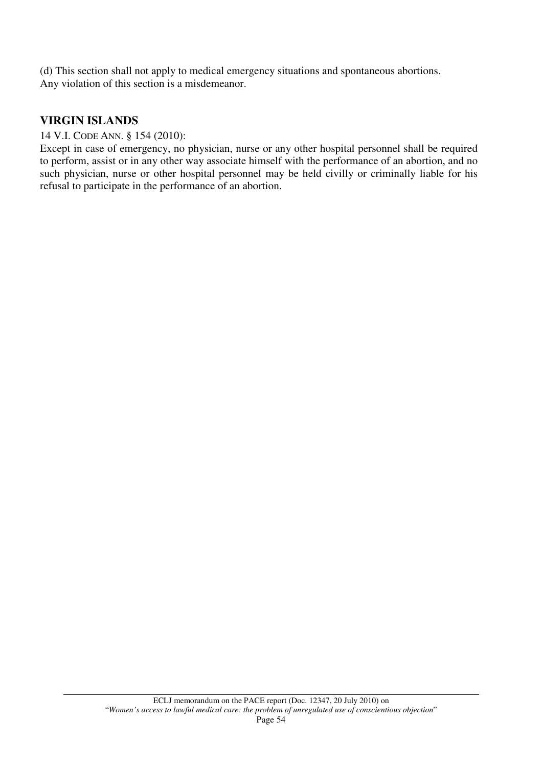(d) This section shall not apply to medical emergency situations and spontaneous abortions. Any violation of this section is a misdemeanor.

### **VIRGIN ISLANDS**

#### 14 V.I. CODE ANN. § 154 (2010):

Except in case of emergency, no physician, nurse or any other hospital personnel shall be required to perform, assist or in any other way associate himself with the performance of an abortion, and no such physician, nurse or other hospital personnel may be held civilly or criminally liable for his refusal to participate in the performance of an abortion.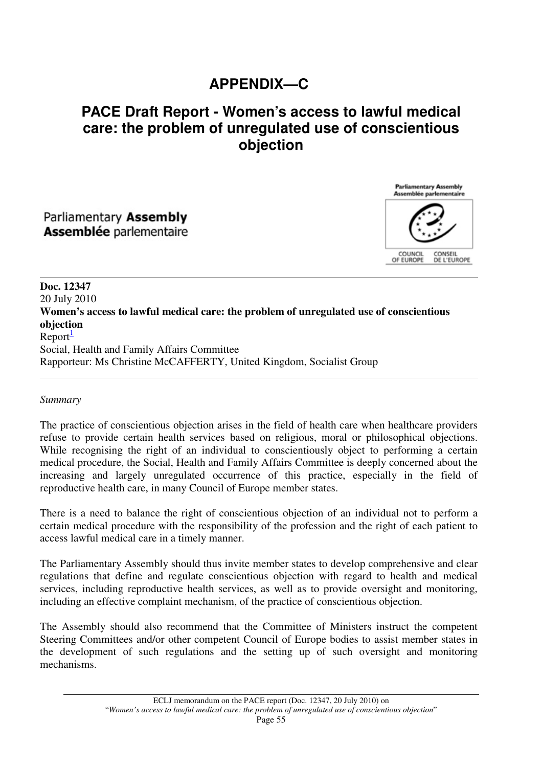# **APPENDIX—C**

# **PACE Draft Report - Women's access to lawful medical care: the problem of unregulated use of conscientious objection**

Parliamentary Assembly **Assemblée** parlementaire



**Doc. 12347** 20 July 2010 **Women's access to lawful medical care: the problem of unregulated use of conscientious objection**  $Report^{\perp}$ Social, Health and Family Affairs Committee Rapporteur: Ms Christine McCAFFERTY, United Kingdom, Socialist Group

#### *Summary*

The practice of conscientious objection arises in the field of health care when healthcare providers refuse to provide certain health services based on religious, moral or philosophical objections. While recognising the right of an individual to conscientiously object to performing a certain medical procedure, the Social, Health and Family Affairs Committee is deeply concerned about the increasing and largely unregulated occurrence of this practice, especially in the field of reproductive health care, in many Council of Europe member states.

There is a need to balance the right of conscientious objection of an individual not to perform a certain medical procedure with the responsibility of the profession and the right of each patient to access lawful medical care in a timely manner.

The Parliamentary Assembly should thus invite member states to develop comprehensive and clear regulations that define and regulate conscientious objection with regard to health and medical services, including reproductive health services, as well as to provide oversight and monitoring, including an effective complaint mechanism, of the practice of conscientious objection.

The Assembly should also recommend that the Committee of Ministers instruct the competent Steering Committees and/or other competent Council of Europe bodies to assist member states in the development of such regulations and the setting up of such oversight and monitoring mechanisms.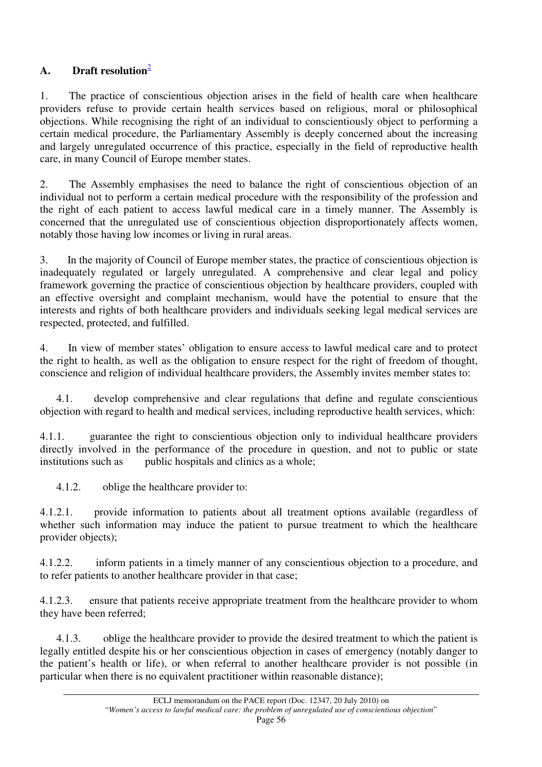### **A. Draft resolution**<sup>2</sup>

1. The practice of conscientious objection arises in the field of health care when healthcare providers refuse to provide certain health services based on religious, moral or philosophical objections. While recognising the right of an individual to conscientiously object to performing a certain medical procedure, the Parliamentary Assembly is deeply concerned about the increasing and largely unregulated occurrence of this practice, especially in the field of reproductive health care, in many Council of Europe member states.

2. The Assembly emphasises the need to balance the right of conscientious objection of an individual not to perform a certain medical procedure with the responsibility of the profession and the right of each patient to access lawful medical care in a timely manner. The Assembly is concerned that the unregulated use of conscientious objection disproportionately affects women, notably those having low incomes or living in rural areas.

3. In the majority of Council of Europe member states, the practice of conscientious objection is inadequately regulated or largely unregulated. A comprehensive and clear legal and policy framework governing the practice of conscientious objection by healthcare providers, coupled with an effective oversight and complaint mechanism, would have the potential to ensure that the interests and rights of both healthcare providers and individuals seeking legal medical services are respected, protected, and fulfilled.

4. In view of member states' obligation to ensure access to lawful medical care and to protect the right to health, as well as the obligation to ensure respect for the right of freedom of thought, conscience and religion of individual healthcare providers, the Assembly invites member states to:

 4.1. develop comprehensive and clear regulations that define and regulate conscientious objection with regard to health and medical services, including reproductive health services, which:

4.1.1. guarantee the right to conscientious objection only to individual healthcare providers directly involved in the performance of the procedure in question, and not to public or state institutions such as public hospitals and clinics as a whole;

4.1.2. oblige the healthcare provider to:

4.1.2.1. provide information to patients about all treatment options available (regardless of whether such information may induce the patient to pursue treatment to which the healthcare provider objects);

4.1.2.2. inform patients in a timely manner of any conscientious objection to a procedure, and to refer patients to another healthcare provider in that case;

4.1.2.3. ensure that patients receive appropriate treatment from the healthcare provider to whom they have been referred;

 4.1.3. oblige the healthcare provider to provide the desired treatment to which the patient is legally entitled despite his or her conscientious objection in cases of emergency (notably danger to the patient's health or life), or when referral to another healthcare provider is not possible (in particular when there is no equivalent practitioner within reasonable distance);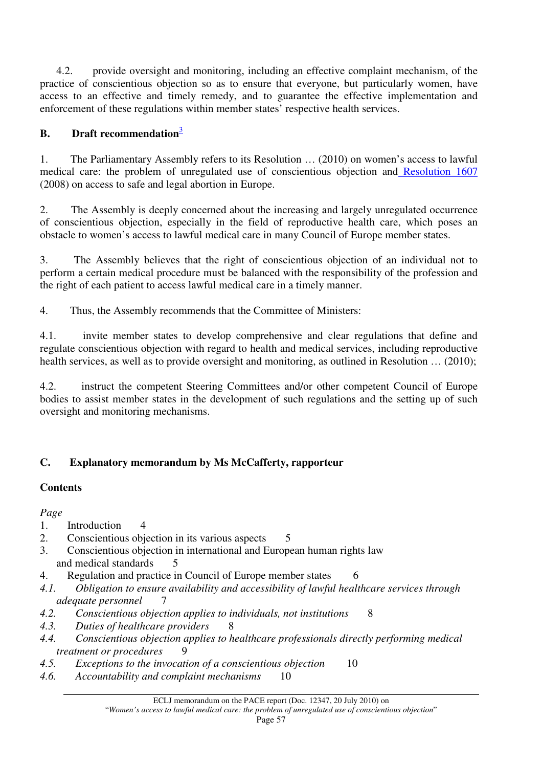4.2. provide oversight and monitoring, including an effective complaint mechanism, of the practice of conscientious objection so as to ensure that everyone, but particularly women, have access to an effective and timely remedy, and to guarantee the effective implementation and enforcement of these regulations within member states' respective health services.

### **B. Draft recommendation**<sup>3</sup>

1. The Parliamentary Assembly refers to its Resolution … (2010) on women's access to lawful medical care: the problem of unregulated use of conscientious objection and Resolution 1607 (2008) on access to safe and legal abortion in Europe.

2. The Assembly is deeply concerned about the increasing and largely unregulated occurrence of conscientious objection, especially in the field of reproductive health care, which poses an obstacle to women's access to lawful medical care in many Council of Europe member states.

3. The Assembly believes that the right of conscientious objection of an individual not to perform a certain medical procedure must be balanced with the responsibility of the profession and the right of each patient to access lawful medical care in a timely manner.

4. Thus, the Assembly recommends that the Committee of Ministers:

4.1. invite member states to develop comprehensive and clear regulations that define and regulate conscientious objection with regard to health and medical services, including reproductive health services, as well as to provide oversight and monitoring, as outlined in Resolution ... (2010);

4.2. instruct the competent Steering Committees and/or other competent Council of Europe bodies to assist member states in the development of such regulations and the setting up of such oversight and monitoring mechanisms.

# **C. Explanatory memorandum by Ms McCafferty, rapporteur**

# **Contents**

*Page*

- 1. Introduction 4
- 2. Conscientious objection in its various aspects 5
- 3. Conscientious objection in international and European human rights law and medical standards 5
- 4. Regulation and practice in Council of Europe member states 6
- *4.1. Obligation to ensure availability and accessibility of lawful healthcare services through adequate personnel* 7
- *4.2. Conscientious objection applies to individuals, not institutions* 8
- *4.3. Duties of healthcare providers* 8
- *4.4. Conscientious objection applies to healthcare professionals directly performing medical treatment or procedures*
- *4.5. Exceptions to the invocation of a conscientious objection* 10
- *4.6. Accountability and complaint mechanisms* 10

"*Women's access to lawful medical care: the problem of unregulated use of conscientious objection*"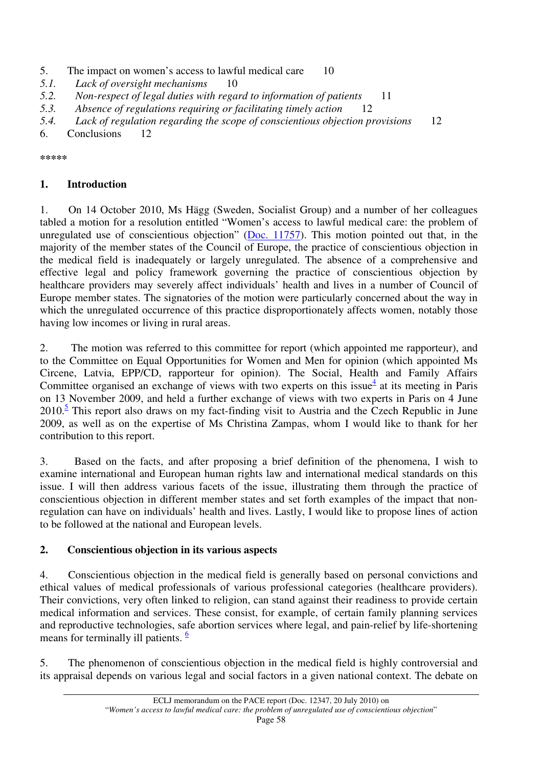5. The impact on women's access to lawful medical care 10

- *5.1. Lack of oversight mechanisms* 10
- *5.2. Non-respect of legal duties with regard to information of patients* 11
- *5.3. Absence of regulations requiring or facilitating timely action* 12
- *5.4. Lack of regulation regarding the scope of conscientious objection provisions* 12
- 6. Conclusions 12

#### **\*\*\*\*\***

### **1. Introduction**

1. On 14 October 2010, Ms Hägg (Sweden, Socialist Group) and a number of her colleagues tabled a motion for a resolution entitled "Women's access to lawful medical care: the problem of unregulated use of conscientious objection" ( $\overline{Doc}$ . 11757). This motion pointed out that, in the majority of the member states of the Council of Europe, the practice of conscientious objection in the medical field is inadequately or largely unregulated. The absence of a comprehensive and effective legal and policy framework governing the practice of conscientious objection by healthcare providers may severely affect individuals' health and lives in a number of Council of Europe member states. The signatories of the motion were particularly concerned about the way in which the unregulated occurrence of this practice disproportionately affects women, notably those having low incomes or living in rural areas.

2. The motion was referred to this committee for report (which appointed me rapporteur), and to the Committee on Equal Opportunities for Women and Men for opinion (which appointed Ms Circene, Latvia, EPP/CD, rapporteur for opinion). The Social, Health and Family Affairs Committee organised an exchange of views with two experts on this issue $\frac{4}{3}$  at its meeting in Paris on 13 November 2009, and held a further exchange of views with two experts in Paris on 4 June  $2010$ <sup>5</sup> This report also draws on my fact-finding visit to Austria and the Czech Republic in June 2009, as well as on the expertise of Ms Christina Zampas, whom I would like to thank for her contribution to this report.

3. Based on the facts, and after proposing a brief definition of the phenomena, I wish to examine international and European human rights law and international medical standards on this issue. I will then address various facets of the issue, illustrating them through the practice of conscientious objection in different member states and set forth examples of the impact that nonregulation can have on individuals' health and lives. Lastly, I would like to propose lines of action to be followed at the national and European levels.

# **2. Conscientious objection in its various aspects**

4. Conscientious objection in the medical field is generally based on personal convictions and ethical values of medical professionals of various professional categories (healthcare providers). Their convictions, very often linked to religion, can stand against their readiness to provide certain medical information and services. These consist, for example, of certain family planning services and reproductive technologies, safe abortion services where legal, and pain-relief by life-shortening means for terminally ill patients.  $\frac{6}{3}$ 

5. The phenomenon of conscientious objection in the medical field is highly controversial and its appraisal depends on various legal and social factors in a given national context. The debate on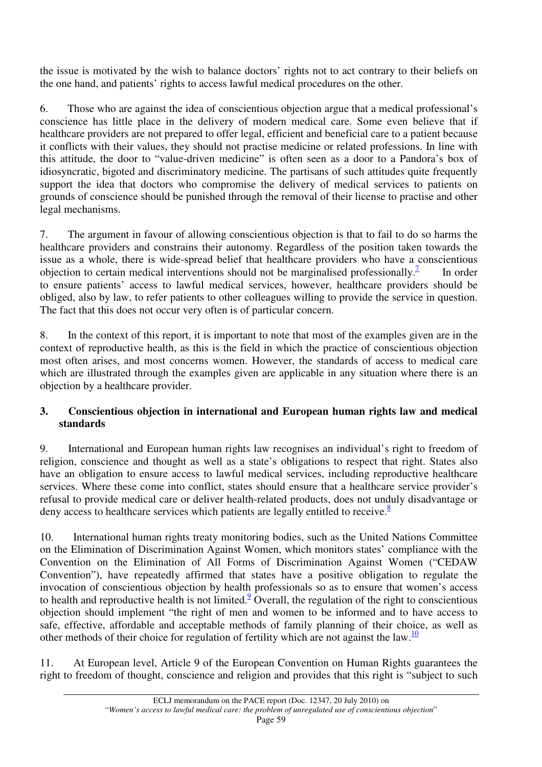the issue is motivated by the wish to balance doctors' rights not to act contrary to their beliefs on the one hand, and patients' rights to access lawful medical procedures on the other.

6. Those who are against the idea of conscientious objection argue that a medical professional's conscience has little place in the delivery of modern medical care. Some even believe that if healthcare providers are not prepared to offer legal, efficient and beneficial care to a patient because it conflicts with their values, they should not practise medicine or related professions. In line with this attitude, the door to "value-driven medicine" is often seen as a door to a Pandora's box of idiosyncratic, bigoted and discriminatory medicine. The partisans of such attitudes quite frequently support the idea that doctors who compromise the delivery of medical services to patients on grounds of conscience should be punished through the removal of their license to practise and other legal mechanisms.

7. The argument in favour of allowing conscientious objection is that to fail to do so harms the healthcare providers and constrains their autonomy. Regardless of the position taken towards the issue as a whole, there is wide-spread belief that healthcare providers who have a conscientious objection to certain medical interventions should not be marginalised professionally.<sup>7</sup> In order to ensure patients' access to lawful medical services, however, healthcare providers should be obliged, also by law, to refer patients to other colleagues willing to provide the service in question. The fact that this does not occur very often is of particular concern.

8. In the context of this report, it is important to note that most of the examples given are in the context of reproductive health, as this is the field in which the practice of conscientious objection most often arises, and most concerns women. However, the standards of access to medical care which are illustrated through the examples given are applicable in any situation where there is an objection by a healthcare provider.

#### **3. Conscientious objection in international and European human rights law and medical standards**

9. International and European human rights law recognises an individual's right to freedom of religion, conscience and thought as well as a state's obligations to respect that right. States also have an obligation to ensure access to lawful medical services, including reproductive healthcare services. Where these come into conflict, states should ensure that a healthcare service provider's refusal to provide medical care or deliver health-related products, does not unduly disadvantage or deny access to healthcare services which patients are legally entitled to receive.<sup>8</sup>

10. International human rights treaty monitoring bodies, such as the United Nations Committee on the Elimination of Discrimination Against Women, which monitors states' compliance with the Convention on the Elimination of All Forms of Discrimination Against Women ("CEDAW Convention"), have repeatedly affirmed that states have a positive obligation to regulate the invocation of conscientious objection by health professionals so as to ensure that women's access to health and reproductive health is not limited. $9$  Overall, the regulation of the right to conscientious objection should implement "the right of men and women to be informed and to have access to safe, effective, affordable and acceptable methods of family planning of their choice, as well as other methods of their choice for regulation of fertility which are not against the law. $\frac{10}{10}$ 

11. At European level, Article 9 of the European Convention on Human Rights guarantees the right to freedom of thought, conscience and religion and provides that this right is "subject to such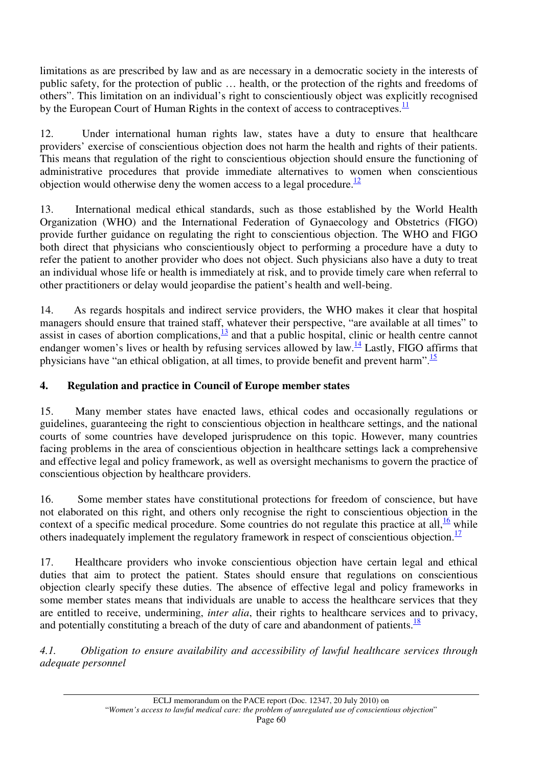limitations as are prescribed by law and as are necessary in a democratic society in the interests of public safety, for the protection of public … health, or the protection of the rights and freedoms of others". This limitation on an individual's right to conscientiously object was explicitly recognised by the European Court of Human Rights in the context of access to contraceptives.<sup>11</sup>

12. Under international human rights law, states have a duty to ensure that healthcare providers' exercise of conscientious objection does not harm the health and rights of their patients. This means that regulation of the right to conscientious objection should ensure the functioning of administrative procedures that provide immediate alternatives to women when conscientious objection would otherwise deny the women access to a legal procedure. $\frac{12}{12}$ 

13. International medical ethical standards, such as those established by the World Health Organization (WHO) and the International Federation of Gynaecology and Obstetrics (FIGO) provide further guidance on regulating the right to conscientious objection. The WHO and FIGO both direct that physicians who conscientiously object to performing a procedure have a duty to refer the patient to another provider who does not object. Such physicians also have a duty to treat an individual whose life or health is immediately at risk, and to provide timely care when referral to other practitioners or delay would jeopardise the patient's health and well-being.

14. As regards hospitals and indirect service providers, the WHO makes it clear that hospital managers should ensure that trained staff, whatever their perspective, "are available at all times" to assist in cases of abortion complications,  $\frac{13}{2}$  and that a public hospital, clinic or health centre cannot endanger women's lives or health by refusing services allowed by law.<sup>14</sup> Lastly, FIGO affirms that physicians have "an ethical obligation, at all times, to provide benefit and prevent harm".<sup>15</sup>

#### **4. Regulation and practice in Council of Europe member states**

15. Many member states have enacted laws, ethical codes and occasionally regulations or guidelines, guaranteeing the right to conscientious objection in healthcare settings, and the national courts of some countries have developed jurisprudence on this topic. However, many countries facing problems in the area of conscientious objection in healthcare settings lack a comprehensive and effective legal and policy framework, as well as oversight mechanisms to govern the practice of conscientious objection by healthcare providers.

16. Some member states have constitutional protections for freedom of conscience, but have not elaborated on this right, and others only recognise the right to conscientious objection in the context of a specific medical procedure. Some countries do not regulate this practice at all,  $\frac{16}{16}$  while others inadequately implement the regulatory framework in respect of conscientious objection.<sup>17</sup>

17. Healthcare providers who invoke conscientious objection have certain legal and ethical duties that aim to protect the patient. States should ensure that regulations on conscientious objection clearly specify these duties. The absence of effective legal and policy frameworks in some member states means that individuals are unable to access the healthcare services that they are entitled to receive, undermining, *inter alia*, their rights to healthcare services and to privacy, and potentially constituting a breach of the duty of care and abandonment of patients.<sup>18</sup>

*4.1. Obligation to ensure availability and accessibility of lawful healthcare services through adequate personnel*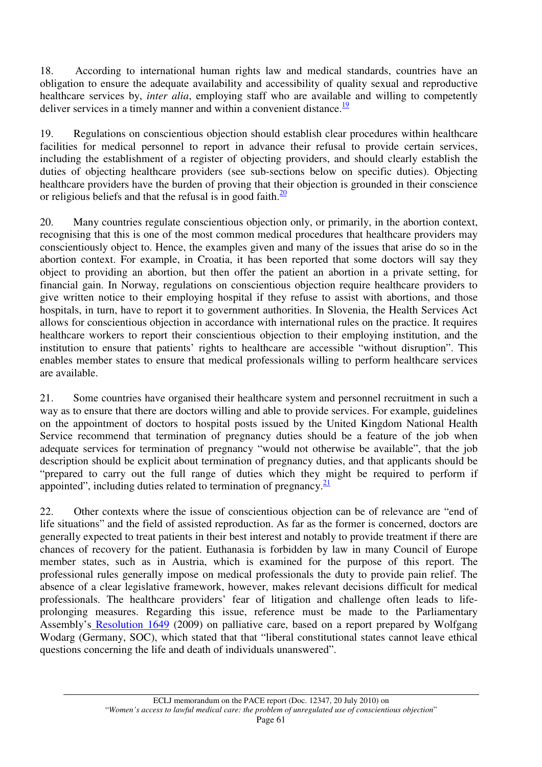18. According to international human rights law and medical standards, countries have an obligation to ensure the adequate availability and accessibility of quality sexual and reproductive healthcare services by, *inter alia*, employing staff who are available and willing to competently deliver services in a timely manner and within a convenient distance.<sup>19</sup>

19. Regulations on conscientious objection should establish clear procedures within healthcare facilities for medical personnel to report in advance their refusal to provide certain services, including the establishment of a register of objecting providers, and should clearly establish the duties of objecting healthcare providers (see sub-sections below on specific duties). Objecting healthcare providers have the burden of proving that their objection is grounded in their conscience or religious beliefs and that the refusal is in good faith. $\frac{20}{20}$ 

20. Many countries regulate conscientious objection only, or primarily, in the abortion context, recognising that this is one of the most common medical procedures that healthcare providers may conscientiously object to. Hence, the examples given and many of the issues that arise do so in the abortion context. For example, in Croatia, it has been reported that some doctors will say they object to providing an abortion, but then offer the patient an abortion in a private setting, for financial gain. In Norway, regulations on conscientious objection require healthcare providers to give written notice to their employing hospital if they refuse to assist with abortions, and those hospitals, in turn, have to report it to government authorities. In Slovenia, the Health Services Act allows for conscientious objection in accordance with international rules on the practice. It requires healthcare workers to report their conscientious objection to their employing institution, and the institution to ensure that patients' rights to healthcare are accessible "without disruption". This enables member states to ensure that medical professionals willing to perform healthcare services are available.

21. Some countries have organised their healthcare system and personnel recruitment in such a way as to ensure that there are doctors willing and able to provide services. For example, guidelines on the appointment of doctors to hospital posts issued by the United Kingdom National Health Service recommend that termination of pregnancy duties should be a feature of the job when adequate services for termination of pregnancy "would not otherwise be available", that the job description should be explicit about termination of pregnancy duties, and that applicants should be "prepared to carry out the full range of duties which they might be required to perform if appointed", including duties related to termination of pregnancy. $\frac{21}{2}$ 

22. Other contexts where the issue of conscientious objection can be of relevance are "end of life situations" and the field of assisted reproduction. As far as the former is concerned, doctors are generally expected to treat patients in their best interest and notably to provide treatment if there are chances of recovery for the patient. Euthanasia is forbidden by law in many Council of Europe member states, such as in Austria, which is examined for the purpose of this report. The professional rules generally impose on medical professionals the duty to provide pain relief. The absence of a clear legislative framework, however, makes relevant decisions difficult for medical professionals. The healthcare providers' fear of litigation and challenge often leads to lifeprolonging measures. Regarding this issue, reference must be made to the Parliamentary Assembly's Resolution 1649 (2009) on palliative care, based on a report prepared by Wolfgang Wodarg (Germany, SOC), which stated that that "liberal constitutional states cannot leave ethical questions concerning the life and death of individuals unanswered".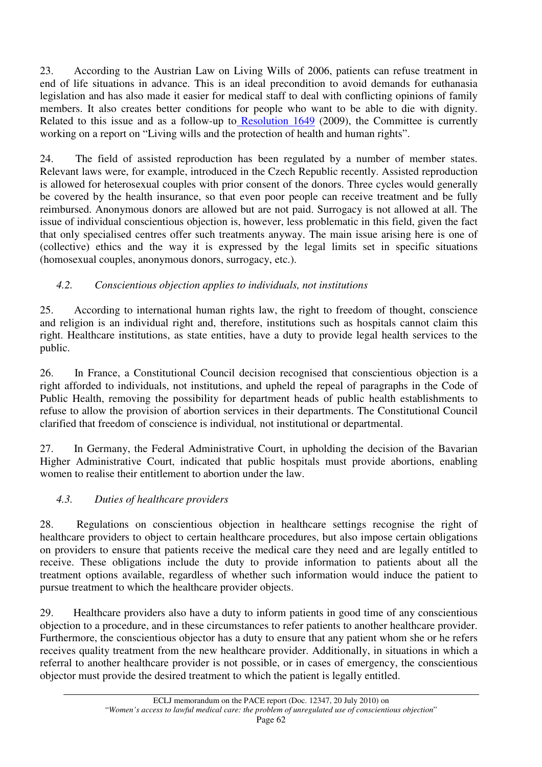23. According to the Austrian Law on Living Wills of 2006, patients can refuse treatment in end of life situations in advance. This is an ideal precondition to avoid demands for euthanasia legislation and has also made it easier for medical staff to deal with conflicting opinions of family members. It also creates better conditions for people who want to be able to die with dignity. Related to this issue and as a follow-up to Resolution 1649 (2009), the Committee is currently working on a report on "Living wills and the protection of health and human rights".

24. The field of assisted reproduction has been regulated by a number of member states. Relevant laws were, for example, introduced in the Czech Republic recently. Assisted reproduction is allowed for heterosexual couples with prior consent of the donors. Three cycles would generally be covered by the health insurance, so that even poor people can receive treatment and be fully reimbursed. Anonymous donors are allowed but are not paid. Surrogacy is not allowed at all. The issue of individual conscientious objection is, however, less problematic in this field, given the fact that only specialised centres offer such treatments anyway. The main issue arising here is one of (collective) ethics and the way it is expressed by the legal limits set in specific situations (homosexual couples, anonymous donors, surrogacy, etc.).

# *4.2. Conscientious objection applies to individuals, not institutions*

25. According to international human rights law, the right to freedom of thought, conscience and religion is an individual right and, therefore, institutions such as hospitals cannot claim this right. Healthcare institutions, as state entities, have a duty to provide legal health services to the public.

26. In France, a Constitutional Council decision recognised that conscientious objection is a right afforded to individuals, not institutions, and upheld the repeal of paragraphs in the Code of Public Health, removing the possibility for department heads of public health establishments to refuse to allow the provision of abortion services in their departments. The Constitutional Council clarified that freedom of conscience is individual*,* not institutional or departmental.

27. In Germany, the Federal Administrative Court, in upholding the decision of the Bavarian Higher Administrative Court, indicated that public hospitals must provide abortions, enabling women to realise their entitlement to abortion under the law.

# *4.3. Duties of healthcare providers*

28. Regulations on conscientious objection in healthcare settings recognise the right of healthcare providers to object to certain healthcare procedures, but also impose certain obligations on providers to ensure that patients receive the medical care they need and are legally entitled to receive. These obligations include the duty to provide information to patients about all the treatment options available, regardless of whether such information would induce the patient to pursue treatment to which the healthcare provider objects.

29. Healthcare providers also have a duty to inform patients in good time of any conscientious objection to a procedure, and in these circumstances to refer patients to another healthcare provider. Furthermore, the conscientious objector has a duty to ensure that any patient whom she or he refers receives quality treatment from the new healthcare provider. Additionally, in situations in which a referral to another healthcare provider is not possible, or in cases of emergency, the conscientious objector must provide the desired treatment to which the patient is legally entitled.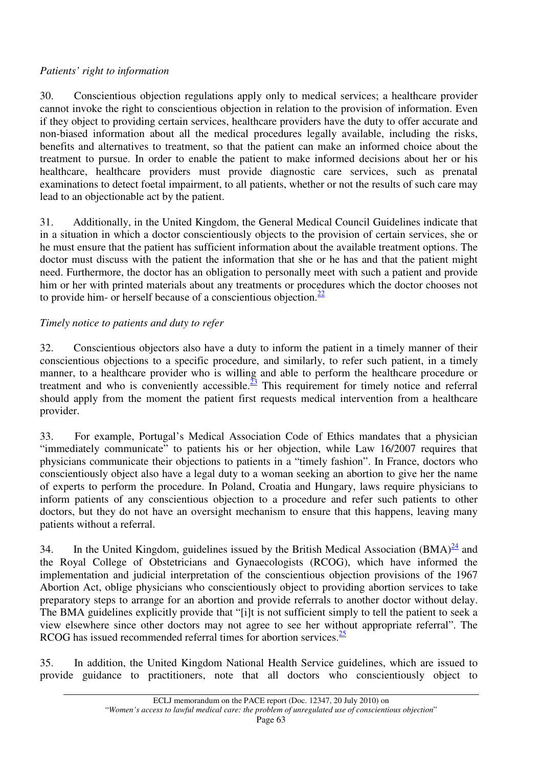#### *Patients' right to information*

30. Conscientious objection regulations apply only to medical services; a healthcare provider cannot invoke the right to conscientious objection in relation to the provision of information. Even if they object to providing certain services, healthcare providers have the duty to offer accurate and non-biased information about all the medical procedures legally available, including the risks, benefits and alternatives to treatment, so that the patient can make an informed choice about the treatment to pursue. In order to enable the patient to make informed decisions about her or his healthcare, healthcare providers must provide diagnostic care services, such as prenatal examinations to detect foetal impairment, to all patients, whether or not the results of such care may lead to an objectionable act by the patient.

31. Additionally, in the United Kingdom, the General Medical Council Guidelines indicate that in a situation in which a doctor conscientiously objects to the provision of certain services, she or he must ensure that the patient has sufficient information about the available treatment options. The doctor must discuss with the patient the information that she or he has and that the patient might need. Furthermore, the doctor has an obligation to personally meet with such a patient and provide him or her with printed materials about any treatments or procedures which the doctor chooses not to provide him- or herself because of a conscientious objection. $\frac{22}{2}$ 

#### *Timely notice to patients and duty to refer*

32. Conscientious objectors also have a duty to inform the patient in a timely manner of their conscientious objections to a specific procedure, and similarly, to refer such patient, in a timely manner, to a healthcare provider who is willing and able to perform the healthcare procedure or treatment and who is conveniently accessible. $\frac{23}{12}$  This requirement for timely notice and referral should apply from the moment the patient first requests medical intervention from a healthcare provider.

33. For example, Portugal's Medical Association Code of Ethics mandates that a physician "immediately communicate" to patients his or her objection, while Law 16/2007 requires that physicians communicate their objections to patients in a "timely fashion". In France, doctors who conscientiously object also have a legal duty to a woman seeking an abortion to give her the name of experts to perform the procedure. In Poland, Croatia and Hungary, laws require physicians to inform patients of any conscientious objection to a procedure and refer such patients to other doctors, but they do not have an oversight mechanism to ensure that this happens, leaving many patients without a referral.

34. In the United Kingdom, guidelines issued by the British Medical Association (BMA) $\frac{24}{ }$  and the Royal College of Obstetricians and Gynaecologists (RCOG), which have informed the implementation and judicial interpretation of the conscientious objection provisions of the 1967 Abortion Act, oblige physicians who conscientiously object to providing abortion services to take preparatory steps to arrange for an abortion and provide referrals to another doctor without delay. The BMA guidelines explicitly provide that "[i]t is not sufficient simply to tell the patient to seek a view elsewhere since other doctors may not agree to see her without appropriate referral". The RCOG has issued recommended referral times for abortion services.<sup>25</sup>

35. In addition, the United Kingdom National Health Service guidelines, which are issued to provide guidance to practitioners, note that all doctors who conscientiously object to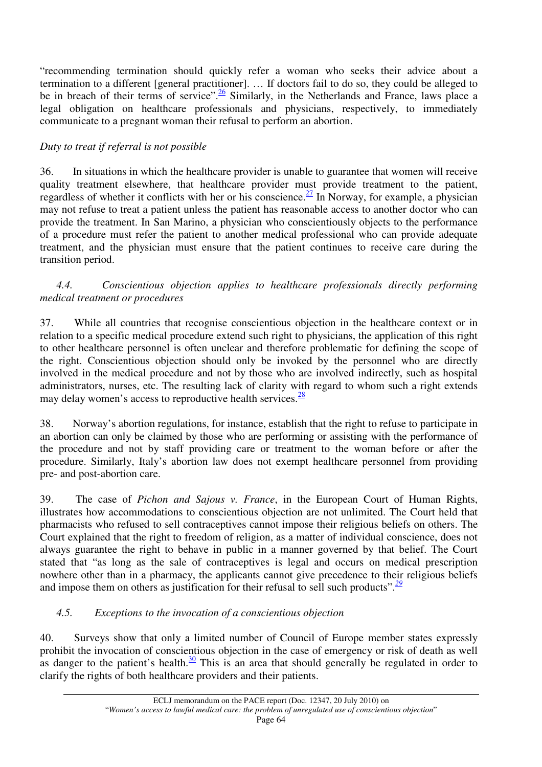"recommending termination should quickly refer a woman who seeks their advice about a termination to a different [general practitioner]. … If doctors fail to do so, they could be alleged to be in breach of their terms of service".  $\frac{26}{20}$  Similarly, in the Netherlands and France, laws place a legal obligation on healthcare professionals and physicians, respectively, to immediately communicate to a pregnant woman their refusal to perform an abortion.

### *Duty to treat if referral is not possible*

36. In situations in which the healthcare provider is unable to guarantee that women will receive quality treatment elsewhere, that healthcare provider must provide treatment to the patient, regardless of whether it conflicts with her or his conscience.<sup>27</sup> In Norway, for example, a physician may not refuse to treat a patient unless the patient has reasonable access to another doctor who can provide the treatment. In San Marino, a physician who conscientiously objects to the performance of a procedure must refer the patient to another medical professional who can provide adequate treatment, and the physician must ensure that the patient continues to receive care during the transition period.

 *4.4. Conscientious objection applies to healthcare professionals directly performing medical treatment or procedures*

37. While all countries that recognise conscientious objection in the healthcare context or in relation to a specific medical procedure extend such right to physicians, the application of this right to other healthcare personnel is often unclear and therefore problematic for defining the scope of the right. Conscientious objection should only be invoked by the personnel who are directly involved in the medical procedure and not by those who are involved indirectly, such as hospital administrators, nurses, etc. The resulting lack of clarity with regard to whom such a right extends may delay women's access to reproductive health services.  $\frac{28}{2}$ 

38. Norway's abortion regulations, for instance, establish that the right to refuse to participate in an abortion can only be claimed by those who are performing or assisting with the performance of the procedure and not by staff providing care or treatment to the woman before or after the procedure. Similarly, Italy's abortion law does not exempt healthcare personnel from providing pre- and post-abortion care.

39. The case of *Pichon and Sajous v. France*, in the European Court of Human Rights, illustrates how accommodations to conscientious objection are not unlimited. The Court held that pharmacists who refused to sell contraceptives cannot impose their religious beliefs on others. The Court explained that the right to freedom of religion, as a matter of individual conscience, does not always guarantee the right to behave in public in a manner governed by that belief. The Court stated that "as long as the sale of contraceptives is legal and occurs on medical prescription nowhere other than in a pharmacy, the applicants cannot give precedence to their religious beliefs and impose them on others as justification for their refusal to sell such products".*<sup>29</sup>*

# *4.5. Exceptions to the invocation of a conscientious objection*

40. Surveys show that only a limited number of Council of Europe member states expressly prohibit the invocation of conscientious objection in the case of emergency or risk of death as well as danger to the patient's health. $\frac{30}{2}$  This is an area that should generally be regulated in order to clarify the rights of both healthcare providers and their patients.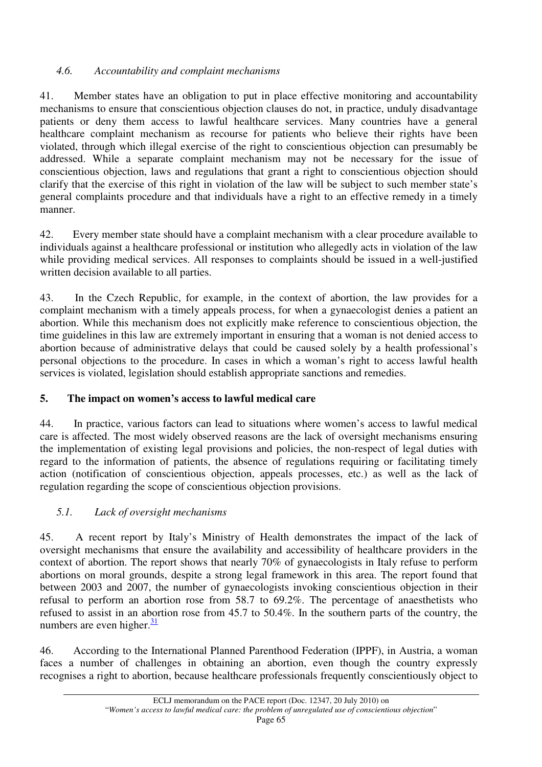#### *4.6. Accountability and complaint mechanisms*

41. Member states have an obligation to put in place effective monitoring and accountability mechanisms to ensure that conscientious objection clauses do not, in practice, unduly disadvantage patients or deny them access to lawful healthcare services. Many countries have a general healthcare complaint mechanism as recourse for patients who believe their rights have been violated, through which illegal exercise of the right to conscientious objection can presumably be addressed. While a separate complaint mechanism may not be necessary for the issue of conscientious objection, laws and regulations that grant a right to conscientious objection should clarify that the exercise of this right in violation of the law will be subject to such member state's general complaints procedure and that individuals have a right to an effective remedy in a timely manner.

42. Every member state should have a complaint mechanism with a clear procedure available to individuals against a healthcare professional or institution who allegedly acts in violation of the law while providing medical services. All responses to complaints should be issued in a well-justified written decision available to all parties.

43. In the Czech Republic, for example, in the context of abortion, the law provides for a complaint mechanism with a timely appeals process, for when a gynaecologist denies a patient an abortion. While this mechanism does not explicitly make reference to conscientious objection, the time guidelines in this law are extremely important in ensuring that a woman is not denied access to abortion because of administrative delays that could be caused solely by a health professional's personal objections to the procedure. In cases in which a woman's right to access lawful health services is violated, legislation should establish appropriate sanctions and remedies.

# **5. The impact on women's access to lawful medical care**

44. In practice, various factors can lead to situations where women's access to lawful medical care is affected. The most widely observed reasons are the lack of oversight mechanisms ensuring the implementation of existing legal provisions and policies, the non-respect of legal duties with regard to the information of patients, the absence of regulations requiring or facilitating timely action (notification of conscientious objection, appeals processes, etc.) as well as the lack of regulation regarding the scope of conscientious objection provisions.

# *5.1. Lack of oversight mechanisms*

45. A recent report by Italy's Ministry of Health demonstrates the impact of the lack of oversight mechanisms that ensure the availability and accessibility of healthcare providers in the context of abortion. The report shows that nearly 70% of gynaecologists in Italy refuse to perform abortions on moral grounds, despite a strong legal framework in this area. The report found that between 2003 and 2007, the number of gynaecologists invoking conscientious objection in their refusal to perform an abortion rose from 58.7 to 69.2%. The percentage of anaesthetists who refused to assist in an abortion rose from 45.7 to 50.4%. In the southern parts of the country, the numbers are even higher. $\frac{31}{2}$ 

46. According to the International Planned Parenthood Federation (IPPF), in Austria, a woman faces a number of challenges in obtaining an abortion, even though the country expressly recognises a right to abortion, because healthcare professionals frequently conscientiously object to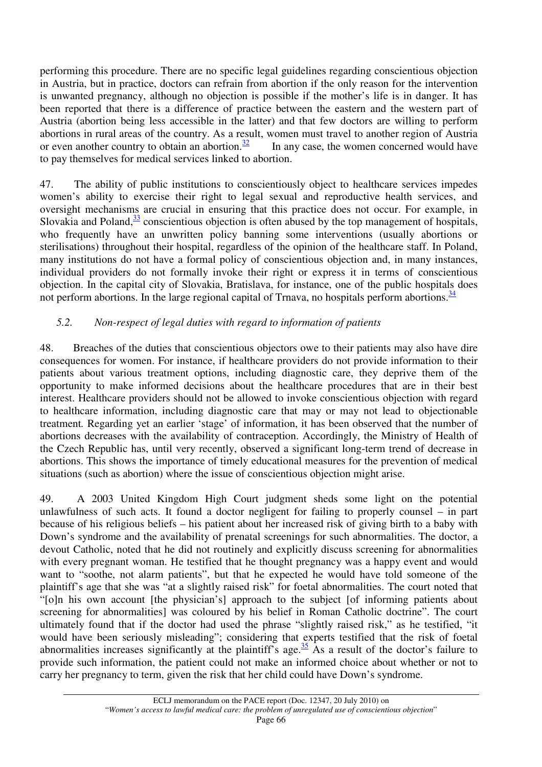performing this procedure. There are no specific legal guidelines regarding conscientious objection in Austria, but in practice, doctors can refrain from abortion if the only reason for the intervention is unwanted pregnancy, although no objection is possible if the mother's life is in danger. It has been reported that there is a difference of practice between the eastern and the western part of Austria (abortion being less accessible in the latter) and that few doctors are willing to perform abortions in rural areas of the country. As a result, women must travel to another region of Austria or even another country to obtain an abortion.<sup>32</sup> In any case, the women concerned would have to pay themselves for medical services linked to abortion.

47. The ability of public institutions to conscientiously object to healthcare services impedes women's ability to exercise their right to legal sexual and reproductive health services, and oversight mechanisms are crucial in ensuring that this practice does not occur. For example, in Slovakia and Poland,  $\frac{33}{2}$  conscientious objection is often abused by the top management of hospitals, who frequently have an unwritten policy banning some interventions (usually abortions or sterilisations) throughout their hospital, regardless of the opinion of the healthcare staff. In Poland, many institutions do not have a formal policy of conscientious objection and, in many instances, individual providers do not formally invoke their right or express it in terms of conscientious objection. In the capital city of Slovakia, Bratislava, for instance, one of the public hospitals does not perform abortions. In the large regional capital of Trnava, no hospitals perform abortions. $\frac{34}{3}$ 

#### *5.2. Non-respect of legal duties with regard to information of patients*

48. Breaches of the duties that conscientious objectors owe to their patients may also have dire consequences for women. For instance, if healthcare providers do not provide information to their patients about various treatment options, including diagnostic care, they deprive them of the opportunity to make informed decisions about the healthcare procedures that are in their best interest. Healthcare providers should not be allowed to invoke conscientious objection with regard to healthcare information, including diagnostic care that may or may not lead to objectionable treatment*.* Regarding yet an earlier 'stage' of information, it has been observed that the number of abortions decreases with the availability of contraception. Accordingly, the Ministry of Health of the Czech Republic has, until very recently, observed a significant long-term trend of decrease in abortions. This shows the importance of timely educational measures for the prevention of medical situations (such as abortion) where the issue of conscientious objection might arise.

49. A 2003 United Kingdom High Court judgment sheds some light on the potential unlawfulness of such acts. It found a doctor negligent for failing to properly counsel – in part because of his religious beliefs – his patient about her increased risk of giving birth to a baby with Down's syndrome and the availability of prenatal screenings for such abnormalities. The doctor, a devout Catholic, noted that he did not routinely and explicitly discuss screening for abnormalities with every pregnant woman. He testified that he thought pregnancy was a happy event and would want to "soothe, not alarm patients", but that he expected he would have told someone of the plaintiff's age that she was "at a slightly raised risk" for foetal abnormalities. The court noted that "[o]n his own account [the physician's] approach to the subject [of informing patients about screening for abnormalities] was coloured by his belief in Roman Catholic doctrine". The court ultimately found that if the doctor had used the phrase "slightly raised risk," as he testified, "it would have been seriously misleading"; considering that experts testified that the risk of foetal abnormalities increases significantly at the plaintiff's age.<sup>35</sup> As a result of the doctor's failure to provide such information, the patient could not make an informed choice about whether or not to carry her pregnancy to term, given the risk that her child could have Down's syndrome.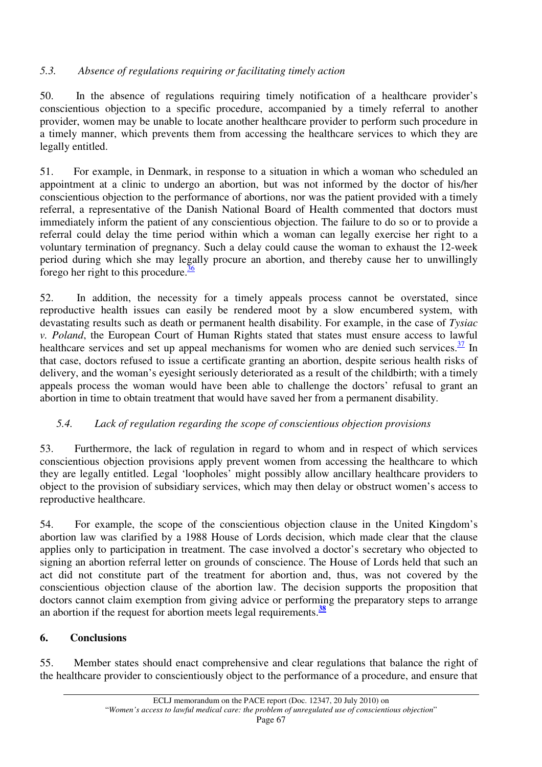### *5.3. Absence of regulations requiring or facilitating timely action*

50. In the absence of regulations requiring timely notification of a healthcare provider's conscientious objection to a specific procedure, accompanied by a timely referral to another provider, women may be unable to locate another healthcare provider to perform such procedure in a timely manner, which prevents them from accessing the healthcare services to which they are legally entitled.

51. For example, in Denmark, in response to a situation in which a woman who scheduled an appointment at a clinic to undergo an abortion, but was not informed by the doctor of his/her conscientious objection to the performance of abortions, nor was the patient provided with a timely referral, a representative of the Danish National Board of Health commented that doctors must immediately inform the patient of any conscientious objection. The failure to do so or to provide a referral could delay the time period within which a woman can legally exercise her right to a voluntary termination of pregnancy. Such a delay could cause the woman to exhaust the 12-week period during which she may legally procure an abortion, and thereby cause her to unwillingly forego her right to this procedure. $\frac{36}{36}$ 

52. In addition, the necessity for a timely appeals process cannot be overstated, since reproductive health issues can easily be rendered moot by a slow encumbered system, with devastating results such as death or permanent health disability. For example, in the case of *Tysiac v. Poland*, the European Court of Human Rights stated that states must ensure access to lawful healthcare services and set up appeal mechanisms for women who are denied such services. $\frac{37}{10}$  In that case, doctors refused to issue a certificate granting an abortion, despite serious health risks of delivery, and the woman's eyesight seriously deteriorated as a result of the childbirth; with a timely appeals process the woman would have been able to challenge the doctors' refusal to grant an abortion in time to obtain treatment that would have saved her from a permanent disability.

#### *5.4. Lack of regulation regarding the scope of conscientious objection provisions*

53. Furthermore, the lack of regulation in regard to whom and in respect of which services conscientious objection provisions apply prevent women from accessing the healthcare to which they are legally entitled. Legal 'loopholes' might possibly allow ancillary healthcare providers to object to the provision of subsidiary services, which may then delay or obstruct women's access to reproductive healthcare.

54. For example, the scope of the conscientious objection clause in the United Kingdom's abortion law was clarified by a 1988 House of Lords decision, which made clear that the clause applies only to participation in treatment. The case involved a doctor's secretary who objected to signing an abortion referral letter on grounds of conscience. The House of Lords held that such an act did not constitute part of the treatment for abortion and, thus, was not covered by the conscientious objection clause of the abortion law. The decision supports the proposition that doctors cannot claim exemption from giving advice or performing the preparatory steps to arrange an abortion if the request for abortion meets legal requirements.**<sup>38</sup>**

#### **6. Conclusions**

55. Member states should enact comprehensive and clear regulations that balance the right of the healthcare provider to conscientiously object to the performance of a procedure, and ensure that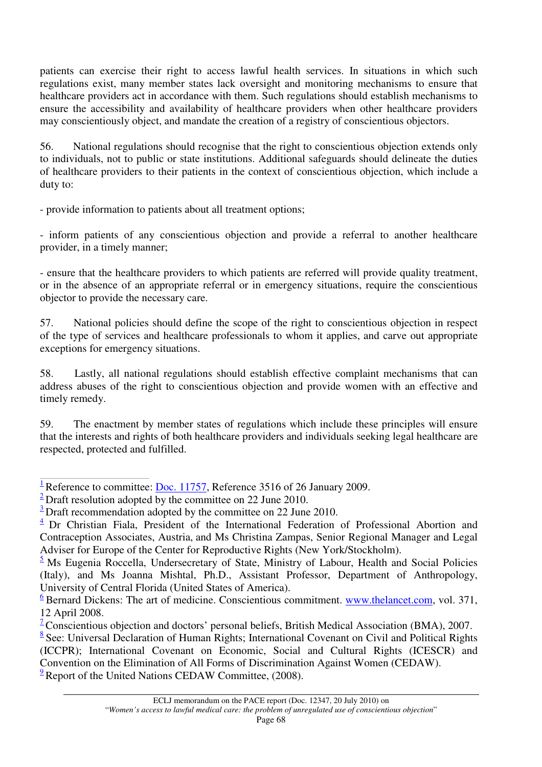patients can exercise their right to access lawful health services. In situations in which such regulations exist, many member states lack oversight and monitoring mechanisms to ensure that healthcare providers act in accordance with them. Such regulations should establish mechanisms to ensure the accessibility and availability of healthcare providers when other healthcare providers may conscientiously object, and mandate the creation of a registry of conscientious objectors.

56. National regulations should recognise that the right to conscientious objection extends only to individuals, not to public or state institutions. Additional safeguards should delineate the duties of healthcare providers to their patients in the context of conscientious objection, which include a duty to:

- provide information to patients about all treatment options;

- inform patients of any conscientious objection and provide a referral to another healthcare provider, in a timely manner;

- ensure that the healthcare providers to which patients are referred will provide quality treatment, or in the absence of an appropriate referral or in emergency situations, require the conscientious objector to provide the necessary care.

57. National policies should define the scope of the right to conscientious objection in respect of the type of services and healthcare professionals to whom it applies, and carve out appropriate exceptions for emergency situations.

58. Lastly, all national regulations should establish effective complaint mechanisms that can address abuses of the right to conscientious objection and provide women with an effective and timely remedy.

59. The enactment by member states of regulations which include these principles will ensure that the interests and rights of both healthcare providers and individuals seeking legal healthcare are respected, protected and fulfilled.

<sup>&</sup>lt;sup>1</sup> Reference to committee: Doc. 11757, Reference 3516 of 26 January 2009.

 $2^2$  Draft resolution adopted by the committee on 22 June 2010.

 $3$  Draft recommendation adopted by the committee on 22 June 2010.

 $\frac{4}{1}$  Dr Christian Fiala, President of the International Federation of Professional Abortion and Contraception Associates, Austria, and Ms Christina Zampas, Senior Regional Manager and Legal Adviser for Europe of the Center for Reproductive Rights (New York/Stockholm).

 $\frac{5}{2}$  Ms Eugenia Roccella, Undersecretary of State, Ministry of Labour, Health and Social Policies (Italy), and Ms Joanna Mishtal, Ph.D., Assistant Professor, Department of Anthropology, University of Central Florida (United States of America).

 $\frac{6}{6}$  Bernard Dickens: The art of medicine. Conscientious commitment. www.thelancet.com, vol. 371, 12 April 2008.

<sup>&</sup>lt;sup>7</sup> Conscientious objection and doctors' personal beliefs, British Medical Association (BMA), 2007.

<sup>&</sup>lt;sup>8</sup> See: Universal Declaration of Human Rights; International Covenant on Civil and Political Rights (ICCPR); International Covenant on Economic, Social and Cultural Rights (ICESCR) and Convention on the Elimination of All Forms of Discrimination Against Women (CEDAW).  $\frac{9}{2}$  Report of the United Nations CEDAW Committee, (2008).